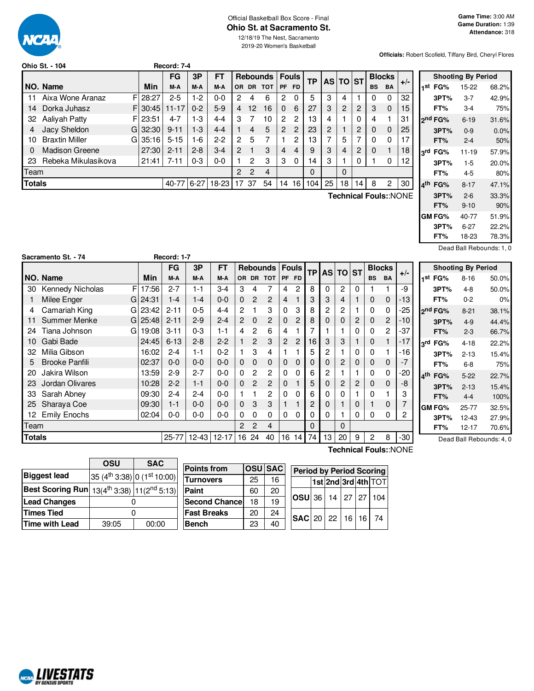

### Official Basketball Box Score - Final **Ohio St. at Sacramento St.**

12/18/19 The Nest, Sacramento 2019-20 Women's Basketball

**Officials:** Robert Scofield, Tiffany Bird, Cheryl Flores

|               | Ohio St. - 104        |    |           | Record: 7-4 |          |         |                |    |                 |                |                 |     |          |    |    |           |               |       |  |
|---------------|-----------------------|----|-----------|-------------|----------|---------|----------------|----|-----------------|----------------|-----------------|-----|----------|----|----|-----------|---------------|-------|--|
|               |                       |    |           | FG          | 3P       | FT      |                |    | <b>Rebounds</b> |                | <b>Fouls</b>    | ТP  | AS TO ST |    |    |           | <b>Blocks</b> |       |  |
|               | NO. Name              |    | Min       | M-A         | M-A      | M-A     | OR.            |    | DR TOT          | PF FD          |                 |     |          |    |    | <b>BS</b> | <b>BA</b>     | $+/-$ |  |
| 11            | Aixa Wone Aranaz      | FI | 28:27     | $2 - 5$     | $1-2$    | $0-0$   | 2              | 4  | 6               | 2              | 0               | 5   | 3        | 4  |    | 0         | 0             | 32    |  |
| 14            | Dorka Juhasz          |    | FI30:45   | $11 - 17$   | $0 - 2$  | $5-9$   | 4              | 12 | 16              | $\Omega$       | 6               | 27  | 3        | 2  | 2  | 3         | $\mathbf 0$   | 15    |  |
| 32            | Aaliyah Patty         |    | FI 23:51  | $4 - 7$     | $1-3$    | $4 - 4$ | 3              |    | 10              | $\mathcal{P}$  | 2               | 13  | 4        |    | 0  | 4         |               | 31    |  |
|               | Jacy Sheldon          |    | $G$ 32:30 | $9 - 11$    | $1-3$    | $4 - 4$ |                | 4  | 5               | $\overline{2}$ | 2               | 23  | 2        |    | 2  | $\Omega$  | 0             | 25    |  |
| 10            | <b>Braxtin Miller</b> |    | GI 35:16  | $5 - 15$    | $1-6$    | $2 - 2$ | $\overline{2}$ | 5  |                 |                | 2               | 13  |          | 5  |    | $\Omega$  | 0             | 17    |  |
| 0             | <b>Madison Greene</b> |    | 27:30     | $2 - 11$    | $2 - 8$  | $3 - 4$ | $\overline{2}$ |    | 3               | 4              | 4               | 9   | 3        | 4  | 2  | 0         |               | 18    |  |
| 23            | Rebeka Mikulasikova   |    | 21:41     | $7 - 11$    | $0 - 3$  | $0-0$   |                | 2  | 3               | 3              | 0               | 14  | 3        |    |    |           | 0             | 12    |  |
| Team          |                       |    |           |             |          |         | 2              | 2  | 4               |                |                 | 0   |          | 0  |    |           |               |       |  |
| <b>Totals</b> |                       |    |           | 40-771      | $6 - 27$ | 18-23   | 17             | 37 | 54              | 14             | 16 <sup>1</sup> | 104 | 25       | 18 | 14 | 8         | 2             | 30    |  |
|               |                       |    |           |             |          |         |                |    |                 |                |                 |     |          |    |    |           |               |       |  |

**Technical Fouls:**:NONE

|                     | <b>Shooting By Period</b> |         |
|---------------------|---------------------------|---------|
| 1st FG% 15-22       |                           | 68.2%   |
| 3PT%                | 3-7                       | 42.9%   |
| FT%                 | $3-4$                     | 75%     |
| ond FG%             | $6 - 19$                  | 31.6%   |
| 3PT%                | $0 - 9$                   | $0.0\%$ |
| FT%                 | $2 - 4$                   | 50%     |
| 3rd FG%             | $11 - 19$                 | 57.9%   |
| 3PT%                | $1 - 5$                   | 20.0%   |
| FT%                 | $4 - 5$                   | 80%     |
| 4 <sup>th</sup> FG% | $8 - 17$                  | 47.1%   |
| 3PT%                | $2 - 6$                   | 33.3%   |
| FT%                 | $9 - 10$                  | 90%     |
| GM FG%              | 40-77                     | 51.9%   |
| 3PT%                | $6-27$                    | 22.2%   |
| FT%                 | 18-23                     | 78.3%   |

Dead Ball Rebounds: 1, 0

|               | Sacramento St. - 74     |             | Record: 1-7 |         |             |   |                |                         |                |                |              |    |              |                |              |               |       |                        |                           |                          |
|---------------|-------------------------|-------------|-------------|---------|-------------|---|----------------|-------------------------|----------------|----------------|--------------|----|--------------|----------------|--------------|---------------|-------|------------------------|---------------------------|--------------------------|
|               |                         |             | <b>FG</b>   | 3P      | <b>FT</b>   |   |                | <b>Rebounds   Fouls</b> |                |                | <b>TP</b>    |    | <b>ASITO</b> | <b>ST</b>      |              | <b>Blocks</b> |       |                        | <b>Shooting By Period</b> |                          |
|               | NO. Name                | Min         | M-A         | M-A     | M-A         |   |                | OR DR TOT               | IPF FD         |                |              |    |              |                | <b>BS</b>    | <b>BA</b>     | $+/-$ | 1 <sup>st</sup> FG%    | $8 - 16$                  | 50.0%                    |
| 30            | <b>Kennedy Nicholas</b> | FI 17:56    | $2 - 7$     | $1 - 1$ | $3 - 4$     | 3 |                |                         | 4              | 2              | 8            | 0  | $\mathbf{2}$ | 0              |              |               | -9    | 3PT%                   | $4 - 8$                   | 50.0%                    |
|               | Milee Enger             | $G$   24:31 | 1-4         | 1-4     | $0 - 0$     | 0 | 2              | 2                       | 4              |                | 3            | 3  | 4            |                | 0            | 0             | $-13$ | FT%                    | $0 - 2$                   | 0%                       |
|               | Camariah King           | G 23:42     | $2 - 11$    | $0 - 5$ | $4 - 4$     | 2 |                | 3                       | 0              | 3              | 8            | 2  | 2            |                | 0            |               | -25   | 2 <sup>nd</sup> FG%    | $8 - 21$                  | 38.1%                    |
|               | <b>Summer Menke</b>     | $G$   25:48 | $2 - 11$    | $2-9$   | $2 - 4$     | 2 | 0              | 2                       | 0              | 2              | 8            | 0  | 0            | 2              | 0            | 2             | $-10$ | 3PT%                   | $4-9$                     | 44.4%                    |
| 24            | Tiana Johnson           | 19:08<br>G. | $3 - 11$    | $0 - 3$ | $1 - 1$     | 4 | 2              | 6                       | 4              |                |              |    |              | 0              | 0            | 2             | $-37$ | FT%                    | $2 - 3$                   | 66.7%                    |
| 10            | Gabi Bade               | 24:45       | $6 - 13$    | $2 - 8$ | $2 - 2$     |   | $\overline{c}$ | 3                       | $\overline{2}$ | $\overline{c}$ | 16           | 3  | 3            |                | 0            |               | $-17$ | $3^{\text{rd}}$<br>FG% | $4 - 18$                  | 22.2%                    |
| 32            | Milia Gibson            | 16:02       | $2 - 4$     | 1-1     | $0 - 2$     |   | 3              | 4                       |                |                | 5            | 2  |              | 0              | 0            |               | $-16$ | 3PT%                   | $2 - 13$                  | 15.4%                    |
| 5             | <b>Brooke Panfili</b>   | 02:37       | $0 - 0$     | $0 - 0$ | $0 - 0$     | 0 | $\Omega$       | 0                       | 0              | $\Omega$       | $\Omega$     | 0  | 2            | 0              | $\mathbf{0}$ | 0             | $-7$  | FT%                    | $6-8$                     | 75%                      |
| 20            | Jakira Wilson           | 13:59       | $2 - 9$     | $2 - 7$ | $0-0$       | 0 | 2              | 2                       | 0              | 0              | 6            | 2  |              |                | 0            | 0             | -20   | $4th$ FG%              | $5 - 22$                  | 22.7%                    |
| 23            | Jordan Olivares         | 10:28       | $2 - 2$     | $1 - 1$ | $0 - 0$     | 0 | 2              | 2                       | 0              |                | 5            | 0  | 2            | $\overline{c}$ | $\mathbf 0$  | 0             | -8    | 3PT%                   | $2 - 13$                  | 15.4%                    |
| 33            | Sarah Abney             | 09:30       | $2 - 4$     | $2 - 4$ | $0-0$       |   |                | 2                       | 0              | 0              | 6            | 0  | 0            |                | 0            |               | 3     | FT%                    | $4 - 4$                   | 100%                     |
| 25            | Sharaya Coe             | 09:30       | 1-1         | $0 - 0$ | $0 - 0$     | 0 | 3              | 3                       |                |                | 2            | 0  |              | 0              |              | 0             | 7     | <b>GM FG%</b>          | 25-77                     | 32.5%                    |
| 12            | <b>Emily Enochs</b>     | 02:04       | $0 - 0$     | $0 - 0$ | $0 - 0$     | 0 | 0              |                         | 0              | 0              | 0            | 0  |              | 0              | 0            | 0             | 2     | 3PT%                   | $12 - 43$                 | 27.9%                    |
| Team          |                         |             |             |         |             | 2 | $\overline{c}$ | 4                       |                |                | $\mathbf{0}$ |    | 0            |                |              |               |       | FT%                    | $12 - 17$                 | 70.6%                    |
| <b>Totals</b> |                         |             | $25 - 77$   |         | 12-43 12-17 |   | 16 24          | 40                      | 16             | 14             | 74 l         | 13 | 20           | 9              | 2            | 8             | $-30$ |                        |                           | Dead Ball Rebounds: 4, 0 |

**Technical Fouls:**:NONE

|                                                                  | OSU   | <b>SAC</b>                                       |                       |    |                |                                 |                     |  |              |
|------------------------------------------------------------------|-------|--------------------------------------------------|-----------------------|----|----------------|---------------------------------|---------------------|--|--------------|
|                                                                  |       |                                                  | <b>Points from</b>    |    | <b>OSU</b> SAC | <b>Period by Period Scoring</b> |                     |  |              |
| <b>Biggest lead</b>                                              |       | $35(4^{\text{th}}3:38)$ 0 $(1^{\text{st}}10:00)$ | <b>Turnovers</b>      | 25 | 16             |                                 | 1st 2nd 3rd 4th TOT |  |              |
| Best Scoring Run $13(4^{\text{th}}3:38)$ $11(2^{\text{nd}}5:13)$ |       |                                                  | Paint                 | 60 | 20             |                                 |                     |  |              |
| <b>Lead Changes</b>                                              |       |                                                  | <b>Second Chancel</b> | 18 | 19             | $\log$ U $\log$                 |                     |  | 14 27 27 104 |
| Times Tied                                                       |       |                                                  | <b>Fast Breaks</b>    | 20 | 24             | $ SAC $ 20   22   16   16   74  |                     |  |              |
| Time with Lead                                                   | 39:05 | 00:00                                            | Bench                 | 23 | 40             |                                 |                     |  |              |

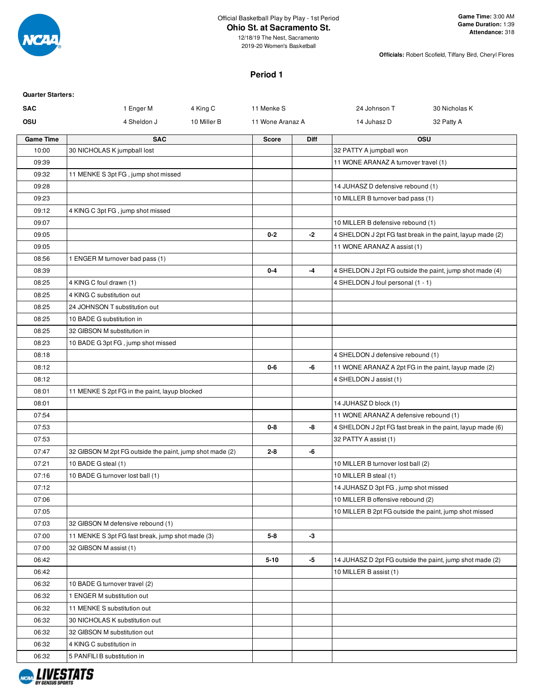

12/18/19 The Nest, Sacramento 2019-20 Women's Basketball

**Officials:** Robert Scofield, Tiffany Bird, Cheryl Flores

# **Period 1**

| <b>Quarter Starters:</b> |
|--------------------------|
|                          |

| <b>SAC</b>       | 1 Enger M<br>4 King C                                    | 11 Menke S       |      | 24 Johnson T                           | 30 Nicholas K                                              |
|------------------|----------------------------------------------------------|------------------|------|----------------------------------------|------------------------------------------------------------|
| OSU              | 4 Sheldon J<br>10 Miller B                               | 11 Wone Aranaz A |      | 14 Juhasz D                            | 32 Patty A                                                 |
| <b>Game Time</b> | <b>SAC</b>                                               | <b>Score</b>     | Diff |                                        | <b>OSU</b>                                                 |
| 10:00            | 30 NICHOLAS K jumpball lost                              |                  |      | 32 PATTY A jumpball won                |                                                            |
| 09:39            |                                                          |                  |      | 11 WONE ARANAZ A turnover travel (1)   |                                                            |
| 09:32            | 11 MENKE S 3pt FG, jump shot missed                      |                  |      |                                        |                                                            |
| 09:28            |                                                          |                  |      | 14 JUHASZ D defensive rebound (1)      |                                                            |
| 09:23            |                                                          |                  |      | 10 MILLER B turnover bad pass (1)      |                                                            |
| 09:12            | 4 KING C 3pt FG, jump shot missed                        |                  |      |                                        |                                                            |
| 09:07            |                                                          |                  |      | 10 MILLER B defensive rebound (1)      |                                                            |
| 09:05            |                                                          | $0 - 2$          | $-2$ |                                        | 4 SHELDON J 2pt FG fast break in the paint, layup made (2) |
| 09:05            |                                                          |                  |      | 11 WONE ARANAZ A assist (1)            |                                                            |
| 08:56            | 1 ENGER M turnover bad pass (1)                          |                  |      |                                        |                                                            |
| 08:39            |                                                          | $0 - 4$          | $-4$ |                                        | 4 SHELDON J 2pt FG outside the paint, jump shot made (4)   |
| 08:25            | 4 KING C foul drawn (1)                                  |                  |      | 4 SHELDON J foul personal (1 - 1)      |                                                            |
| 08:25            | 4 KING C substitution out                                |                  |      |                                        |                                                            |
| 08:25            | 24 JOHNSON T substitution out                            |                  |      |                                        |                                                            |
| 08:25            | 10 BADE G substitution in                                |                  |      |                                        |                                                            |
| 08:25            | 32 GIBSON M substitution in                              |                  |      |                                        |                                                            |
| 08:23            | 10 BADE G 3pt FG, jump shot missed                       |                  |      |                                        |                                                            |
| 08:18            |                                                          |                  |      | 4 SHELDON J defensive rebound (1)      |                                                            |
| 08:12            |                                                          | $0-6$            | -6   |                                        | 11 WONE ARANAZ A 2pt FG in the paint, layup made (2)       |
| 08:12            |                                                          |                  |      | 4 SHELDON J assist (1)                 |                                                            |
| 08:01            | 11 MENKE S 2pt FG in the paint, layup blocked            |                  |      |                                        |                                                            |
| 08:01            |                                                          |                  |      | 14 JUHASZ D block (1)                  |                                                            |
| 07:54            |                                                          |                  |      | 11 WONE ARANAZ A defensive rebound (1) |                                                            |
| 07:53            |                                                          | $0-8$            | -8   |                                        | 4 SHELDON J 2pt FG fast break in the paint, layup made (6) |
| 07:53            |                                                          |                  |      | 32 PATTY A assist (1)                  |                                                            |
| 07:47            | 32 GIBSON M 2pt FG outside the paint, jump shot made (2) | $2 - 8$          | -6   |                                        |                                                            |
| 07:21            | 10 BADE G steal (1)                                      |                  |      | 10 MILLER B turnover lost ball (2)     |                                                            |
| 07:16            | 10 BADE G turnover lost ball (1)                         |                  |      | 10 MILLER B steal (1)                  |                                                            |
| 07:12            |                                                          |                  |      | 14 JUHASZ D 3pt FG, jump shot missed   |                                                            |
| 07:06            |                                                          |                  |      | 10 MILLER B offensive rebound (2)      |                                                            |
| 07:05            |                                                          |                  |      |                                        | 10 MILLER B 2pt FG outside the paint, jump shot missed     |
| 07:03            | 32 GIBSON M defensive rebound (1)                        |                  |      |                                        |                                                            |
| 07:00            | 11 MENKE S 3pt FG fast break, jump shot made (3)         | $5-8$            | $-3$ |                                        |                                                            |
| 07:00            | 32 GIBSON M assist (1)                                   |                  |      |                                        |                                                            |
| 06:42            |                                                          | $5 - 10$         | -5   |                                        | 14 JUHASZ D 2pt FG outside the paint, jump shot made (2)   |
| 06:42            |                                                          |                  |      | 10 MILLER B assist (1)                 |                                                            |
| 06:32            | 10 BADE G turnover travel (2)                            |                  |      |                                        |                                                            |
| 06:32            | 1 ENGER M substitution out                               |                  |      |                                        |                                                            |
| 06:32            | 11 MENKE S substitution out                              |                  |      |                                        |                                                            |
| 06:32            | 30 NICHOLAS K substitution out                           |                  |      |                                        |                                                            |
| 06:32            | 32 GIBSON M substitution out                             |                  |      |                                        |                                                            |
| 06:32            | 4 KING C substitution in                                 |                  |      |                                        |                                                            |
| 06:32            | 5 PANFILI B substitution in                              |                  |      |                                        |                                                            |

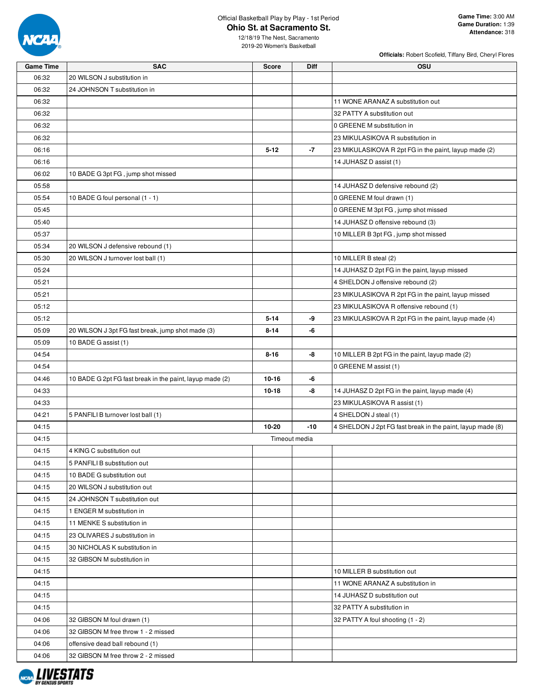

**Officials:** Robert Scofield, Tiffany Bird, Cheryl Flores

| <b>Game Time</b> | <b>SAC</b>                                               | <b>Score</b> | Diff          | OSU                                                        |
|------------------|----------------------------------------------------------|--------------|---------------|------------------------------------------------------------|
| 06:32            | 20 WILSON J substitution in                              |              |               |                                                            |
| 06:32            | 24 JOHNSON T substitution in                             |              |               |                                                            |
| 06:32            |                                                          |              |               | 11 WONE ARANAZ A substitution out                          |
| 06:32            |                                                          |              |               | 32 PATTY A substitution out                                |
| 06:32            |                                                          |              |               | 0 GREENE M substitution in                                 |
| 06:32            |                                                          |              |               | 23 MIKULASIKOVA R substitution in                          |
| 06:16            |                                                          | $5 - 12$     | -7            | 23 MIKULASIKOVA R 2pt FG in the paint, layup made (2)      |
| 06:16            |                                                          |              |               | 14 JUHASZ D assist (1)                                     |
| 06:02            | 10 BADE G 3pt FG, jump shot missed                       |              |               |                                                            |
| 05:58            |                                                          |              |               | 14 JUHASZ D defensive rebound (2)                          |
| 05:54            | 10 BADE G foul personal (1 - 1)                          |              |               | 0 GREENE M foul drawn (1)                                  |
| 05:45            |                                                          |              |               | 0 GREENE M 3pt FG, jump shot missed                        |
| 05:40            |                                                          |              |               | 14 JUHASZ D offensive rebound (3)                          |
| 05:37            |                                                          |              |               | 10 MILLER B 3pt FG, jump shot missed                       |
| 05:34            | 20 WILSON J defensive rebound (1)                        |              |               |                                                            |
| 05:30            | 20 WILSON J turnover lost ball (1)                       |              |               | 10 MILLER B steal (2)                                      |
| 05:24            |                                                          |              |               | 14 JUHASZ D 2pt FG in the paint, layup missed              |
| 05:21            |                                                          |              |               | 4 SHELDON J offensive rebound (2)                          |
| 05:21            |                                                          |              |               | 23 MIKULASIKOVA R 2pt FG in the paint, layup missed        |
| 05:12            |                                                          |              |               | 23 MIKULASIKOVA R offensive rebound (1)                    |
| 05:12            |                                                          | $5 - 14$     | -9            | 23 MIKULASIKOVA R 2pt FG in the paint, layup made (4)      |
| 05:09            | 20 WILSON J 3pt FG fast break, jump shot made (3)        | $8 - 14$     | -6            |                                                            |
| 05:09            | 10 BADE G assist (1)                                     |              |               |                                                            |
| 04:54            |                                                          | $8 - 16$     | -8            | 10 MILLER B 2pt FG in the paint, layup made (2)            |
| 04:54            |                                                          |              |               | 0 GREENE M assist (1)                                      |
| 04:46            | 10 BADE G 2pt FG fast break in the paint, layup made (2) | $10 - 16$    | -6            |                                                            |
| 04:33            |                                                          | 10-18        | -8            | 14 JUHASZ D 2pt FG in the paint, layup made (4)            |
| 04:33            |                                                          |              |               | 23 MIKULASIKOVA R assist (1)                               |
| 04:21            | 5 PANFILI B turnover lost ball (1)                       |              |               | 4 SHELDON J steal (1)                                      |
| 04:15            |                                                          | $10 - 20$    | $-10$         | 4 SHELDON J 2pt FG fast break in the paint, layup made (8) |
| 04:15            |                                                          |              | Timeout media |                                                            |
| 04:15            | 4 KING C substitution out                                |              |               |                                                            |
| 04:15            | 5 PANFILI B substitution out                             |              |               |                                                            |
| 04:15            | 10 BADE G substitution out                               |              |               |                                                            |
| 04:15            | 20 WILSON J substitution out                             |              |               |                                                            |
| 04:15            | 24 JOHNSON T substitution out                            |              |               |                                                            |
| 04:15            | 1 ENGER M substitution in                                |              |               |                                                            |
| 04:15            | 11 MENKE S substitution in                               |              |               |                                                            |
| 04:15            | 23 OLIVARES J substitution in                            |              |               |                                                            |
| 04:15            | 30 NICHOLAS K substitution in                            |              |               |                                                            |
| 04:15            | 32 GIBSON M substitution in                              |              |               |                                                            |
| 04:15            |                                                          |              |               | 10 MILLER B substitution out                               |
| 04:15            |                                                          |              |               | 11 WONE ARANAZ A substitution in                           |
| 04:15            |                                                          |              |               | 14 JUHASZ D substitution out                               |
| 04:15            |                                                          |              |               | 32 PATTY A substitution in                                 |
| 04:06            | 32 GIBSON M foul drawn (1)                               |              |               | 32 PATTY A foul shooting (1 - 2)                           |
| 04:06            | 32 GIBSON M free throw 1 - 2 missed                      |              |               |                                                            |
| 04:06            | offensive dead ball rebound (1)                          |              |               |                                                            |
| 04:06            | 32 GIBSON M free throw 2 - 2 missed                      |              |               |                                                            |

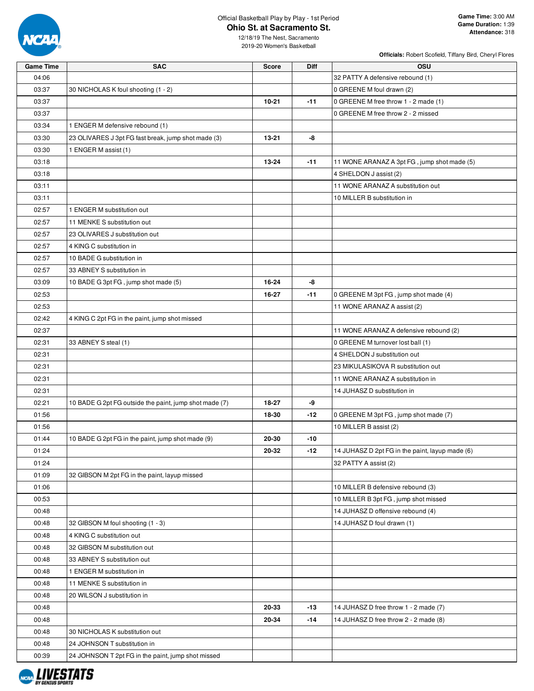

**Officials:** Robert Scofield, Tiffany Bird, Cheryl Flores

| <b>Game Time</b> | <b>SAC</b>                                             | <b>Score</b> | <b>Diff</b> | <b>OSU</b>                                      |
|------------------|--------------------------------------------------------|--------------|-------------|-------------------------------------------------|
| 04:06            |                                                        |              |             | 32 PATTY A defensive rebound (1)                |
| 03:37            | 30 NICHOLAS K foul shooting (1 - 2)                    |              |             | 0 GREENE M foul drawn (2)                       |
| 03:37            |                                                        | $10 - 21$    | $-11$       | 0 GREENE M free throw 1 - 2 made (1)            |
| 03:37            |                                                        |              |             | 0 GREENE M free throw 2 - 2 missed              |
| 03:34            | 1 ENGER M defensive rebound (1)                        |              |             |                                                 |
| 03:30            | 23 OLIVARES J 3pt FG fast break, jump shot made (3)    | 13-21        | -8          |                                                 |
| 03:30            | 1 ENGER M assist (1)                                   |              |             |                                                 |
| 03:18            |                                                        | 13-24        | $-11$       | 11 WONE ARANAZ A 3pt FG, jump shot made (5)     |
| 03:18            |                                                        |              |             | 4 SHELDON J assist (2)                          |
| 03:11            |                                                        |              |             | 11 WONE ARANAZ A substitution out               |
| 03:11            |                                                        |              |             | 10 MILLER B substitution in                     |
| 02:57            | 1 ENGER M substitution out                             |              |             |                                                 |
| 02:57            | 11 MENKE S substitution out                            |              |             |                                                 |
| 02:57            | 23 OLIVARES J substitution out                         |              |             |                                                 |
| 02:57            | 4 KING C substitution in                               |              |             |                                                 |
| 02:57            | 10 BADE G substitution in                              |              |             |                                                 |
| 02:57            | 33 ABNEY S substitution in                             |              |             |                                                 |
| 03:09            | 10 BADE G 3pt FG, jump shot made (5)                   | 16-24        | -8          |                                                 |
| 02:53            |                                                        | 16-27        | -11         | 0 GREENE M 3pt FG, jump shot made (4)           |
| 02:53            |                                                        |              |             | 11 WONE ARANAZ A assist (2)                     |
| 02:42            | 4 KING C 2pt FG in the paint, jump shot missed         |              |             |                                                 |
| 02:37            |                                                        |              |             | 11 WONE ARANAZ A defensive rebound (2)          |
| 02:31            | 33 ABNEY S steal (1)                                   |              |             | 0 GREENE M turnover lost ball (1)               |
| 02:31            |                                                        |              |             | 4 SHELDON J substitution out                    |
| 02:31            |                                                        |              |             | 23 MIKULASIKOVA R substitution out              |
| 02:31            |                                                        |              |             | 11 WONE ARANAZ A substitution in                |
| 02:31            |                                                        |              |             | 14 JUHASZ D substitution in                     |
| 02:21            | 10 BADE G 2pt FG outside the paint, jump shot made (7) | 18-27        | -9          |                                                 |
| 01:56            |                                                        | 18-30        | -12         | 0 GREENE M 3pt FG, jump shot made (7)           |
| 01:56            |                                                        |              |             | 10 MILLER B assist (2)                          |
| 01:44            | 10 BADE G 2pt FG in the paint, jump shot made (9)      | 20-30        | -10         |                                                 |
| 01:24            |                                                        | 20-32        | -12         | 14 JUHASZ D 2pt FG in the paint, layup made (6) |
| 01:24            |                                                        |              |             | 32 PATTY A assist (2)                           |
| 01:09            | 32 GIBSON M 2pt FG in the paint, layup missed          |              |             |                                                 |
| 01:06            |                                                        |              |             | 10 MILLER B defensive rebound (3)               |
| 00:53            |                                                        |              |             | 10 MILLER B 3pt FG, jump shot missed            |
| 00:48            |                                                        |              |             | 14 JUHASZ D offensive rebound (4)               |
| 00:48            | 32 GIBSON M foul shooting (1 - 3)                      |              |             | 14 JUHASZ D foul drawn (1)                      |
| 00:48            | 4 KING C substitution out                              |              |             |                                                 |
| 00:48            | 32 GIBSON M substitution out                           |              |             |                                                 |
| 00:48            | 33 ABNEY S substitution out                            |              |             |                                                 |
| 00:48            | 1 ENGER M substitution in                              |              |             |                                                 |
| 00:48            | 11 MENKE S substitution in                             |              |             |                                                 |
| 00:48            | 20 WILSON J substitution in                            |              |             |                                                 |
| 00:48            |                                                        | 20-33        | -13         | 14 JUHASZ D free throw 1 - 2 made (7)           |
| 00:48            |                                                        | 20-34        | -14         | 14 JUHASZ D free throw 2 - 2 made (8)           |
| 00:48            | 30 NICHOLAS K substitution out                         |              |             |                                                 |
| 00:48            | 24 JOHNSON T substitution in                           |              |             |                                                 |
| 00:39            | 24 JOHNSON T 2pt FG in the paint, jump shot missed     |              |             |                                                 |

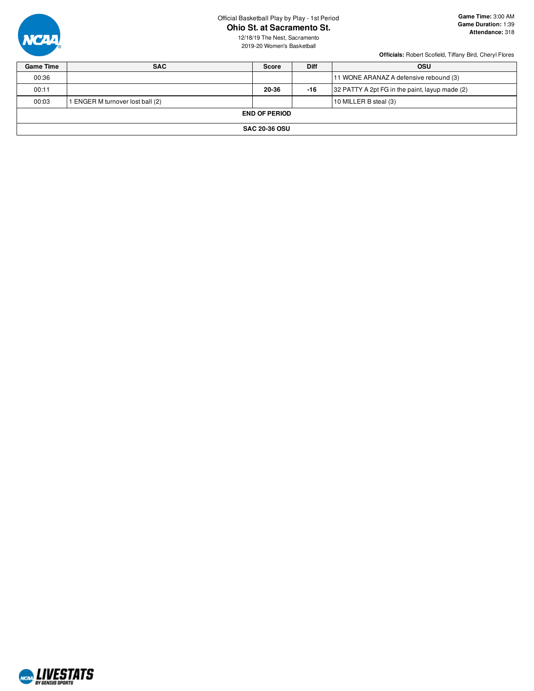

# Official Basketball Play by Play - 1st Period

**Ohio St. at Sacramento St.**

12/18/19 The Nest, Sacramento 2019-20 Women's Basketball

**Officials:** Robert Scofield, Tiffany Bird, Cheryl Flores

| <b>Game Time</b> | <b>SAC</b>                     | Score                | <b>Diff</b> | <b>OSU</b>                                     |
|------------------|--------------------------------|----------------------|-------------|------------------------------------------------|
| 00:36            |                                |                      |             | 11 WONE ARANAZ A defensive rebound (3)         |
| 00:11            |                                | 20-36                | -16         | 32 PATTY A 2pt FG in the paint, layup made (2) |
| 00:03            | ENGER M turnover lost ball (2) |                      |             | 10 MILLER B steal (3)                          |
|                  |                                | <b>END OF PERIOD</b> |             |                                                |
|                  |                                | <b>SAC 20-36 OSU</b> |             |                                                |

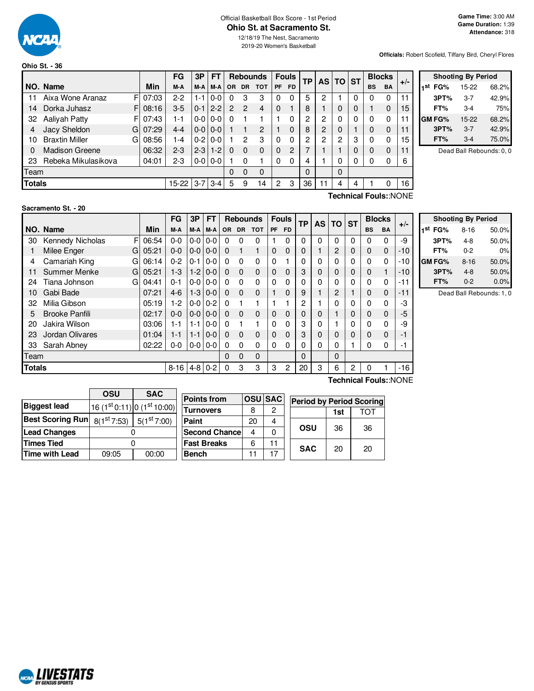

#### Official Basketball Box Score - 1st Period **Ohio St. at Sacramento St.**

**Officials:** Robert Scofield, Tiffany Bird, Cheryl Flores

|               |                            |          | FG        | 3P      | FT      |           |               | <b>Rebounds</b> |                | <b>Fouls</b> | <b>TP</b> |           | <b>TO ST</b> |   |           | <b>Blocks</b>         |       |           |
|---------------|----------------------------|----------|-----------|---------|---------|-----------|---------------|-----------------|----------------|--------------|-----------|-----------|--------------|---|-----------|-----------------------|-------|-----------|
|               | NO. Name                   | Min      | M-A       | M-A     | M-A     | <b>OR</b> | <b>DR</b>     | <b>TOT</b>      | PF             | <b>FD</b>    |           | <b>AS</b> |              |   | <b>BS</b> | <b>BA</b>             | $+/-$ | ⊣st       |
| 11            | Aixa Wone Aranaz           | FI 07:03 | $2-2$     | 1-1     | $0 - 0$ | 0         | 3             | 3               | 0              | $\Omega$     | 5         | 2         |              | 0 | 0         | 0                     | 11    |           |
| 14            | Dorka Juhasz               | F108:16  | $3-5$     | $0 - 1$ | $2 - 2$ | 2         | $\mathcal{P}$ | $\overline{4}$  | $\Omega$       |              | 8         |           | $\Omega$     | 0 |           | 0                     | 15    |           |
| 32            | Aaliyah Patty              | FI 07:43 | 1-1       | $0-0$   | $0-0$   | 0         |               |                 |                | 0            | 2         | 2         | 0            | 0 | 0         | 0                     | 11    | <b>GM</b> |
|               | Jacy Sheldon<br>GI         | 07:29    | $4 - 4$   | $0 - 0$ | $0 - 0$ |           |               | 2               |                | $\Omega$     | 8         | 2         | 0            |   | 0         | 0                     | 11    |           |
| 10            | <b>Braxtin Miller</b><br>G | 08:56    | 1-4       | $0 - 2$ | $0-0$   |           | 2             | 3               | 0              | $\Omega$     | 2         | 2         | 2            | 3 | 0         | 0                     | 15    |           |
| 0             | <b>Madison Greene</b>      | 06:32    | $2 - 3$   | $2 - 3$ | $1 - 2$ | $\Omega$  | $\Omega$      | $\Omega$        | $\Omega$       | 2            |           |           |              | 0 | 0         | 0                     | 11    |           |
| 23            | Rebeka Mikulasikova        | 04:01    | $2 - 3$   | $0-0$   | $0-0$   |           | 0             |                 | 0              | $\Omega$     | 4         |           | 0            | 0 | 0         | 0                     | 6     |           |
| Team          |                            |          |           |         |         | 0         | 0             | $\Omega$        |                |              | 0         |           | 0            |   |           |                       |       |           |
| <b>Totals</b> |                            |          | $15 - 22$ | $3 - 7$ | $3 - 4$ | 5         | 9             | 14              | $\overline{2}$ | 3            | 36        | 11        | 4            | 4 |           | 0                     | 16    |           |
|               |                            |          |           |         |         |           |               |                 |                |              |           |           |              |   |           | Technical Fouls::NONE |       |           |

|                     | <b>Shooting By Period</b> |       |  |  |  |  |  |  |  |  |  |  |  |  |
|---------------------|---------------------------|-------|--|--|--|--|--|--|--|--|--|--|--|--|
| 1 <sup>st</sup> FG% | 15-22                     | 68.2% |  |  |  |  |  |  |  |  |  |  |  |  |
| 3PT%                | $3 - 7$                   | 42.9% |  |  |  |  |  |  |  |  |  |  |  |  |
| FT%                 | 3-4                       | 75%   |  |  |  |  |  |  |  |  |  |  |  |  |
| <b>GM FG%</b>       | $15 - 22$                 | 68.2% |  |  |  |  |  |  |  |  |  |  |  |  |
| 3PT%                | $3 - 7$                   | 42.9% |  |  |  |  |  |  |  |  |  |  |  |  |
| FT%                 | $3-4$                     | 75.0% |  |  |  |  |  |  |  |  |  |  |  |  |

Dead Ball Rebounds: 0, 0

#### **Sacramento St. - 20**

|        |                       |       | FG                 | 3P            | FТ              |           |           | <b>Rebounds</b> |           | <b>Fouls</b> | <b>TP</b> | <b>AS</b> | ΤO          | <b>ST</b> | <b>Blocks</b> |           |                       |
|--------|-----------------------|-------|--------------------|---------------|-----------------|-----------|-----------|-----------------|-----------|--------------|-----------|-----------|-------------|-----------|---------------|-----------|-----------------------|
|        | NO. Name              | Min   | M-A                | M-A           | M-A             | <b>OR</b> | <b>DR</b> | <b>TOT</b>      | <b>PF</b> | <b>FD</b>    |           |           |             |           | <b>BS</b>     | <b>BA</b> | $+/-$                 |
| 30     | F<br>Kennedy Nicholas | 06:54 | $0 - 0$            | $0 - 0 0 - 0$ |                 | 0         | 0         | $\Omega$        |           | 0            | 0         | 0         | $\Omega$    | 0         | 0             | 0         | -9                    |
|        | Milee Enger<br>G      | 05:21 | $0 - 0$            |               | $0 - 010 - 0$   | 0         |           |                 | 0         | 0            | 0         |           | 2           | 0         | $\mathbf 0$   | 0         | -10                   |
| 4      | Camariah King<br>GI   | 06:14 | $0 - 2$            | $0 - 1$       | $0 - 0$         | 0         | 0         | $\Omega$        | 0         |              | 0         | 0         | 0           | 0         | $\Omega$      | 0         | -10                   |
| 11     | Summer Menke<br>G     | 05:21 | $1-3$              | $1-2$         | $0 - 0$         | $\Omega$  | $\Omega$  | $\Omega$        | 0         | $\Omega$     | 3         | 0         | 0           | 0         | 0             |           | -10                   |
| 24     | Tiana Johnson<br>GI   | 04:41 | $0 - 1$            |               | $0 - 0 1 0 - 0$ | 0         | 0         | $\Omega$        | 0         | 0            | 0         | 0         | 0           | 0         | $\Omega$      | 0         | -11                   |
| 10     | Gabi Bade             | 07:21 | $4-6$              |               | $1-3$   0-0     | $\Omega$  | 0         | 0               |           | 0            | 9         |           | 2           |           | 0             | 0         | $-11$                 |
| 32     | Milia Gibson          | 05:19 | $1-2$              | $0 - 0 0 - 2$ |                 | $\Omega$  |           |                 |           |              | 2         |           | 0           | 0         | 0             | 0         | -3                    |
| 5      | <b>Brooke Panfili</b> | 02:17 | $0 - 0$            | $0-0$         | $0 - 0$         | $\Omega$  | $\Omega$  | $\Omega$        | 0         | 0            | 0         | 0         |             | 0         | 0             | 0         | -5                    |
| 20     | Jakira Wilson         | 03:06 | 1-1                | $1 - 1$       | $0 - 0$         | 0         |           |                 | 0         | 0            | 3         | 0         |             | ი         | 0             | 0         | -9                    |
| 23     | Jordan Olivares       | 01:04 | 1-1                | $1 - 1$       | $0 - 0$         | $\Omega$  | $\Omega$  | $\Omega$        | 0         | $\Omega$     | 3         | 0         | 0           | 0         | 0             | 0         | -1                    |
| 33     | Sarah Abney           | 02:22 | 0-0                | $0-0$         | $0 - 0$         | 0         | 0         | 0               | 0         | 0            | 0         | 0         | $\Omega$    |           | 0             | 0         | -1                    |
| Team   |                       |       |                    |               |                 | 0         | 0         | $\mathbf{0}$    |           |              | 0         |           | $\mathbf 0$ |           |               |           |                       |
| Totals |                       |       | $8-16$   4-8   0-2 |               |                 | 0         | 3         | 3               | 3         | 2            | 20        | 3         | 6           | 2         | 0             |           | $-16$                 |
|        |                       |       |                    |               |                 |           |           |                 |           |              |           |           |             |           |               |           | Technical Fouls::NONE |

| <b>Shooting By Period</b> |          |       |  |  |  |  |  |  |  |  |
|---------------------------|----------|-------|--|--|--|--|--|--|--|--|
| 1 <sup>st</sup> FG%       | $8 - 16$ | 50.0% |  |  |  |  |  |  |  |  |
| 3PT%                      | 4-8      | 50.0% |  |  |  |  |  |  |  |  |
| FT%                       | $0 - 2$  | 0%    |  |  |  |  |  |  |  |  |
| GM FG%                    | $8 - 16$ | 50.0% |  |  |  |  |  |  |  |  |
| 3PT%                      | 4-8      | 50.0% |  |  |  |  |  |  |  |  |
| FT%                       | $0 - 2$  | 0.0%  |  |  |  |  |  |  |  |  |

Dead Ball Rebounds: 1, 0

|                                                      | OSU   | <b>SAC</b>                  |                      |    |               |                                 |     |     |
|------------------------------------------------------|-------|-----------------------------|----------------------|----|---------------|---------------------------------|-----|-----|
|                                                      |       |                             | <b>Points from</b>   |    | <b>OSUSAC</b> | <b>Period by Period Scoring</b> |     |     |
| <b>Biggest lead</b>                                  |       | $16(1st 0.11) 0(1st 10.00)$ | <b>Turnovers</b>     | 8  | 2             |                                 | 1st | TOT |
| Best Scoring Run $\mid$ $_{8(1}$ <sup>st</sup> 7:53) |       | 5(1 <sup>st</sup> 7:00)     | Paint                | 20 | 4             |                                 |     |     |
| <b>Lead Changes</b>                                  |       |                             | <b>Second Chance</b> | Δ  |               | <b>OSU</b>                      | 36  | 36  |
| <b>Times Tied</b>                                    |       |                             | <b>Fast Breaks</b>   | 6  | 11            | <b>SAC</b>                      | 20  | 20  |
| Time with Lead                                       | 09:05 | 00:00                       | <b>Bench</b>         |    | 17            |                                 |     |     |

**NORD LIVESTATS**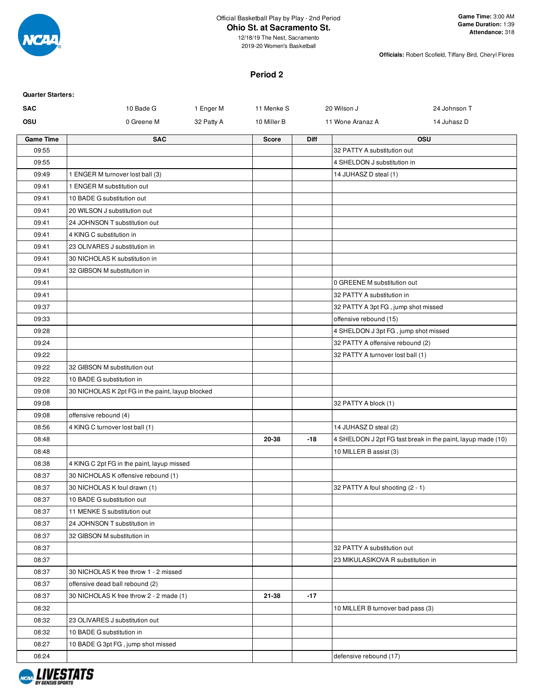

**Game Time:** 3:00 AM **Game Duration:** 1:39 **Attendance:** 318

12/18/19 The Nest, Sacramento 2019-20 Women's Basketball

**Officials:** Robert Scofield, Tiffany Bird, Cheryl Flores

### **Period 2**

| <b>Quarter Starters:</b> |                                                  |            |              |             |                                      |                                                             |
|--------------------------|--------------------------------------------------|------------|--------------|-------------|--------------------------------------|-------------------------------------------------------------|
| <b>SAC</b>               | 10 Bade G                                        | 1 Enger M  | 11 Menke S   |             | 20 Wilson J                          | 24 Johnson T                                                |
| OSU                      | 0 Greene M                                       | 32 Patty A | 10 Miller B  |             | 11 Wone Aranaz A                     | 14 Juhasz D                                                 |
| <b>Game Time</b>         | <b>SAC</b>                                       |            | <b>Score</b> | <b>Diff</b> |                                      | OSU                                                         |
| 09:55                    |                                                  |            |              |             | 32 PATTY A substitution out          |                                                             |
| 09:55                    |                                                  |            |              |             | 4 SHELDON J substitution in          |                                                             |
| 09:49                    | 1 ENGER M turnover lost ball (3)                 |            |              |             | 14 JUHASZ D steal (1)                |                                                             |
| 09:41                    | 1 ENGER M substitution out                       |            |              |             |                                      |                                                             |
| 09:41                    | 10 BADE G substitution out                       |            |              |             |                                      |                                                             |
| 09:41                    | 20 WILSON J substitution out                     |            |              |             |                                      |                                                             |
| 09:41                    | 24 JOHNSON T substitution out                    |            |              |             |                                      |                                                             |
| 09:41                    | 4 KING C substitution in                         |            |              |             |                                      |                                                             |
| 09:41                    | 23 OLIVARES J substitution in                    |            |              |             |                                      |                                                             |
| 09:41                    | 30 NICHOLAS K substitution in                    |            |              |             |                                      |                                                             |
| 09:41                    | 32 GIBSON M substitution in                      |            |              |             |                                      |                                                             |
| 09:41                    |                                                  |            |              |             | 0 GREENE M substitution out          |                                                             |
| 09:41                    |                                                  |            |              |             | 32 PATTY A substitution in           |                                                             |
| 09:37                    |                                                  |            |              |             | 32 PATTY A 3pt FG, jump shot missed  |                                                             |
| 09:33                    |                                                  |            |              |             | offensive rebound (15)               |                                                             |
| 09:28                    |                                                  |            |              |             | 4 SHELDON J 3pt FG, jump shot missed |                                                             |
| 09:24                    |                                                  |            |              |             | 32 PATTY A offensive rebound (2)     |                                                             |
| 09:22                    |                                                  |            |              |             | 32 PATTY A turnover lost ball (1)    |                                                             |
| 09:22                    | 32 GIBSON M substitution out                     |            |              |             |                                      |                                                             |
| 09:22                    | 10 BADE G substitution in                        |            |              |             |                                      |                                                             |
| 09:08                    | 30 NICHOLAS K 2pt FG in the paint, layup blocked |            |              |             |                                      |                                                             |
| 09:08                    |                                                  |            |              |             | 32 PATTY A block (1)                 |                                                             |
| 09:08                    | offensive rebound (4)                            |            |              |             |                                      |                                                             |
| 08:56                    | 4 KING C turnover lost ball (1)                  |            |              |             | 14 JUHASZ D steal (2)                |                                                             |
| 08:48                    |                                                  |            | 20-38        | $-18$       |                                      | 4 SHELDON J 2pt FG fast break in the paint, layup made (10) |
| 08:48                    |                                                  |            |              |             | 10 MILLER B assist (3)               |                                                             |
| 08:38                    | 4 KING C 2pt FG in the paint, layup missed       |            |              |             |                                      |                                                             |
| 08:37                    | 30 NICHOLAS K offensive rebound (1)              |            |              |             |                                      |                                                             |
| 08:37                    | 30 NICHOLAS K foul drawn (1)                     |            |              |             | 32 PATTY A foul shooting (2 - 1)     |                                                             |
| 08:37                    | 10 BADE G substitution out                       |            |              |             |                                      |                                                             |
| 08:37                    | 11 MENKE S substitution out                      |            |              |             |                                      |                                                             |
| 08:37                    | 24 JOHNSON T substitution in                     |            |              |             |                                      |                                                             |
| 08:37                    | 32 GIBSON M substitution in                      |            |              |             |                                      |                                                             |
| 08:37                    |                                                  |            |              |             | 32 PATTY A substitution out          |                                                             |
| 08:37                    |                                                  |            |              |             | 23 MIKULASIKOVA R substitution in    |                                                             |
| 08:37                    | 30 NICHOLAS K free throw 1 - 2 missed            |            |              |             |                                      |                                                             |
| 08:37                    | offensive dead ball rebound (2)                  |            |              |             |                                      |                                                             |
| 08:37                    | 30 NICHOLAS K free throw 2 - 2 made (1)          |            | 21-38        | $-17$       |                                      |                                                             |
| 08:32                    |                                                  |            |              |             | 10 MILLER B turnover bad pass (3)    |                                                             |
| 08:32                    | 23 OLIVARES J substitution out                   |            |              |             |                                      |                                                             |
| 08:32                    | 10 BADE G substitution in                        |            |              |             |                                      |                                                             |
| 08:27                    | 10 BADE G 3pt FG, jump shot missed               |            |              |             |                                      |                                                             |
| 08:24                    |                                                  |            |              |             | defensive rebound (17)               |                                                             |

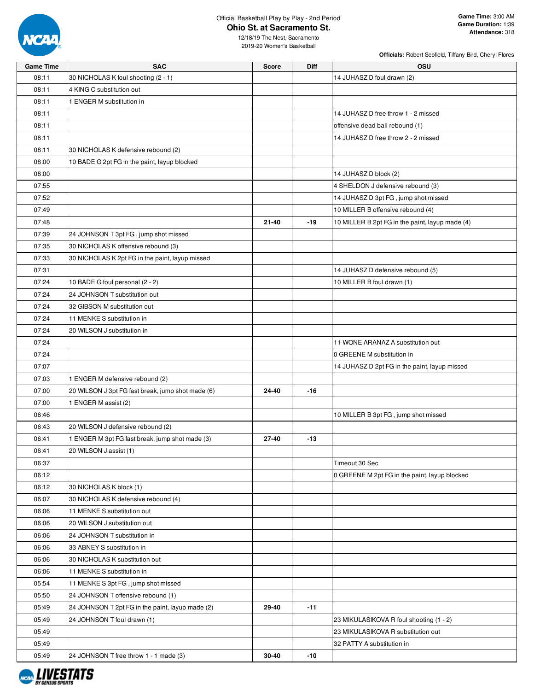

**Officials:** Robert Scofield, Tiffany Bird, Cheryl Flores

| <b>Game Time</b> | <b>SAC</b>                                                        | <b>Score</b> | Diff  | <b>OSU</b>                                      |
|------------------|-------------------------------------------------------------------|--------------|-------|-------------------------------------------------|
| 08:11            | 30 NICHOLAS K foul shooting (2 - 1)                               |              |       | 14 JUHASZ D foul drawn (2)                      |
| 08:11            | 4 KING C substitution out                                         |              |       |                                                 |
| 08:11            | 1 ENGER M substitution in                                         |              |       |                                                 |
| 08:11            |                                                                   |              |       | 14 JUHASZ D free throw 1 - 2 missed             |
| 08:11            |                                                                   |              |       | offensive dead ball rebound (1)                 |
| 08:11            |                                                                   |              |       | 14 JUHASZ D free throw 2 - 2 missed             |
| 08:11            | 30 NICHOLAS K defensive rebound (2)                               |              |       |                                                 |
| 08:00            | 10 BADE G 2pt FG in the paint, layup blocked                      |              |       |                                                 |
| 08:00            |                                                                   |              |       | 14 JUHASZ D block (2)                           |
| 07:55            |                                                                   |              |       | 4 SHELDON J defensive rebound (3)               |
| 07:52            |                                                                   |              |       | 14 JUHASZ D 3pt FG, jump shot missed            |
| 07:49            |                                                                   |              |       | 10 MILLER B offensive rebound (4)               |
| 07:48            |                                                                   | 21-40        | $-19$ | 10 MILLER B 2pt FG in the paint, layup made (4) |
| 07:39            | 24 JOHNSON T 3pt FG, jump shot missed                             |              |       |                                                 |
| 07:35            | 30 NICHOLAS K offensive rebound (3)                               |              |       |                                                 |
| 07:33            | 30 NICHOLAS K 2pt FG in the paint, layup missed                   |              |       |                                                 |
| 07:31            |                                                                   |              |       | 14 JUHASZ D defensive rebound (5)               |
| 07:24            | 10 BADE G foul personal (2 - 2)                                   |              |       | 10 MILLER B foul drawn (1)                      |
| 07:24            | 24 JOHNSON T substitution out                                     |              |       |                                                 |
| 07:24            | 32 GIBSON M substitution out                                      |              |       |                                                 |
| 07:24            | 11 MENKE S substitution in                                        |              |       |                                                 |
| 07:24            | 20 WILSON J substitution in                                       |              |       |                                                 |
| 07:24            |                                                                   |              |       | 11 WONE ARANAZ A substitution out               |
| 07:24            |                                                                   |              |       | 0 GREENE M substitution in                      |
| 07:07            |                                                                   |              |       | 14 JUHASZ D 2pt FG in the paint, layup missed   |
| 07:03            | 1 ENGER M defensive rebound (2)                                   |              |       |                                                 |
| 07:00            | 20 WILSON J 3pt FG fast break, jump shot made (6)                 | 24-40        | $-16$ |                                                 |
| 07:00            | 1 ENGER M assist (2)                                              |              |       |                                                 |
| 06:46            |                                                                   |              |       | 10 MILLER B 3pt FG, jump shot missed            |
| 06:43            | 20 WILSON J defensive rebound (2)                                 |              |       |                                                 |
| 06:41            | 1 ENGER M 3pt FG fast break, jump shot made (3)                   | 27-40        | $-13$ |                                                 |
| 06:41            | 20 WILSON J assist (1)                                            |              |       |                                                 |
| 06:37            |                                                                   |              |       | Timeout 30 Sec                                  |
| 06:12            |                                                                   |              |       | 0 GREENE M 2pt FG in the paint, layup blocked   |
| 06:12            | 30 NICHOLAS K block (1)                                           |              |       |                                                 |
| 06:07            | 30 NICHOLAS K defensive rebound (4)                               |              |       |                                                 |
| 06:06            | 11 MENKE S substitution out                                       |              |       |                                                 |
| 06:06            | 20 WILSON J substitution out                                      |              |       |                                                 |
| 06:06            | 24 JOHNSON T substitution in                                      |              |       |                                                 |
| 06:06            | 33 ABNEY S substitution in                                        |              |       |                                                 |
| 06:06            | 30 NICHOLAS K substitution out                                    |              |       |                                                 |
|                  |                                                                   |              |       |                                                 |
| 06:06<br>05:54   | 11 MENKE S substitution in<br>11 MENKE S 3pt FG, jump shot missed |              |       |                                                 |
|                  |                                                                   |              |       |                                                 |
| 05:50            | 24 JOHNSON T offensive rebound (1)                                |              |       |                                                 |
| 05:49            | 24 JOHNSON T 2pt FG in the paint, layup made (2)                  | 29-40        | $-11$ |                                                 |
| 05:49            | 24 JOHNSON T foul drawn (1)                                       |              |       | 23 MIKULASIKOVA R foul shooting (1 - 2)         |
| 05:49            |                                                                   |              |       | 23 MIKULASIKOVA R substitution out              |
| 05:49            |                                                                   |              |       | 32 PATTY A substitution in                      |
| 05:49            | 24 JOHNSON T free throw 1 - 1 made (3)                            | 30-40        | $-10$ |                                                 |

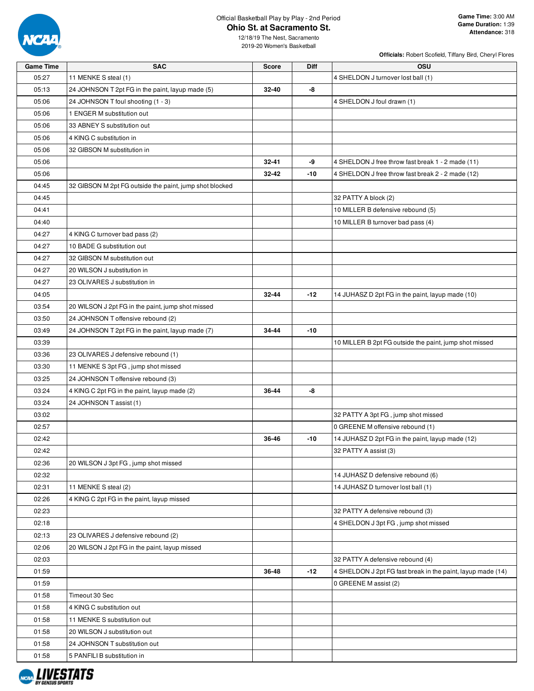

**Officials:** Robert Scofield, Tiffany Bird, Cheryl Flores

| 05:27<br>11 MENKE S steal (1)<br>4 SHELDON J turnover lost ball (1)<br>-8<br>05:13<br>24 JOHNSON T 2pt FG in the paint, layup made (5)<br>32-40<br>05:06<br>24 JOHNSON T foul shooting (1 - 3)<br>4 SHELDON J foul drawn (1)<br>05:06<br>1 ENGER M substitution out<br>05:06<br>33 ABNEY S substitution out<br>05:06<br>4 KING C substitution in<br>05:06<br>32 GIBSON M substitution in<br>-9<br>05:06<br>$32 - 41$<br>4 SHELDON J free throw fast break 1 - 2 made (11)<br>05:06<br>32-42<br>$-10$<br>4 SHELDON J free throw fast break 2 - 2 made (12)<br>04:45<br>32 GIBSON M 2pt FG outside the paint, jump shot blocked<br>04:45<br>32 PATTY A block (2)<br>10 MILLER B defensive rebound (5)<br>04:41<br>04:40<br>10 MILLER B turnover bad pass (4)<br>04:27<br>4 KING C turnover bad pass (2)<br>04:27<br>10 BADE G substitution out<br>04:27<br>32 GIBSON M substitution out<br>04:27<br>20 WILSON J substitution in<br>04:27<br>23 OLIVARES J substitution in<br>04:05<br>32-44<br>-12<br>14 JUHASZ D 2pt FG in the paint, layup made (10)<br>20 WILSON J 2pt FG in the paint, jump shot missed<br>03:54<br>03:50<br>24 JOHNSON T offensive rebound (2)<br>24 JOHNSON T 2pt FG in the paint, layup made (7)<br>34-44<br>$-10$<br>03:49<br>03:39<br>10 MILLER B 2pt FG outside the paint, jump shot missed<br>03:36<br>23 OLIVARES J defensive rebound (1)<br>03:30<br>11 MENKE S 3pt FG, jump shot missed<br>24 JOHNSON T offensive rebound (3)<br>03:25<br>-8<br>03:24<br>4 KING C 2pt FG in the paint, layup made (2)<br>36-44<br>03:24<br>24 JOHNSON T assist (1)<br>03:02<br>32 PATTY A 3pt FG, jump shot missed<br>02:57<br>0 GREENE M offensive rebound (1)<br>02:42<br>36-46<br>$-10$<br>14 JUHASZ D 2pt FG in the paint, layup made (12)<br>02:42<br>32 PATTY A assist (3)<br>02:36<br>20 WILSON J 3pt FG, jump shot missed<br>02:32<br>14 JUHASZ D defensive rebound (6)<br>11 MENKE S steal (2)<br>02:31<br>14 JUHASZ D turnover lost ball (1)<br>02:26<br>4 KING C 2pt FG in the paint, layup missed<br>32 PATTY A defensive rebound (3)<br>02:23<br>02:18<br>4 SHELDON J 3pt FG, jump shot missed<br>02:13<br>23 OLIVARES J defensive rebound (2)<br>02:06<br>20 WILSON J 2pt FG in the paint, layup missed<br>02:03<br>32 PATTY A defensive rebound (4)<br>-12<br>4 SHELDON J 2pt FG fast break in the paint, layup made (14)<br>01:59<br>36-48 | <b>Game Time</b> | <b>SAC</b> | <b>Score</b> | Diff | OSU                   |
|------------------------------------------------------------------------------------------------------------------------------------------------------------------------------------------------------------------------------------------------------------------------------------------------------------------------------------------------------------------------------------------------------------------------------------------------------------------------------------------------------------------------------------------------------------------------------------------------------------------------------------------------------------------------------------------------------------------------------------------------------------------------------------------------------------------------------------------------------------------------------------------------------------------------------------------------------------------------------------------------------------------------------------------------------------------------------------------------------------------------------------------------------------------------------------------------------------------------------------------------------------------------------------------------------------------------------------------------------------------------------------------------------------------------------------------------------------------------------------------------------------------------------------------------------------------------------------------------------------------------------------------------------------------------------------------------------------------------------------------------------------------------------------------------------------------------------------------------------------------------------------------------------------------------------------------------------------------------------------------------------------------------------------------------------------------------------------------------------------------------------------------------------------------------------------------------------------------------------------------------------------------------------------------------------------------------------------------------------------------------|------------------|------------|--------------|------|-----------------------|
|                                                                                                                                                                                                                                                                                                                                                                                                                                                                                                                                                                                                                                                                                                                                                                                                                                                                                                                                                                                                                                                                                                                                                                                                                                                                                                                                                                                                                                                                                                                                                                                                                                                                                                                                                                                                                                                                                                                                                                                                                                                                                                                                                                                                                                                                                                                                                                        |                  |            |              |      |                       |
|                                                                                                                                                                                                                                                                                                                                                                                                                                                                                                                                                                                                                                                                                                                                                                                                                                                                                                                                                                                                                                                                                                                                                                                                                                                                                                                                                                                                                                                                                                                                                                                                                                                                                                                                                                                                                                                                                                                                                                                                                                                                                                                                                                                                                                                                                                                                                                        |                  |            |              |      |                       |
|                                                                                                                                                                                                                                                                                                                                                                                                                                                                                                                                                                                                                                                                                                                                                                                                                                                                                                                                                                                                                                                                                                                                                                                                                                                                                                                                                                                                                                                                                                                                                                                                                                                                                                                                                                                                                                                                                                                                                                                                                                                                                                                                                                                                                                                                                                                                                                        |                  |            |              |      |                       |
|                                                                                                                                                                                                                                                                                                                                                                                                                                                                                                                                                                                                                                                                                                                                                                                                                                                                                                                                                                                                                                                                                                                                                                                                                                                                                                                                                                                                                                                                                                                                                                                                                                                                                                                                                                                                                                                                                                                                                                                                                                                                                                                                                                                                                                                                                                                                                                        |                  |            |              |      |                       |
|                                                                                                                                                                                                                                                                                                                                                                                                                                                                                                                                                                                                                                                                                                                                                                                                                                                                                                                                                                                                                                                                                                                                                                                                                                                                                                                                                                                                                                                                                                                                                                                                                                                                                                                                                                                                                                                                                                                                                                                                                                                                                                                                                                                                                                                                                                                                                                        |                  |            |              |      |                       |
|                                                                                                                                                                                                                                                                                                                                                                                                                                                                                                                                                                                                                                                                                                                                                                                                                                                                                                                                                                                                                                                                                                                                                                                                                                                                                                                                                                                                                                                                                                                                                                                                                                                                                                                                                                                                                                                                                                                                                                                                                                                                                                                                                                                                                                                                                                                                                                        |                  |            |              |      |                       |
|                                                                                                                                                                                                                                                                                                                                                                                                                                                                                                                                                                                                                                                                                                                                                                                                                                                                                                                                                                                                                                                                                                                                                                                                                                                                                                                                                                                                                                                                                                                                                                                                                                                                                                                                                                                                                                                                                                                                                                                                                                                                                                                                                                                                                                                                                                                                                                        |                  |            |              |      |                       |
|                                                                                                                                                                                                                                                                                                                                                                                                                                                                                                                                                                                                                                                                                                                                                                                                                                                                                                                                                                                                                                                                                                                                                                                                                                                                                                                                                                                                                                                                                                                                                                                                                                                                                                                                                                                                                                                                                                                                                                                                                                                                                                                                                                                                                                                                                                                                                                        |                  |            |              |      |                       |
|                                                                                                                                                                                                                                                                                                                                                                                                                                                                                                                                                                                                                                                                                                                                                                                                                                                                                                                                                                                                                                                                                                                                                                                                                                                                                                                                                                                                                                                                                                                                                                                                                                                                                                                                                                                                                                                                                                                                                                                                                                                                                                                                                                                                                                                                                                                                                                        |                  |            |              |      |                       |
|                                                                                                                                                                                                                                                                                                                                                                                                                                                                                                                                                                                                                                                                                                                                                                                                                                                                                                                                                                                                                                                                                                                                                                                                                                                                                                                                                                                                                                                                                                                                                                                                                                                                                                                                                                                                                                                                                                                                                                                                                                                                                                                                                                                                                                                                                                                                                                        |                  |            |              |      |                       |
|                                                                                                                                                                                                                                                                                                                                                                                                                                                                                                                                                                                                                                                                                                                                                                                                                                                                                                                                                                                                                                                                                                                                                                                                                                                                                                                                                                                                                                                                                                                                                                                                                                                                                                                                                                                                                                                                                                                                                                                                                                                                                                                                                                                                                                                                                                                                                                        |                  |            |              |      |                       |
|                                                                                                                                                                                                                                                                                                                                                                                                                                                                                                                                                                                                                                                                                                                                                                                                                                                                                                                                                                                                                                                                                                                                                                                                                                                                                                                                                                                                                                                                                                                                                                                                                                                                                                                                                                                                                                                                                                                                                                                                                                                                                                                                                                                                                                                                                                                                                                        |                  |            |              |      |                       |
|                                                                                                                                                                                                                                                                                                                                                                                                                                                                                                                                                                                                                                                                                                                                                                                                                                                                                                                                                                                                                                                                                                                                                                                                                                                                                                                                                                                                                                                                                                                                                                                                                                                                                                                                                                                                                                                                                                                                                                                                                                                                                                                                                                                                                                                                                                                                                                        |                  |            |              |      |                       |
|                                                                                                                                                                                                                                                                                                                                                                                                                                                                                                                                                                                                                                                                                                                                                                                                                                                                                                                                                                                                                                                                                                                                                                                                                                                                                                                                                                                                                                                                                                                                                                                                                                                                                                                                                                                                                                                                                                                                                                                                                                                                                                                                                                                                                                                                                                                                                                        |                  |            |              |      |                       |
|                                                                                                                                                                                                                                                                                                                                                                                                                                                                                                                                                                                                                                                                                                                                                                                                                                                                                                                                                                                                                                                                                                                                                                                                                                                                                                                                                                                                                                                                                                                                                                                                                                                                                                                                                                                                                                                                                                                                                                                                                                                                                                                                                                                                                                                                                                                                                                        |                  |            |              |      |                       |
|                                                                                                                                                                                                                                                                                                                                                                                                                                                                                                                                                                                                                                                                                                                                                                                                                                                                                                                                                                                                                                                                                                                                                                                                                                                                                                                                                                                                                                                                                                                                                                                                                                                                                                                                                                                                                                                                                                                                                                                                                                                                                                                                                                                                                                                                                                                                                                        |                  |            |              |      |                       |
|                                                                                                                                                                                                                                                                                                                                                                                                                                                                                                                                                                                                                                                                                                                                                                                                                                                                                                                                                                                                                                                                                                                                                                                                                                                                                                                                                                                                                                                                                                                                                                                                                                                                                                                                                                                                                                                                                                                                                                                                                                                                                                                                                                                                                                                                                                                                                                        |                  |            |              |      |                       |
|                                                                                                                                                                                                                                                                                                                                                                                                                                                                                                                                                                                                                                                                                                                                                                                                                                                                                                                                                                                                                                                                                                                                                                                                                                                                                                                                                                                                                                                                                                                                                                                                                                                                                                                                                                                                                                                                                                                                                                                                                                                                                                                                                                                                                                                                                                                                                                        |                  |            |              |      |                       |
|                                                                                                                                                                                                                                                                                                                                                                                                                                                                                                                                                                                                                                                                                                                                                                                                                                                                                                                                                                                                                                                                                                                                                                                                                                                                                                                                                                                                                                                                                                                                                                                                                                                                                                                                                                                                                                                                                                                                                                                                                                                                                                                                                                                                                                                                                                                                                                        |                  |            |              |      |                       |
|                                                                                                                                                                                                                                                                                                                                                                                                                                                                                                                                                                                                                                                                                                                                                                                                                                                                                                                                                                                                                                                                                                                                                                                                                                                                                                                                                                                                                                                                                                                                                                                                                                                                                                                                                                                                                                                                                                                                                                                                                                                                                                                                                                                                                                                                                                                                                                        |                  |            |              |      |                       |
|                                                                                                                                                                                                                                                                                                                                                                                                                                                                                                                                                                                                                                                                                                                                                                                                                                                                                                                                                                                                                                                                                                                                                                                                                                                                                                                                                                                                                                                                                                                                                                                                                                                                                                                                                                                                                                                                                                                                                                                                                                                                                                                                                                                                                                                                                                                                                                        |                  |            |              |      |                       |
|                                                                                                                                                                                                                                                                                                                                                                                                                                                                                                                                                                                                                                                                                                                                                                                                                                                                                                                                                                                                                                                                                                                                                                                                                                                                                                                                                                                                                                                                                                                                                                                                                                                                                                                                                                                                                                                                                                                                                                                                                                                                                                                                                                                                                                                                                                                                                                        |                  |            |              |      |                       |
|                                                                                                                                                                                                                                                                                                                                                                                                                                                                                                                                                                                                                                                                                                                                                                                                                                                                                                                                                                                                                                                                                                                                                                                                                                                                                                                                                                                                                                                                                                                                                                                                                                                                                                                                                                                                                                                                                                                                                                                                                                                                                                                                                                                                                                                                                                                                                                        |                  |            |              |      |                       |
|                                                                                                                                                                                                                                                                                                                                                                                                                                                                                                                                                                                                                                                                                                                                                                                                                                                                                                                                                                                                                                                                                                                                                                                                                                                                                                                                                                                                                                                                                                                                                                                                                                                                                                                                                                                                                                                                                                                                                                                                                                                                                                                                                                                                                                                                                                                                                                        |                  |            |              |      |                       |
|                                                                                                                                                                                                                                                                                                                                                                                                                                                                                                                                                                                                                                                                                                                                                                                                                                                                                                                                                                                                                                                                                                                                                                                                                                                                                                                                                                                                                                                                                                                                                                                                                                                                                                                                                                                                                                                                                                                                                                                                                                                                                                                                                                                                                                                                                                                                                                        |                  |            |              |      |                       |
|                                                                                                                                                                                                                                                                                                                                                                                                                                                                                                                                                                                                                                                                                                                                                                                                                                                                                                                                                                                                                                                                                                                                                                                                                                                                                                                                                                                                                                                                                                                                                                                                                                                                                                                                                                                                                                                                                                                                                                                                                                                                                                                                                                                                                                                                                                                                                                        |                  |            |              |      |                       |
|                                                                                                                                                                                                                                                                                                                                                                                                                                                                                                                                                                                                                                                                                                                                                                                                                                                                                                                                                                                                                                                                                                                                                                                                                                                                                                                                                                                                                                                                                                                                                                                                                                                                                                                                                                                                                                                                                                                                                                                                                                                                                                                                                                                                                                                                                                                                                                        |                  |            |              |      |                       |
|                                                                                                                                                                                                                                                                                                                                                                                                                                                                                                                                                                                                                                                                                                                                                                                                                                                                                                                                                                                                                                                                                                                                                                                                                                                                                                                                                                                                                                                                                                                                                                                                                                                                                                                                                                                                                                                                                                                                                                                                                                                                                                                                                                                                                                                                                                                                                                        |                  |            |              |      |                       |
|                                                                                                                                                                                                                                                                                                                                                                                                                                                                                                                                                                                                                                                                                                                                                                                                                                                                                                                                                                                                                                                                                                                                                                                                                                                                                                                                                                                                                                                                                                                                                                                                                                                                                                                                                                                                                                                                                                                                                                                                                                                                                                                                                                                                                                                                                                                                                                        |                  |            |              |      |                       |
|                                                                                                                                                                                                                                                                                                                                                                                                                                                                                                                                                                                                                                                                                                                                                                                                                                                                                                                                                                                                                                                                                                                                                                                                                                                                                                                                                                                                                                                                                                                                                                                                                                                                                                                                                                                                                                                                                                                                                                                                                                                                                                                                                                                                                                                                                                                                                                        |                  |            |              |      |                       |
|                                                                                                                                                                                                                                                                                                                                                                                                                                                                                                                                                                                                                                                                                                                                                                                                                                                                                                                                                                                                                                                                                                                                                                                                                                                                                                                                                                                                                                                                                                                                                                                                                                                                                                                                                                                                                                                                                                                                                                                                                                                                                                                                                                                                                                                                                                                                                                        |                  |            |              |      |                       |
|                                                                                                                                                                                                                                                                                                                                                                                                                                                                                                                                                                                                                                                                                                                                                                                                                                                                                                                                                                                                                                                                                                                                                                                                                                                                                                                                                                                                                                                                                                                                                                                                                                                                                                                                                                                                                                                                                                                                                                                                                                                                                                                                                                                                                                                                                                                                                                        |                  |            |              |      |                       |
|                                                                                                                                                                                                                                                                                                                                                                                                                                                                                                                                                                                                                                                                                                                                                                                                                                                                                                                                                                                                                                                                                                                                                                                                                                                                                                                                                                                                                                                                                                                                                                                                                                                                                                                                                                                                                                                                                                                                                                                                                                                                                                                                                                                                                                                                                                                                                                        |                  |            |              |      |                       |
|                                                                                                                                                                                                                                                                                                                                                                                                                                                                                                                                                                                                                                                                                                                                                                                                                                                                                                                                                                                                                                                                                                                                                                                                                                                                                                                                                                                                                                                                                                                                                                                                                                                                                                                                                                                                                                                                                                                                                                                                                                                                                                                                                                                                                                                                                                                                                                        |                  |            |              |      |                       |
|                                                                                                                                                                                                                                                                                                                                                                                                                                                                                                                                                                                                                                                                                                                                                                                                                                                                                                                                                                                                                                                                                                                                                                                                                                                                                                                                                                                                                                                                                                                                                                                                                                                                                                                                                                                                                                                                                                                                                                                                                                                                                                                                                                                                                                                                                                                                                                        |                  |            |              |      |                       |
|                                                                                                                                                                                                                                                                                                                                                                                                                                                                                                                                                                                                                                                                                                                                                                                                                                                                                                                                                                                                                                                                                                                                                                                                                                                                                                                                                                                                                                                                                                                                                                                                                                                                                                                                                                                                                                                                                                                                                                                                                                                                                                                                                                                                                                                                                                                                                                        |                  |            |              |      |                       |
|                                                                                                                                                                                                                                                                                                                                                                                                                                                                                                                                                                                                                                                                                                                                                                                                                                                                                                                                                                                                                                                                                                                                                                                                                                                                                                                                                                                                                                                                                                                                                                                                                                                                                                                                                                                                                                                                                                                                                                                                                                                                                                                                                                                                                                                                                                                                                                        |                  |            |              |      |                       |
|                                                                                                                                                                                                                                                                                                                                                                                                                                                                                                                                                                                                                                                                                                                                                                                                                                                                                                                                                                                                                                                                                                                                                                                                                                                                                                                                                                                                                                                                                                                                                                                                                                                                                                                                                                                                                                                                                                                                                                                                                                                                                                                                                                                                                                                                                                                                                                        |                  |            |              |      |                       |
|                                                                                                                                                                                                                                                                                                                                                                                                                                                                                                                                                                                                                                                                                                                                                                                                                                                                                                                                                                                                                                                                                                                                                                                                                                                                                                                                                                                                                                                                                                                                                                                                                                                                                                                                                                                                                                                                                                                                                                                                                                                                                                                                                                                                                                                                                                                                                                        |                  |            |              |      |                       |
|                                                                                                                                                                                                                                                                                                                                                                                                                                                                                                                                                                                                                                                                                                                                                                                                                                                                                                                                                                                                                                                                                                                                                                                                                                                                                                                                                                                                                                                                                                                                                                                                                                                                                                                                                                                                                                                                                                                                                                                                                                                                                                                                                                                                                                                                                                                                                                        |                  |            |              |      |                       |
|                                                                                                                                                                                                                                                                                                                                                                                                                                                                                                                                                                                                                                                                                                                                                                                                                                                                                                                                                                                                                                                                                                                                                                                                                                                                                                                                                                                                                                                                                                                                                                                                                                                                                                                                                                                                                                                                                                                                                                                                                                                                                                                                                                                                                                                                                                                                                                        |                  |            |              |      |                       |
|                                                                                                                                                                                                                                                                                                                                                                                                                                                                                                                                                                                                                                                                                                                                                                                                                                                                                                                                                                                                                                                                                                                                                                                                                                                                                                                                                                                                                                                                                                                                                                                                                                                                                                                                                                                                                                                                                                                                                                                                                                                                                                                                                                                                                                                                                                                                                                        |                  |            |              |      |                       |
|                                                                                                                                                                                                                                                                                                                                                                                                                                                                                                                                                                                                                                                                                                                                                                                                                                                                                                                                                                                                                                                                                                                                                                                                                                                                                                                                                                                                                                                                                                                                                                                                                                                                                                                                                                                                                                                                                                                                                                                                                                                                                                                                                                                                                                                                                                                                                                        | 01:59            |            |              |      | 0 GREENE M assist (2) |
| 01:58<br>Timeout 30 Sec                                                                                                                                                                                                                                                                                                                                                                                                                                                                                                                                                                                                                                                                                                                                                                                                                                                                                                                                                                                                                                                                                                                                                                                                                                                                                                                                                                                                                                                                                                                                                                                                                                                                                                                                                                                                                                                                                                                                                                                                                                                                                                                                                                                                                                                                                                                                                |                  |            |              |      |                       |
| 01:58<br>4 KING C substitution out                                                                                                                                                                                                                                                                                                                                                                                                                                                                                                                                                                                                                                                                                                                                                                                                                                                                                                                                                                                                                                                                                                                                                                                                                                                                                                                                                                                                                                                                                                                                                                                                                                                                                                                                                                                                                                                                                                                                                                                                                                                                                                                                                                                                                                                                                                                                     |                  |            |              |      |                       |
| 01:58<br>11 MENKE S substitution out                                                                                                                                                                                                                                                                                                                                                                                                                                                                                                                                                                                                                                                                                                                                                                                                                                                                                                                                                                                                                                                                                                                                                                                                                                                                                                                                                                                                                                                                                                                                                                                                                                                                                                                                                                                                                                                                                                                                                                                                                                                                                                                                                                                                                                                                                                                                   |                  |            |              |      |                       |
| 01:58<br>20 WILSON J substitution out                                                                                                                                                                                                                                                                                                                                                                                                                                                                                                                                                                                                                                                                                                                                                                                                                                                                                                                                                                                                                                                                                                                                                                                                                                                                                                                                                                                                                                                                                                                                                                                                                                                                                                                                                                                                                                                                                                                                                                                                                                                                                                                                                                                                                                                                                                                                  |                  |            |              |      |                       |
| 01:58<br>24 JOHNSON T substitution out                                                                                                                                                                                                                                                                                                                                                                                                                                                                                                                                                                                                                                                                                                                                                                                                                                                                                                                                                                                                                                                                                                                                                                                                                                                                                                                                                                                                                                                                                                                                                                                                                                                                                                                                                                                                                                                                                                                                                                                                                                                                                                                                                                                                                                                                                                                                 |                  |            |              |      |                       |
| 01:58<br>5 PANFILI B substitution in                                                                                                                                                                                                                                                                                                                                                                                                                                                                                                                                                                                                                                                                                                                                                                                                                                                                                                                                                                                                                                                                                                                                                                                                                                                                                                                                                                                                                                                                                                                                                                                                                                                                                                                                                                                                                                                                                                                                                                                                                                                                                                                                                                                                                                                                                                                                   |                  |            |              |      |                       |

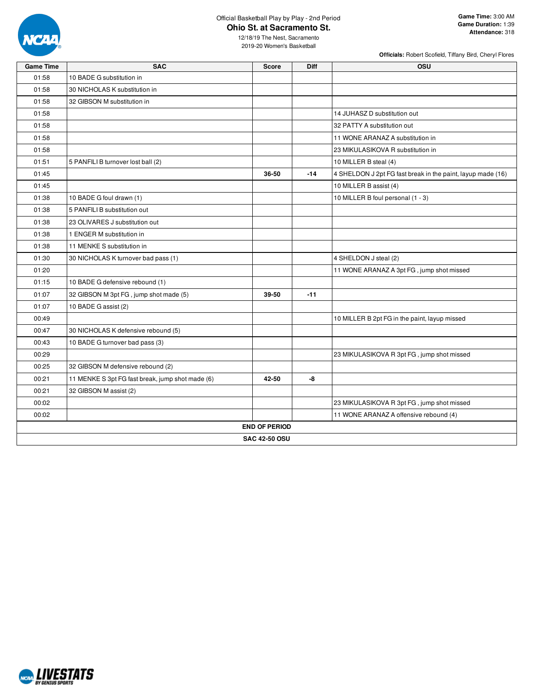

**Officials:** Robert Scofield, Tiffany Bird, Cheryl Flores

| <b>Game Time</b> | <b>SAC</b>                                       | <b>Score</b>         | <b>Diff</b> | <b>OSU</b>                                                  |
|------------------|--------------------------------------------------|----------------------|-------------|-------------------------------------------------------------|
| 01:58            | 10 BADE G substitution in                        |                      |             |                                                             |
| 01:58            | 30 NICHOLAS K substitution in                    |                      |             |                                                             |
| 01:58            | 32 GIBSON M substitution in                      |                      |             |                                                             |
| 01:58            |                                                  |                      |             | 14 JUHASZ D substitution out                                |
| 01:58            |                                                  |                      |             | 32 PATTY A substitution out                                 |
| 01:58            |                                                  |                      |             | 11 WONE ARANAZ A substitution in                            |
| 01:58            |                                                  |                      |             | 23 MIKULASIKOVA R substitution in                           |
| 01:51            | 5 PANFILI B turnover lost ball (2)               |                      |             | 10 MILLER B steal (4)                                       |
| 01:45            |                                                  | 36-50                | $-14$       | 4 SHELDON J 2pt FG fast break in the paint, layup made (16) |
| 01:45            |                                                  |                      |             | 10 MILLER B assist (4)                                      |
| 01:38            | 10 BADE G foul drawn (1)                         |                      |             | 10 MILLER B foul personal (1 - 3)                           |
| 01:38            | 5 PANFILI B substitution out                     |                      |             |                                                             |
| 01:38            | 23 OLIVARES J substitution out                   |                      |             |                                                             |
| 01:38            | 1 ENGER M substitution in                        |                      |             |                                                             |
| 01:38            | 11 MENKE S substitution in                       |                      |             |                                                             |
| 01:30            | 30 NICHOLAS K turnover bad pass (1)              |                      |             | 4 SHELDON J steal (2)                                       |
| 01:20            |                                                  |                      |             | 11 WONE ARANAZ A 3pt FG, jump shot missed                   |
| 01:15            | 10 BADE G defensive rebound (1)                  |                      |             |                                                             |
| 01:07            | 32 GIBSON M 3pt FG, jump shot made (5)           | 39-50                | $-11$       |                                                             |
| 01:07            | 10 BADE G assist (2)                             |                      |             |                                                             |
| 00:49            |                                                  |                      |             | 10 MILLER B 2pt FG in the paint, layup missed               |
| 00:47            | 30 NICHOLAS K defensive rebound (5)              |                      |             |                                                             |
| 00:43            | 10 BADE G turnover bad pass (3)                  |                      |             |                                                             |
| 00:29            |                                                  |                      |             | 23 MIKULASIKOVA R 3pt FG, jump shot missed                  |
| 00:25            | 32 GIBSON M defensive rebound (2)                |                      |             |                                                             |
| 00:21            | 11 MENKE S 3pt FG fast break, jump shot made (6) | 42-50                | -8          |                                                             |
| 00:21            | 32 GIBSON M assist (2)                           |                      |             |                                                             |
| 00:02            |                                                  |                      |             | 23 MIKULASIKOVA R 3pt FG, jump shot missed                  |
| 00:02            |                                                  |                      |             | 11 WONE ARANAZ A offensive rebound (4)                      |
|                  |                                                  | <b>END OF PERIOD</b> |             |                                                             |
|                  |                                                  | <b>SAC 42-50 OSU</b> |             |                                                             |

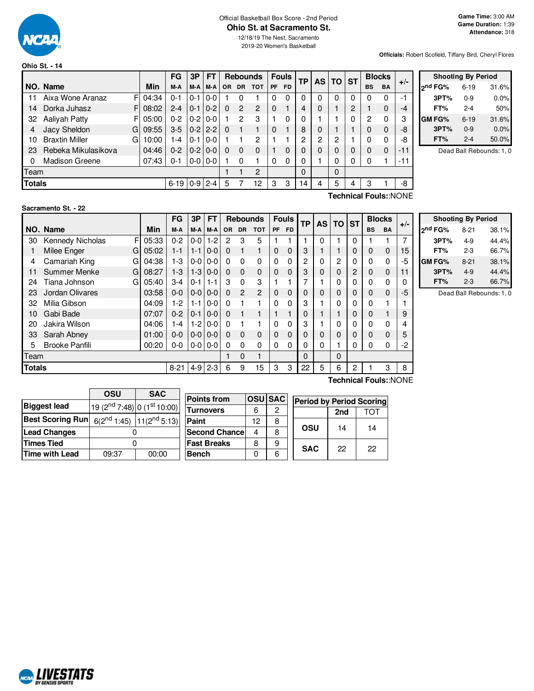

#### Official Basketball Box Score - 2nd Period **Ohio St. at Sacramento St.**

**Officials:** Robert Scofield, Tiffany Bird, Cheryl Flores

|               |                       |    |          | <b>FG</b>          | 3P      | <b>FT</b>     |           |                | <b>Rebounds</b> |           | <b>Fouls</b> | ТP | <b>AS</b> | TO       | <b>ST</b> |           | <b>Blocks</b> |       |            |
|---------------|-----------------------|----|----------|--------------------|---------|---------------|-----------|----------------|-----------------|-----------|--------------|----|-----------|----------|-----------|-----------|---------------|-------|------------|
|               | NO. Name              |    | Min      | M-A                | M-A     | $M-A$         | <b>OR</b> | <b>DR</b>      | <b>TOT</b>      | <b>PF</b> | FD.          |    |           |          |           | <b>BS</b> | <b>BA</b>     | $+/-$ | ond F      |
| 11            | Aixa Wone Aranaz      | FI | 04:34    | $0 - 1$            | 0-1     | l 0-0         |           | 0              |                 | 0         | 0            | 0  | 0         | 0        | 0         | 0         | 0             | -1    |            |
| 14            | Dorka Juhasz          |    | F108:02  | $2 - 4$            | $0 - 1$ | $ 0-2 $       | 0         | $\overline{2}$ | $\overline{2}$  | 0         |              | 4  | 0         |          | 2         |           | 0             | -4    |            |
| 32            | Aaliyah Patty         |    | FI 05:00 | $0 - 2$            | $0 - 2$ | $0-0$         |           | 2              | 3               |           | $\Omega$     |    |           |          | 0         | 2         | 0             | з     | <b>GMF</b> |
|               | Jacy Sheldon          | G  | 09:55    | $3-5$              |         | $0 - 2$   2-2 | 0         |                |                 | 0         |              | 8  | 0         |          |           | $\Omega$  | 0             | -8    |            |
| 10            | <b>Braxtin Miller</b> | G  | 10:00    | 1-4                | 0-1     | $0 - 0$       |           |                | 2               |           |              | 2  | 2         | 2        |           | $\Omega$  | $\Omega$      | -8    |            |
| 23            | Rebeka Mikulasikova   |    | 04:46    | $0 - 2$            |         | $0-2$   $0-0$ | 0         | 0              | 0               |           | $\Omega$     |    | 0         | 0        | 0         | $\Omega$  | 0             | $-11$ |            |
| 0             | <b>Madison Greene</b> |    | 07:43    | $0 - 1$            |         | $0 - 0 0 - 0$ |           | 0              |                 | 0         | $\Omega$     | 0  |           | 0        | 0         | $\Omega$  |               | -11   |            |
| Team          |                       |    |          |                    |         |               |           |                | $\mathbf{2}$    |           |              | 0  |           | $\Omega$ |           |           |               |       |            |
| <b>Totals</b> |                       |    |          | $6-19$   0-9   2-4 |         |               | 5         |                | 12              | 3         | 3            | 14 | 4         | 5        | 4         | 3         |               | -8    |            |
|               | Technical Fouls::NONE |    |          |                    |         |               |           |                |                 |           |              |    |           |          |           |           |               |       |            |

| <b>Shooting By Period</b> |          |       |  |  |  |  |  |  |  |
|---------------------------|----------|-------|--|--|--|--|--|--|--|
| <sub>2</sub> nd FG%       | $6 - 19$ | 31.6% |  |  |  |  |  |  |  |
| 3PT%                      | $0 - 9$  | 0.0%  |  |  |  |  |  |  |  |
| FT%                       | $2 - 4$  | 50%   |  |  |  |  |  |  |  |
| GM FG%                    | $6 - 19$ | 31.6% |  |  |  |  |  |  |  |
| 3PT%                      | $0 - 9$  | 0.0%  |  |  |  |  |  |  |  |
| FT%                       | $2 - 4$  | 50.0% |  |  |  |  |  |  |  |

Dead Ball Rebounds: 1, 0

#### **Sacramento St. - 22**

|        |                          |       | <b>FG</b> | 3P      | FT      |           | <b>Rebounds</b> |            | <b>Fouls</b> |           |    |   | <b>TP</b> | AS I | TO          | <b>ST</b>    | <b>Blocks</b> |  | $+/-$ |
|--------|--------------------------|-------|-----------|---------|---------|-----------|-----------------|------------|--------------|-----------|----|---|-----------|------|-------------|--------------|---------------|--|-------|
|        | NO. Name                 | Min   | M-A       | M-A     | M-A     | <b>OR</b> | <b>DR</b>       | <b>TOT</b> | PF           | <b>FD</b> |    |   |           |      | <b>BS</b>   | <b>BA</b>    |               |  |       |
| 30     | Kennedy Nicholas<br>F    | 05:33 | $0 - 2$   | 0-0     | $1-2$   | 2         | 3               | 5          |              |           |    | 0 |           | 0    |             |              | 7             |  |       |
|        | Milee Enger<br>G         | 05:02 | 1-1       | $1 - 1$ | $0 - 0$ | $\Omega$  |                 |            | $\Omega$     | 0         | 3  |   |           | 0    | $\Omega$    | $\mathbf{0}$ | 15            |  |       |
| 4      | Camariah King<br>G       | 04:38 | $1-3$     | $0-0$   | $0-0$   | $\Omega$  | $\Omega$        | 0          | $\Omega$     | 0         | 2  | 0 | 2         | 0    | 0           | 0            | -5            |  |       |
| 11     | <b>Summer Menke</b><br>G | 08:27 | $1 - 3$   | $1 - 3$ | $0 - 0$ | $\Omega$  | $\Omega$        | $\Omega$   | $\mathbf{0}$ | 0         | 3  | 0 | 0         | 2    | $\mathbf 0$ | $\mathbf{0}$ | 11            |  |       |
| 24     | Tiana Johnson<br>G       | 05:40 | $3-4$     | 0-1     | $1 - 1$ | 3         | 0               | 3          |              |           | 7  |   | 0         | 0    | 0           | 0            | 0             |  |       |
| 23     | Jordan Olivares          | 03:58 | $0 - 0$   | $0 - 0$ | $0 - 0$ | $\Omega$  | $\mathbf{P}$    | 2          | $\Omega$     | 0         | 0  | 0 | 0         | 0    | 0           | $\mathbf{0}$ | -5            |  |       |
| 32     | Milia Gibson             | 04:09 | $1-2$     | $1 - 1$ | $0 - 0$ | 0         |                 |            | $\Omega$     | 0         | 3  |   | 0         | 0    | 0           |              |               |  |       |
| 10     | Gabi Bade                | 07:07 | $0 - 2$   | $0 - 1$ | $0-0$   | $\Omega$  |                 |            |              |           | 0  |   |           | 0    | 0           |              | 9             |  |       |
| 20     | Jakira Wilson            | 04:06 | 1-4       | $1-2$   | $0-0$   | 0         |                 |            | $\Omega$     | 0         | 3  |   | 0         | 0    | 0           | 0            | 4             |  |       |
| 33     | Sarah Abney              | 01:00 | $0 - 0$   | $0-0$   | $0 - 0$ | 0         | $\Omega$        | $\Omega$   | $\mathbf{0}$ | 0         | 0  | 0 | 0         | 0    | 0           | $\mathbf 0$  | 5             |  |       |
| 5      | <b>Brooke Panfili</b>    | 00:20 | $0-0$     | $0-0$   | $0-0$   | 0         | 0               | 0          | 0            | 0         | 0  | 0 |           | 0    | 0           | 0            | -2            |  |       |
| Team   |                          |       |           |         |         |           | 0               |            |              |           | 0  |   | $\Omega$  |      |             |              |               |  |       |
| Totals |                          |       | $8 - 21$  | $4 - 9$ | $2 - 3$ | 6         | 9               | 15         | 3            | 3         | 22 | 5 | 6         | 2    |             | 3            | 8             |  |       |

| <b>Shooting By Period</b> |          |       |  |  |  |  |  |  |  |  |
|---------------------------|----------|-------|--|--|--|--|--|--|--|--|
| 2 <sup>nd</sup> FG%       | $8 - 21$ | 38.1% |  |  |  |  |  |  |  |  |
| 3PT%                      | 4-9      | 44.4% |  |  |  |  |  |  |  |  |
| FT%                       | 2-3      | 66.7% |  |  |  |  |  |  |  |  |
| <b>GM FG%</b>             | $8 - 21$ | 38.1% |  |  |  |  |  |  |  |  |
| 3PT%                      | 4-9      | 44.4% |  |  |  |  |  |  |  |  |
| FT%                       | 2-3      | 66.7% |  |  |  |  |  |  |  |  |

Dead Ball Rebounds: 1, 0

|                         | OSU                                                 | <b>SAC</b>                                       | <b>Points fro</b> |
|-------------------------|-----------------------------------------------------|--------------------------------------------------|-------------------|
| <b>Biggest lead</b>     |                                                     |                                                  |                   |
|                         | 19 (2 <sup>nd</sup> 7:48) 0 (1 <sup>st</sup> 10:00) |                                                  | Turnover          |
| <b>Best Scoring Run</b> |                                                     | 6(2 <sup>nd</sup> 1:45) 11(2 <sup>nd</sup> 5:13) | Paint             |
| <b>Lead Changes</b>     |                                                     |                                                  | <b>Second C</b>   |
| Times Tied              |                                                     |                                                  | <b>Fast Brea</b>  |
| Time with Lead          | 09:37                                               | 00:00                                            | <b>Bench</b>      |

| <b>Points from</b>    |    | <b>OSU SAC</b> | <b>Period by Period Scoring</b> |            |     |     |  |  |  |
|-----------------------|----|----------------|---------------------------------|------------|-----|-----|--|--|--|
| <b>Turnovers</b>      | 6  | 2              |                                 |            | 2nd | ומד |  |  |  |
| Paint                 | 12 | 8              |                                 |            |     |     |  |  |  |
| <b>Second Chancel</b> | 4  | 8              |                                 | OSU        | 14  | 14  |  |  |  |
| <b>Fast Breaks</b>    | 8  | 9              |                                 |            | 22  |     |  |  |  |
| <b>Bench</b>          |    | հ              |                                 | <b>SAC</b> |     | 22  |  |  |  |

**Technical Fouls:**:NONE

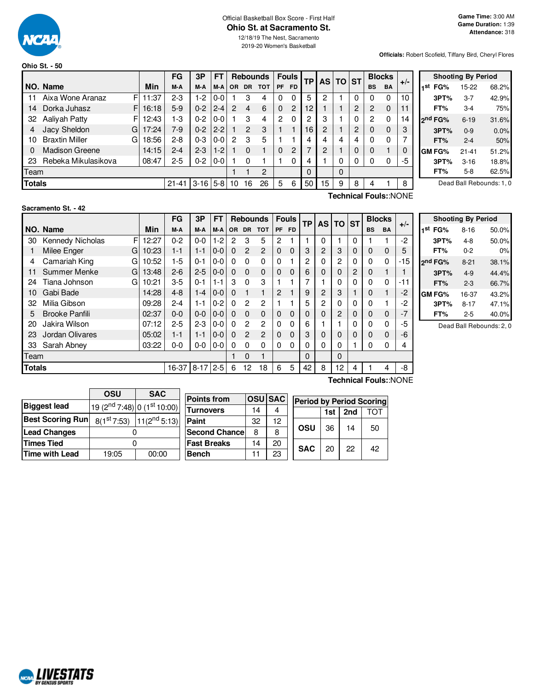

#### Official Basketball Box Score - First Half **Ohio St. at Sacramento St.**

12/18/19 The Nest, Sacramento 2019-20 Women's Basketball

**Officials:** Robert Scofield, Tiffany Bird, Cheryl Flores

|                                          | <b>Ohio St. - 50</b>  |    |       |           |         |         |                |                |                 |           |                |                 |   |          |              |           |               |       |                     |                           |       |  |
|------------------------------------------|-----------------------|----|-------|-----------|---------|---------|----------------|----------------|-----------------|-----------|----------------|-----------------|---|----------|--------------|-----------|---------------|-------|---------------------|---------------------------|-------|--|
|                                          |                       |    |       | <b>FG</b> | 3P      | FT      |                |                | <b>Rebounds</b> |           | <b>Fouls</b>   | TP <sub>1</sub> |   | AS TO ST |              |           | <b>Blocks</b> |       |                     | <b>Shooting By Period</b> |       |  |
|                                          | NO. Name              |    | Min   | M-A       | M-A     | M-A     |                | OR DR          | <b>TOT</b>      | <b>PF</b> | <b>FD</b>      |                 |   |          |              | <b>BS</b> | <b>BA</b>     | $+/-$ | FG%<br>1st          | 15-22                     | 68.2% |  |
| 11                                       | Aixa Wone Aranaz      |    | 11:37 | $2 - 3$   | 1-2     | $0 - 0$ |                | 3              | 4               | 0         |                | 5               | 2 |          | 0            | 0         | 0             | 10    | 3PT%                | $3 - 7$                   | 42.9% |  |
| 14                                       | Dorka Juhasz          | FI | 16:18 | $5-9$     | $0 - 2$ | $2 - 4$ | $\overline{2}$ | 4              | 6               | $\Omega$  | $\overline{2}$ | 12 <sup>°</sup> |   |          | 2            | 2         | $\Omega$      | 11    | FT%                 | $3 - 4$                   | 75%   |  |
| 32                                       | Aalivah Patty         |    | 12:43 | 1-3       | $0 - 2$ | $0-0$   |                | 3              | 4               | 2         | 0              | o               | 3 |          | $\Omega$     | 2         | 0             | 14    | 2 <sup>nd</sup> FG% | $6 - 19$                  | 31.6% |  |
|                                          | Jacy Sheldon          | G  | 17:24 | $7-9$     | $0 - 2$ | $2 - 2$ |                | $\overline{2}$ | 3               |           |                | 16              | 2 |          | 2            | 0         | $\Omega$      | 3     | 3PT%                | $0 - 9$                   | 0.0%  |  |
| 10                                       | <b>Braxtin Miller</b> | G  | 18:56 | $2 - 8$   | $0 - 3$ | $0-0$   | 2              | 3              | 5               |           |                |                 | 4 | 4        | 4            | 0         | 0             |       | FT%                 | $2 - 4$                   | 50%   |  |
|                                          | <b>Madison Greene</b> |    | 14:15 | $2 - 4$   | $2 - 3$ | $1-2$   |                | $\Omega$       |                 | $\Omega$  | $\overline{2}$ |                 | 2 |          | $\mathbf{0}$ | 0         |               | 0     | <b>GM FG%</b>       | $21 - 41$                 | 51.2% |  |
| 23                                       | Rebeka Mikulasikova   |    | 08:47 | $2 - 5$   | $0 - 2$ | $0 - 0$ |                | 0              |                 |           |                | 4               |   |          | 0            | 0         | 0             | -5    | 3PT%                | $3 - 16$                  | 18.8% |  |
| Team                                     |                       |    |       |           |         |         |                |                | $\overline{2}$  |           |                | 0               |   | $\Omega$ |              |           |               |       | FT%                 | $5 - 8$                   | 62.5% |  |
| <b>Totals</b><br>$3-16$ 5-8<br>$21 - 41$ |                       |    |       |           |         | 10      | 16             | 26             | 5               | 6         | 50             | 15              | 9 | 8        | 4            |           | 8             |       |                     | Dead Ball Rebounds: 1, 0  |       |  |

### **Sacramento St. - 42**

|               |                       |       | FG      | 3P       | FT      |          |                | <b>Rebounds</b> |              | <b>Fouls</b> | <b>TP</b> | <b>AS TO</b>   |                | <b>ST</b> | <b>Blocks</b> |             | $+/-$ |
|---------------|-----------------------|-------|---------|----------|---------|----------|----------------|-----------------|--------------|--------------|-----------|----------------|----------------|-----------|---------------|-------------|-------|
|               | NO. Name              | Min   | M-A     | M-A      | M-A     | OR.      | <b>DR</b>      | <b>TOT</b>      | PF           | <b>FD</b>    |           |                |                |           | <b>BS</b>     | <b>BA</b>   |       |
| 30            | Kennedy Nicholas<br>F | 12:27 | $0 - 2$ | $0-0$    | $1-2$   | 2        | 3              | 5               | 2            |              |           | $\Omega$       |                | $\Omega$  |               |             | $-2$  |
|               | Milee Enger<br>G      | 10:23 | $1 - 1$ | $1 - 1$  | $0-0$   | $\Omega$ | $\mathfrak{p}$ | 2               | $\Omega$     | $\Omega$     | 3         | 2              | 3              | $\Omega$  | $\Omega$      | $\mathbf 0$ | 5     |
| 4             | Camariah King<br>G    | 10:52 | $1-5$   | $0 - 1$  | $0-0$   | $\Omega$ | $\Omega$       | 0               | $\Omega$     |              | 2         | 0              | $\overline{c}$ | $\Omega$  | 0             | 0           | $-15$ |
| 11            | Summer Menke<br>G     | 13:48 | $2 - 6$ | $2 - 5$  | $0 - 0$ | $\Omega$ | $\Omega$       | 0               | 0            | $\Omega$     | 6         | 0              | 0              | 2         | 0             |             |       |
| 24            | Tiana Johnson<br>G    | 10:21 | $3-5$   | $0 - 1$  | $1 - 1$ | 3        | $\Omega$       | 3               |              |              | 7         |                |                | $\Omega$  | 0             | 0           | -11   |
| 10            | Gabi Bade             | 14:28 | $4 - 8$ | $1 - 4$  | $0 - 0$ | $\Omega$ |                | 1               | 2            |              | 9         | $\overline{c}$ | 3              |           | 0             |             | $-2$  |
| 32            | Milia Gibson          | 09:28 | $2 - 4$ | 1-1      | $0 - 2$ | $\Omega$ | 2              | 2               |              |              | 5         | 2              |                | $\Omega$  | 0             |             | -2    |
| 5             | <b>Brooke Panfili</b> | 02:37 | $0 - 0$ | $0 - 0$  | $0-0$   | $\Omega$ | $\Omega$       | $\mathbf 0$     | $\Omega$     | $\Omega$     | 0         | 0              | $\overline{2}$ | $\Omega$  | 0             | $\mathbf 0$ | -7    |
| 20            | Jakira Wilson         | 07:12 | $2 - 5$ | $2 - 3$  | $0-0$   | $\Omega$ | 2              | 2               | $\mathbf{0}$ | 0            | 6         |                |                |           | 0             | 0           | -5    |
| 23            | Jordan Olivares       | 05:02 | $1 - 1$ | $1 - 1$  | $0-0$   | $\Omega$ | $\overline{c}$ | 2               | $\Omega$     | $\Omega$     | 3         | 0              |                | $\Omega$  | 0             | $\mathbf 0$ | -6    |
| 33            | Sarah Abney           | 03:22 | $0 - 0$ | $0-0$    | $0-0$   | $\Omega$ | 0              | 0               | $\Omega$     | $\Omega$     | 0         | $\Omega$       | $\Omega$       |           | 0             | 0           | 4     |
| Team          |                       |       |         |          |         |          | $\Omega$       | 1               |              |              | $\Omega$  |                | $\Omega$       |           |               |             |       |
| <b>Totals</b> |                       |       | 16-37   | $8 - 17$ | $2 - 5$ | 6        | 12             | 18              | 6            | 5            | 42        | 8              | 12             | 4         |               | 4           | -8    |

|     |                     | <b>Shooting By Period</b> |       |
|-----|---------------------|---------------------------|-------|
| 1st | FG%                 | 8-16                      | 50.0% |
|     | 3PT%                | $4 - 8$                   | 50.0% |
|     | FT%                 | $0 - 2$                   | 0%    |
|     | 2 <sup>nd</sup> FG% | $8 - 21$                  | 38.1% |
|     | 3PT%                | $4 - 9$                   | 44.4% |
|     | FT%                 | 2-3                       | 66.7% |
|     | GM FG%              | 16-37                     | 43.2% |
|     | 3PT%                | $8 - 17$                  | 47.1% |
|     | FT%                 | 2-5                       | 40.0% |

Dead Ball Rebounds: 2, 0

|                         | OSU                                                 | <b>SAC</b>        |               |
|-------------------------|-----------------------------------------------------|-------------------|---------------|
|                         |                                                     |                   | <b>Points</b> |
| <b>Biggest lead</b>     |                                                     |                   |               |
|                         | 19 (2 <sup>nd</sup> 7:48) 0 (1 <sup>st</sup> 10:00) |                   | Turnov        |
| <b>Best Scoring Run</b> | $8(1^{st}7:53)$                                     | $11(2^{nd} 5:13)$ | Paint         |
| <b>Lead Changes</b>     |                                                     |                   | <b>Secon</b>  |
| <b>Times Tied</b>       |                                                     |                   | <b>Fast B</b> |
| Time with Lead          | 19:05                                               | 00:00             | <b>Bench</b>  |

| <b>Points from</b>    |    | <b>OSU SAC</b> | <b>Period by Period Scoring</b> |            |     |     |     |  |  |  |  |  |  |
|-----------------------|----|----------------|---------------------------------|------------|-----|-----|-----|--|--|--|--|--|--|
| <b>Turnovers</b>      | 14 |                |                                 |            | 1st | 2nd | тот |  |  |  |  |  |  |
| Paint                 | 32 | 12             |                                 |            |     |     |     |  |  |  |  |  |  |
| <b>Second Chancel</b> | 8  | 8              |                                 | OSU        | 36  | 14  | 50  |  |  |  |  |  |  |
| <b>Fast Breaks</b>    | 14 | 20             |                                 | <b>SAC</b> | 20  | 22  |     |  |  |  |  |  |  |
| <b>Bench</b>          |    | 23             |                                 |            |     |     | 42  |  |  |  |  |  |  |

**Technical Fouls:**:NONE

**Technical Fouls:**:NONE

| Period by Period Scoring |  |
|--------------------------|--|

| <b>MALIVESTATS</b><br><b>BY GENIUS SPORTS</b> |
|-----------------------------------------------|
|-----------------------------------------------|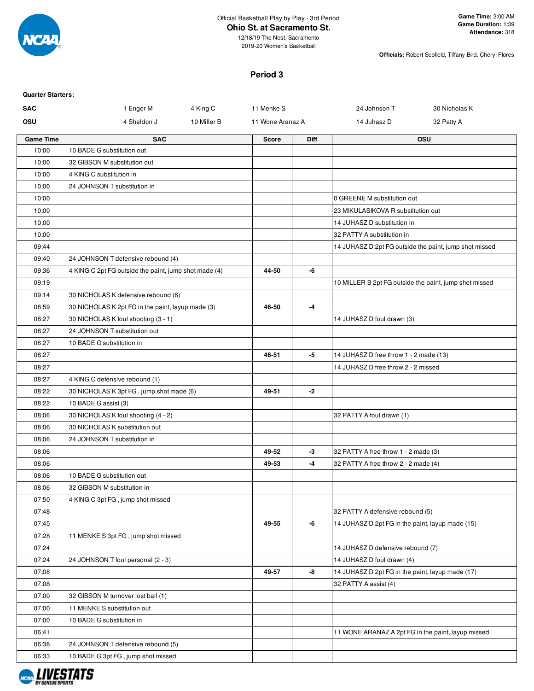

12/18/19 The Nest, Sacramento 2019-20 Women's Basketball

**Officials:** Robert Scofield, Tiffany Bird, Cheryl Flores

### **Period 3**

| <b>Quarter Starters:</b> |                                                                                          |             |                  |             |                                                    |                                                        |
|--------------------------|------------------------------------------------------------------------------------------|-------------|------------------|-------------|----------------------------------------------------|--------------------------------------------------------|
| <b>SAC</b>               | 1 Enger M                                                                                | 4 King C    | 11 Menke S       |             | 24 Johnson T                                       | 30 Nicholas K                                          |
| OSU                      | 4 Sheldon J                                                                              | 10 Miller B | 11 Wone Aranaz A |             | 14 Juhasz D                                        | 32 Patty A                                             |
| <b>Game Time</b>         | <b>SAC</b>                                                                               |             | <b>Score</b>     | <b>Diff</b> |                                                    | <b>OSU</b>                                             |
| 10:00                    | 10 BADE G substitution out                                                               |             |                  |             |                                                    |                                                        |
| 10:00                    | 32 GIBSON M substitution out                                                             |             |                  |             |                                                    |                                                        |
| 10:00                    | 4 KING C substitution in                                                                 |             |                  |             |                                                    |                                                        |
| 10:00                    | 24 JOHNSON T substitution in                                                             |             |                  |             |                                                    |                                                        |
| 10:00                    |                                                                                          |             |                  |             | 0 GREENE M substitution out                        |                                                        |
| 10:00                    |                                                                                          |             |                  |             | 23 MIKULASIKOVA R substitution out                 |                                                        |
| 10:00                    |                                                                                          |             |                  |             | 14 JUHASZ D substitution in                        |                                                        |
| 10:00                    |                                                                                          |             |                  |             | 32 PATTY A substitution in                         |                                                        |
| 09:44                    |                                                                                          |             |                  |             |                                                    | 14 JUHASZ D 2pt FG outside the paint, jump shot missed |
| 09:40                    | 24 JOHNSON T defensive rebound (4)                                                       |             |                  |             |                                                    |                                                        |
| 09:36                    | 4 KING C 2pt FG outside the paint, jump shot made (4)                                    |             | 44-50            | -6          |                                                    |                                                        |
| 09:19                    |                                                                                          |             |                  |             |                                                    | 10 MILLER B 2pt FG outside the paint, jump shot missed |
| 09:14<br>08:59           | 30 NICHOLAS K defensive rebound (6)<br>30 NICHOLAS K 2pt FG in the paint, layup made (3) |             | 46-50            | -4          |                                                    |                                                        |
| 08:27                    | 30 NICHOLAS K foul shooting (3 - 1)                                                      |             |                  |             | 14 JUHASZ D foul drawn (3)                         |                                                        |
| 08:27                    | 24 JOHNSON T substitution out                                                            |             |                  |             |                                                    |                                                        |
| 08:27                    | 10 BADE G substitution in                                                                |             |                  |             |                                                    |                                                        |
| 08:27                    |                                                                                          |             | 46-51            | -5          | 14 JUHASZ D free throw 1 - 2 made (13)             |                                                        |
| 08:27                    |                                                                                          |             |                  |             | 14 JUHASZ D free throw 2 - 2 missed                |                                                        |
| 08:27                    | 4 KING C defensive rebound (1)                                                           |             |                  |             |                                                    |                                                        |
| 08:22                    | 30 NICHOLAS K 3pt FG, jump shot made (6)                                                 |             | 49-51            | -2          |                                                    |                                                        |
| 08:22                    | 10 BADE G assist (3)                                                                     |             |                  |             |                                                    |                                                        |
| 08:06                    | 30 NICHOLAS K foul shooting (4 - 2)                                                      |             |                  |             | 32 PATTY A foul drawn (1)                          |                                                        |
| 08:06                    | 30 NICHOLAS K substitution out                                                           |             |                  |             |                                                    |                                                        |
| 08:06                    | 24 JOHNSON T substitution in                                                             |             |                  |             |                                                    |                                                        |
| 08:06                    |                                                                                          |             | 49-52            | -3          | 32 PATTY A free throw 1 - 2 made (3)               |                                                        |
| 08:06                    |                                                                                          |             | 49-53            | -4          | 32 PATTY A free throw 2 - 2 made (4)               |                                                        |
| 08:06                    | 10 BADE G substitution out                                                               |             |                  |             |                                                    |                                                        |
| 08:06                    | 32 GIBSON M substitution in                                                              |             |                  |             |                                                    |                                                        |
| 07:50                    | 4 KING C 3pt FG, jump shot missed                                                        |             |                  |             |                                                    |                                                        |
| 07:48                    |                                                                                          |             |                  |             | 32 PATTY A defensive rebound (5)                   |                                                        |
| 07:45                    |                                                                                          |             | 49-55            | -6          | 14 JUHASZ D 2pt FG in the paint, layup made (15)   |                                                        |
| 07:28                    | 11 MENKE S 3pt FG, jump shot missed                                                      |             |                  |             |                                                    |                                                        |
| 07:24                    |                                                                                          |             |                  |             | 14 JUHASZ D defensive rebound (7)                  |                                                        |
| 07:24                    | 24 JOHNSON T foul personal (2 - 3)                                                       |             |                  |             | 14 JUHASZ D foul drawn (4)                         |                                                        |
| 07:08                    |                                                                                          |             | 49-57            | -8          | 14 JUHASZ D 2pt FG in the paint, layup made (17)   |                                                        |
| 07:08                    |                                                                                          |             |                  |             | 32 PATTY A assist (4)                              |                                                        |
| 07:00                    | 32 GIBSON M turnover lost ball (1)                                                       |             |                  |             |                                                    |                                                        |
| 07:00                    | 11 MENKE S substitution out                                                              |             |                  |             |                                                    |                                                        |
| 07:00                    | 10 BADE G substitution in                                                                |             |                  |             |                                                    |                                                        |
| 06:41                    |                                                                                          |             |                  |             | 11 WONE ARANAZ A 2pt FG in the paint, layup missed |                                                        |
| 06:38                    | 24 JOHNSON T defensive rebound (5)                                                       |             |                  |             |                                                    |                                                        |
| 06:33                    | 10 BADE G 3pt FG, jump shot missed                                                       |             |                  |             |                                                    |                                                        |

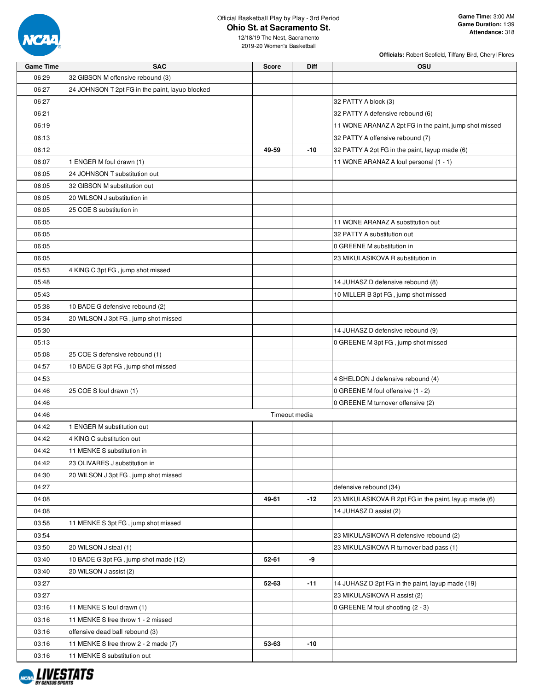

| <b>Game Time</b><br><b>SAC</b><br><b>Score</b><br><b>Diff</b><br>OSU<br>06:29<br>32 GIBSON M offensive rebound (3)<br>06:27<br>24 JOHNSON T 2pt FG in the paint, layup blocked<br>06:27<br>32 PATTY A block (3)<br>06:21<br>32 PATTY A defensive rebound (6) |  |
|--------------------------------------------------------------------------------------------------------------------------------------------------------------------------------------------------------------------------------------------------------------|--|
|                                                                                                                                                                                                                                                              |  |
|                                                                                                                                                                                                                                                              |  |
|                                                                                                                                                                                                                                                              |  |
|                                                                                                                                                                                                                                                              |  |
|                                                                                                                                                                                                                                                              |  |
| 06:19<br>11 WONE ARANAZ A 2pt FG in the paint, jump shot missed                                                                                                                                                                                              |  |
| 32 PATTY A offensive rebound (7)<br>06:13                                                                                                                                                                                                                    |  |
| 06:12<br>49-59<br>-10<br>32 PATTY A 2pt FG in the paint, layup made (6)                                                                                                                                                                                      |  |
| 11 WONE ARANAZ A foul personal (1 - 1)<br>06:07<br>1 ENGER M foul drawn (1)                                                                                                                                                                                  |  |
| 24 JOHNSON T substitution out<br>06:05                                                                                                                                                                                                                       |  |
| 06:05<br>32 GIBSON M substitution out                                                                                                                                                                                                                        |  |
| 20 WILSON J substitution in<br>06:05                                                                                                                                                                                                                         |  |
| 06:05<br>25 COE S substitution in                                                                                                                                                                                                                            |  |
| 06:05<br>11 WONE ARANAZ A substitution out                                                                                                                                                                                                                   |  |
| 32 PATTY A substitution out<br>06:05                                                                                                                                                                                                                         |  |
| 06:05<br>0 GREENE M substitution in                                                                                                                                                                                                                          |  |
| 23 MIKULASIKOVA R substitution in<br>06:05                                                                                                                                                                                                                   |  |
| 05:53<br>4 KING C 3pt FG, jump shot missed                                                                                                                                                                                                                   |  |
| 05:48<br>14 JUHASZ D defensive rebound (8)                                                                                                                                                                                                                   |  |
| 10 MILLER B 3pt FG, jump shot missed<br>05:43                                                                                                                                                                                                                |  |
|                                                                                                                                                                                                                                                              |  |
| 05:38<br>10 BADE G defensive rebound (2)                                                                                                                                                                                                                     |  |
| 05:34<br>20 WILSON J 3pt FG, jump shot missed                                                                                                                                                                                                                |  |
| 14 JUHASZ D defensive rebound (9)<br>05:30                                                                                                                                                                                                                   |  |
| 0 GREENE M 3pt FG, jump shot missed<br>05:13                                                                                                                                                                                                                 |  |
| 25 COE S defensive rebound (1)<br>05:08                                                                                                                                                                                                                      |  |
| 10 BADE G 3pt FG, jump shot missed<br>04:57                                                                                                                                                                                                                  |  |
| 04:53<br>4 SHELDON J defensive rebound (4)                                                                                                                                                                                                                   |  |
| 25 COE S foul drawn (1)<br>04:46<br>0 GREENE M foul offensive (1 - 2)                                                                                                                                                                                        |  |
| 04:46<br>0 GREENE M turnover offensive (2)                                                                                                                                                                                                                   |  |
| 04:46<br>Timeout media                                                                                                                                                                                                                                       |  |
| 04:42<br>1 ENGER M substitution out                                                                                                                                                                                                                          |  |
| 04:42<br>4 KING C substitution out                                                                                                                                                                                                                           |  |
| 04:42<br>11 MENKE S substitution in                                                                                                                                                                                                                          |  |
| 04:42<br>23 OLIVARES J substitution in                                                                                                                                                                                                                       |  |
| 04:30<br>20 WILSON J 3pt FG, jump shot missed                                                                                                                                                                                                                |  |
| 04:27<br>defensive rebound (34)                                                                                                                                                                                                                              |  |
| 04:08<br>49-61<br>-12<br>23 MIKULASIKOVA R 2pt FG in the paint, layup made (6)                                                                                                                                                                               |  |
| 04:08<br>14 JUHASZ D assist (2)                                                                                                                                                                                                                              |  |
| 03:58<br>11 MENKE S 3pt FG, jump shot missed                                                                                                                                                                                                                 |  |
| 03:54<br>23 MIKULASIKOVA R defensive rebound (2)                                                                                                                                                                                                             |  |
| 03:50<br>20 WILSON J steal (1)<br>23 MIKULASIKOVA R turnover bad pass (1)                                                                                                                                                                                    |  |
| 03:40<br>10 BADE G 3pt FG, jump shot made (12)<br>52-61<br>-9                                                                                                                                                                                                |  |
| 20 WILSON J assist (2)<br>03:40                                                                                                                                                                                                                              |  |
| 03:27<br>52-63<br>$-11$<br>14 JUHASZ D 2pt FG in the paint, layup made (19)                                                                                                                                                                                  |  |
| 03:27<br>23 MIKULASIKOVA R assist (2)                                                                                                                                                                                                                        |  |
| 03:16<br>11 MENKE S foul drawn (1)<br>0 GREENE M foul shooting (2 - 3)                                                                                                                                                                                       |  |
| 03:16<br>11 MENKE S free throw 1 - 2 missed                                                                                                                                                                                                                  |  |
| 03:16<br>offensive dead ball rebound (3)                                                                                                                                                                                                                     |  |
| 03:16<br>11 MENKE S free throw 2 - 2 made (7)<br>53-63<br>-10                                                                                                                                                                                                |  |
| 03:16<br>11 MENKE S substitution out                                                                                                                                                                                                                         |  |

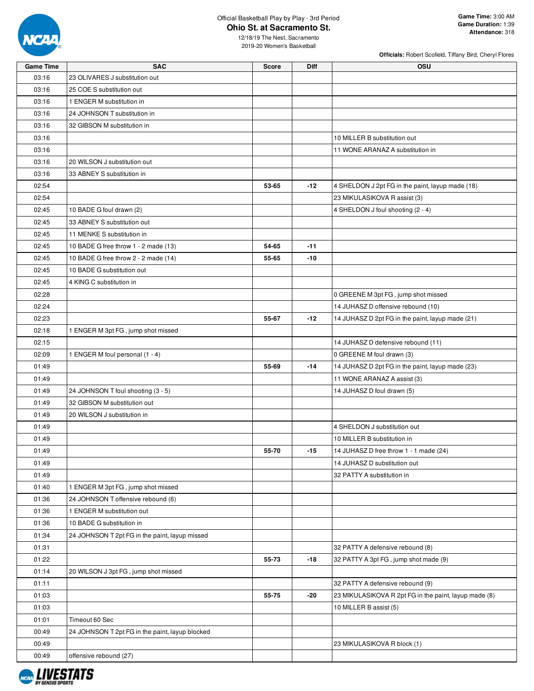

|                  |                                                 |              |             | Officials: Robert Scofield, Tiffany Bird, Cheryl Flores |
|------------------|-------------------------------------------------|--------------|-------------|---------------------------------------------------------|
| <b>Game Time</b> | <b>SAC</b>                                      | <b>Score</b> | <b>Diff</b> | <b>OSU</b>                                              |
| 03:16            | 23 OLIVARES J substitution out                  |              |             |                                                         |
| 03:16            | 25 COE S substitution out                       |              |             |                                                         |
| 03:16            | 1 ENGER M substitution in                       |              |             |                                                         |
| 03:16            | 24 JOHNSON T substitution in                    |              |             |                                                         |
| 03:16            | 32 GIBSON M substitution in                     |              |             |                                                         |
| 03:16            |                                                 |              |             | 10 MILLER B substitution out                            |
| 03:16            |                                                 |              |             | 11 WONE ARANAZ A substitution in                        |
| 03:16            | 20 WILSON J substitution out                    |              |             |                                                         |
| 03:16            | 33 ABNEY S substitution in                      |              |             |                                                         |
| 02:54            |                                                 | 53-65        | $-12$       | 4 SHELDON J 2pt FG in the paint, layup made (18)        |
| 02:54            |                                                 |              |             | 23 MIKULASIKOVA R assist (3)                            |
| 02:45            | 10 BADE G foul drawn (2)                        |              |             | 4 SHELDON J foul shooting (2 - 4)                       |
| 02:45            | 33 ABNEY S substitution out                     |              |             |                                                         |
| 02:45            | 11 MENKE S substitution in                      |              |             |                                                         |
| 02:45            | 10 BADE G free throw 1 - 2 made (13)            | 54-65        | $-11$       |                                                         |
| 02:45            | 10 BADE G free throw 2 - 2 made (14)            | 55-65        | -10         |                                                         |
| 02:45            | 10 BADE G substitution out                      |              |             |                                                         |
| 02:45            | 4 KING C substitution in                        |              |             |                                                         |
| 02:28            |                                                 |              |             | 0 GREENE M 3pt FG, jump shot missed                     |
| 02:24            |                                                 |              |             | 14 JUHASZ D offensive rebound (10)                      |
| 02:23            |                                                 | 55-67        | $-12$       | 14 JUHASZ D 2pt FG in the paint, layup made (21)        |
| 02:18            | 1 ENGER M 3pt FG, jump shot missed              |              |             |                                                         |
| 02:15            |                                                 |              |             | 14 JUHASZ D defensive rebound (11)                      |
| 02:09            | 1 ENGER M foul personal (1 - 4)                 |              |             | 0 GREENE M foul drawn (3)                               |
| 01:49            |                                                 | 55-69        | $-14$       | 14 JUHASZ D 2pt FG in the paint, layup made (23)        |
| 01:49            |                                                 |              |             | 11 WONE ARANAZ A assist (3)                             |
| 01:49            | 24 JOHNSON T foul shooting (3 - 5)              |              |             | 14 JUHASZ D foul drawn (5)                              |
| 01:49            | 32 GIBSON M substitution out                    |              |             |                                                         |
| 01:49            | 20 WILSON J substitution in                     |              |             |                                                         |
| 01:49            |                                                 |              |             | 4 SHELDON J substitution out                            |
| 01:49            |                                                 |              |             | 10 MILLER B substitution in                             |
| 01:49            |                                                 | 55-70        | $-15$       | 14 JUHASZ D free throw 1 - 1 made (24)                  |
| 01:49            |                                                 |              |             | 14 JUHASZ D substitution out                            |
|                  |                                                 |              |             |                                                         |
| 01:49            |                                                 |              |             | 32 PATTY A substitution in                              |
| 01:40            | 1 ENGER M 3pt FG, jump shot missed              |              |             |                                                         |
| 01:36            | 24 JOHNSON T offensive rebound (6)              |              |             |                                                         |
| 01:36            | 1 ENGER M substitution out                      |              |             |                                                         |
| 01:36            | 10 BADE G substitution in                       |              |             |                                                         |
| 01:34            | 24 JOHNSON T 2pt FG in the paint, layup missed  |              |             |                                                         |
| 01:31            |                                                 |              |             | 32 PATTY A defensive rebound (8)                        |
| 01:22            |                                                 | 55-73        | -18         | 32 PATTY A 3pt FG, jump shot made (9)                   |
| 01:14            | 20 WILSON J 3pt FG, jump shot missed            |              |             |                                                         |
| 01:11            |                                                 |              |             | 32 PATTY A defensive rebound (9)                        |
| 01:03            |                                                 | 55-75        | -20         | 23 MIKULASIKOVA R 2pt FG in the paint, layup made (8)   |
| 01:03            |                                                 |              |             | 10 MILLER B assist (5)                                  |
| 01:01            | Timeout 60 Sec                                  |              |             |                                                         |
| 00:49            | 24 JOHNSON T 2pt FG in the paint, layup blocked |              |             |                                                         |
| 00:49            |                                                 |              |             | 23 MIKULASIKOVA R block (1)                             |
| 00:49            | offensive rebound (27)                          |              |             |                                                         |

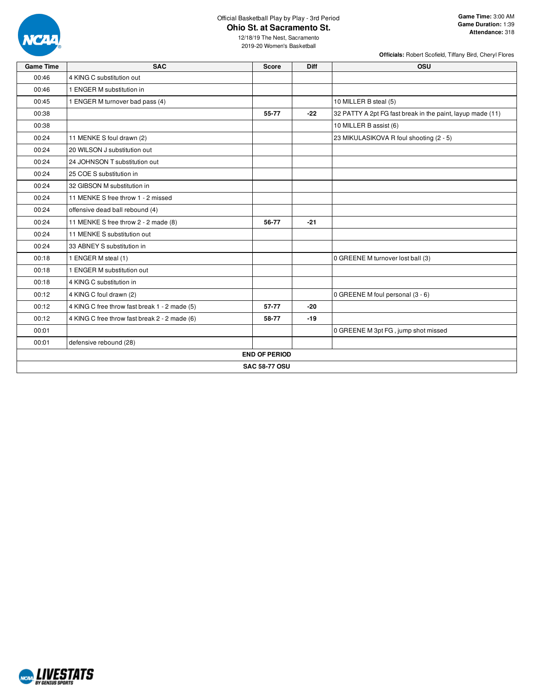

**Officials:** Robert Scofield, Tiffany Bird, Cheryl Flores

| <b>Game Time</b> | <b>SAC</b>                                    | <b>Score</b>         | Diff  | OSU                                                        |
|------------------|-----------------------------------------------|----------------------|-------|------------------------------------------------------------|
| 00:46            | 4 KING C substitution out                     |                      |       |                                                            |
| 00:46            | 1 ENGER M substitution in                     |                      |       |                                                            |
| 00:45            | 1 ENGER M turnover bad pass (4)               |                      |       | 10 MILLER B steal (5)                                      |
| 00:38            |                                               | 55-77                | $-22$ | 32 PATTY A 2pt FG fast break in the paint, layup made (11) |
| 00:38            |                                               |                      |       | 10 MILLER B assist (6)                                     |
| 00:24            | 11 MENKE S foul drawn (2)                     |                      |       | 23 MIKULASIKOVA R foul shooting (2 - 5)                    |
| 00:24            | 20 WILSON J substitution out                  |                      |       |                                                            |
| 00:24            | 24 JOHNSON T substitution out                 |                      |       |                                                            |
| 00:24            | 25 COE S substitution in                      |                      |       |                                                            |
| 00:24            | 32 GIBSON M substitution in                   |                      |       |                                                            |
| 00:24            | 11 MENKE S free throw 1 - 2 missed            |                      |       |                                                            |
| 00:24            | offensive dead ball rebound (4)               |                      |       |                                                            |
| 00:24            | 11 MENKE S free throw 2 - 2 made (8)          | 56-77                | $-21$ |                                                            |
| 00:24            | 11 MENKE S substitution out                   |                      |       |                                                            |
| 00:24            | 33 ABNEY S substitution in                    |                      |       |                                                            |
| 00:18            | 1 ENGER M steal (1)                           |                      |       | 0 GREENE M turnover lost ball (3)                          |
| 00:18            | 1 ENGER M substitution out                    |                      |       |                                                            |
| 00:18            | 4 KING C substitution in                      |                      |       |                                                            |
| 00:12            | 4 KING C foul drawn (2)                       |                      |       | 0 GREENE M foul personal (3 - 6)                           |
| 00:12            | 4 KING C free throw fast break 1 - 2 made (5) | 57-77                | $-20$ |                                                            |
| 00:12            | 4 KING C free throw fast break 2 - 2 made (6) | 58-77                | $-19$ |                                                            |
| 00:01            |                                               |                      |       | 0 GREENE M 3pt FG, jump shot missed                        |
| 00:01            | defensive rebound (28)                        |                      |       |                                                            |
|                  |                                               | <b>END OF PERIOD</b> |       |                                                            |
|                  |                                               | <b>SAC 58-77 OSU</b> |       |                                                            |
|                  |                                               |                      |       |                                                            |

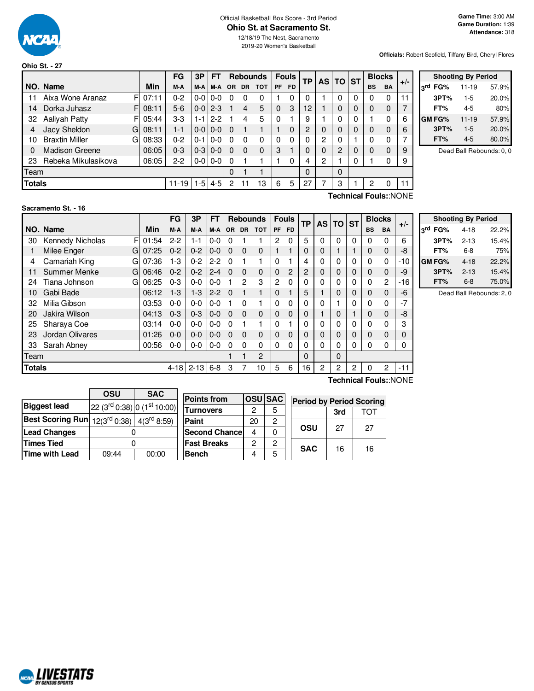

**Ohio St. - 27**

#### Official Basketball Box Score - 3rd Period **Ohio St. at Sacramento St.**

12/18/19 The Nest, Sacramento 2019-20 Women's Basketball

**Officials:** Robert Scofield, Tiffany Bird, Cheryl Flores

|               |                       |    |       | FG                  | 3P      | <b>FT</b>     |     | <b>Fouls</b><br><b>Rebounds</b> |            |             | TP        |    | AS TO ST |          | <b>Blocks</b> |           |           |       |                 |
|---------------|-----------------------|----|-------|---------------------|---------|---------------|-----|---------------------------------|------------|-------------|-----------|----|----------|----------|---------------|-----------|-----------|-------|-----------------|
|               | NO. Name              |    | Min   | M-A                 | M-A     | M-A           | OR. | <b>DR</b>                       | <b>TOT</b> | <b>PF</b>   | <b>FD</b> |    |          |          |               | <b>BS</b> | <b>BA</b> | $+/-$ | 3 <sup>rd</sup> |
| 11            | Aixa Wone Aranaz      | FI | 07:11 | $0 - 2$             | $0-0$   | $0 - 0$       | 0   | 0                               | 0          |             | 0         | 0  |          | 0        | 0             | 0         | 0         | 11    |                 |
| 14            | Dorka Juhasz          | F. | 08:11 | $5-6$               | $0-0$   | $2 - 3$       |     | 4                               | 5          | $\mathbf 0$ | 3         | 12 |          |          | 0             | 0         | 0         |       |                 |
| 32            | Aaliyah Patty         | FI | 05:44 | $3-3$               | 1-1     | $2 - 2$       |     | 4                               | 5          | $\Omega$    |           | 9  |          |          | 0             |           | 0         | 6     | <b>GM</b>       |
|               | Jacy Sheldon          | G  | 08:11 | $1 - 1$             | $0-0$   | $0 - 0$       | 0   |                                 |            |             | $\Omega$  | 2  |          |          | 0             | 0         | $\Omega$  | 6     |                 |
| 10            | <b>Braxtin Miller</b> | G  | 08:33 | $0 - 2$             | $0 - 1$ | $0 - 0$       | 0   | $\Omega$                        | 0          | 0           | 0         | 0  | 2        |          |               | $\Omega$  | 0         |       |                 |
| 0             | <b>Madison Greene</b> |    | 06:05 | $0 - 3$             | $0-3$   | $0 - 0$       | 0   | $\Omega$                        | $\Omega$   | 3           |           | 0  |          | 2        | 0             | 0         | 0         | 9     |                 |
| 23            | Rebeka Mikulasikova   |    | 06:05 | $2 - 2$             |         | $0 - 0 0 - 0$ | 0   |                                 |            |             | 0         | 4  | 2        |          | 0             |           | 0         | 9     |                 |
| Team          |                       |    |       |                     |         |               | 0   |                                 |            |             |           | 0  |          | $\Omega$ |               |           |           |       |                 |
| <b>Totals</b> |                       |    |       | $11-19$   1-5   4-5 |         |               | 2   |                                 | 13         | 6           | 5         | 27 |          | 3        |               | 2         | 0         | 11    |                 |
|               | Technical Fouls::NONE |    |       |                     |         |               |     |                                 |            |             |           |    |          |          |               |           |           |       |                 |

|     |               | <b>Shooting By Period</b> |       |
|-----|---------------|---------------------------|-------|
| لrd | FG%           | $11 - 19$                 | 57.9% |
|     | 3PT%          | $1-5$                     | 20.0% |
|     | FT%           | 4-5                       | 80%   |
|     | <b>GM FG%</b> | $11 - 19$                 | 57.9% |
|     | 3PT%          | $1-5$                     | 20.0% |
|     | FT%           | 4-5                       | 80.0% |

Dead Ball Rebounds: 0, 0

#### **Sacramento St. - 16**

F 01:54 G 07:25 G 07:36  $G$  06:46 G 06:25 **NO.** Name Min **FG 3P FT Rebounds Fouls TP AS TO ST**  $\begin{bmatrix} \mathsf{FG} \\ \mathsf{M-A} \end{bmatrix}$   $\begin{bmatrix} \mathsf{AF} \\ \mathsf{M-A} \end{bmatrix}$  or  $\begin{bmatrix} \mathsf{DR} & \mathsf{DT} \\ \mathsf{OR} & \mathsf{DT} \end{bmatrix}$   $\begin{bmatrix} \mathsf{FP} \\ \mathsf{PF} & \mathsf{FD} \end{bmatrix}$   $\begin{bmatrix} \mathsf{TP} \\ \mathsf{AS} \end{bmatrix}$   $\begin{bmatrix} \mathsf{ST} \\ \mathsf{DT} \end{bmatrix}$   $\begin{bmatrix} \mathsf{BlockS} \\ \mathsf{BS} \end{bmatrix}$ 30 Kennedy Nicholas F 01:54 2-2 1-1 0-0 0 1 1 2 0 5 0 0 0 0 0 0 6 1 Milee Enger G | 07:25 | 0-2 | 0-2 | 0-0 | 0 0 0 0 | 1 1 | 0 | 0 | 1 | 1 | 0 0 | -8 4 Camariah King G | 07:36 | 1-3 | 0-2 | 2-2 | 0 1 | 1 | 0 1 | 4 | 0 | 0 | 0 | 0 | 0 | -10 11 Summer Menke 06:46 0-2 0-2 2-4 0 0 0 0 2 2 0 0 0 0 0 -9 24 Tiana Johnson G 06:25 | 0-3 | 0-0 | 0-0 | 1 2 3 | 2 0 | 0 | 0 | 0 | 0 | 0 | 0 2 | -16 10 Gabi Bade 06:12 1-3 1-3 2-2 0 1 1 0 1 5 1 0 0 0 0 -6 32 Milia Gibson 03:53 0-0 0-0 0-0 1 0 1 0 0 0 0 1 0 0 0 -7 20 Jakira Wilson 04:13 0-3 0-3 0-0 0 0 0 0 0 0 1 0 1 0 0 -8 25 Sharaya Coe | 03:14 | 0-0 | 0-0 | 0-0 | 0 1 | 0 | 0 | 0 | 0 | 0 | 0 | 0 | 3 23 Jordan Olivares 01:26 0-0 0-0 0-0 0 0 0 0 0 0 0 0 0 0 0 0 33 Sarah Abney 00:56 0-0 0-0 0-0 0 0 0 0 0 0 0 0 0 0 0 0 Team 1 1 2 0 0 **Totals** 4-18 2-13 6-8 3 7 10 5 6 16 2 2 2 0 2 -11 **Technical Fouls:**:NONE

| <b>Shooting By Period</b> |          |       |  |  |  |  |  |  |  |  |  |
|---------------------------|----------|-------|--|--|--|--|--|--|--|--|--|
| 3rd FG%                   | $4 - 18$ | 22.2% |  |  |  |  |  |  |  |  |  |
| 3PT%                      | $2 - 13$ | 15.4% |  |  |  |  |  |  |  |  |  |
| FT%                       | 6-8      | 75%   |  |  |  |  |  |  |  |  |  |
| GM FG%                    | 4-18     | 22.2% |  |  |  |  |  |  |  |  |  |
| 3PT%                      | $2 - 13$ | 15.4% |  |  |  |  |  |  |  |  |  |
| FT%                       | $6-8$    | 75.0% |  |  |  |  |  |  |  |  |  |

Dead Ball Rebounds: 2, 0

|       |       | <b>Points from</b>                                                         |                                 |                       |                |                   |                                                    |
|-------|-------|----------------------------------------------------------------------------|---------------------------------|-----------------------|----------------|-------------------|----------------------------------------------------|
|       |       | <b>Turnovers</b>                                                           | っ                               | 5                     |                |                   | TOT                                                |
|       |       | Paint                                                                      | 20                              | $\overline{c}$        |                |                   |                                                    |
|       |       |                                                                            | 4                               |                       |                |                   | 27                                                 |
|       |       | <b>Fast Breaks</b>                                                         | ົ                               | 2                     |                |                   |                                                    |
| 09:44 | 00:00 | <b>Bench</b>                                                               |                                 | 5                     |                |                   | 16                                                 |
|       | OSU   | <b>SAC</b><br>Best Scoring Run $ 12(3^{rd} 0:38) $ 4(3 <sup>rd</sup> 8:59) | $ 22 (3rd 0:38) 0 (1st 10:00) $ | <b>Second Chancel</b> | <b>OSU SAC</b> | OSU<br><b>SAC</b> | <b>Period by Period Scoring</b><br>3rd<br>27<br>16 |

**ARALIVESTATS RV GENTUS S**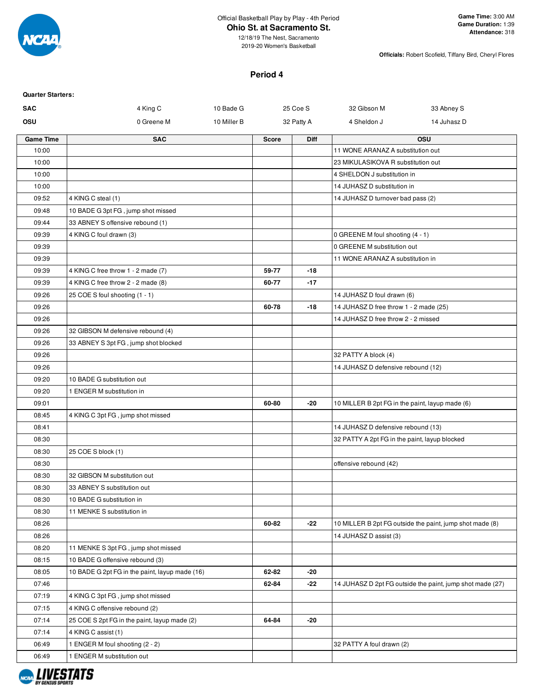

12/18/19 The Nest, Sacramento 2019-20 Women's Basketball

**Officials:** Robert Scofield, Tiffany Bird, Cheryl Flores

# **Period 4**

| <b>Quarter Starters:</b> |                                                |             |              |            |                                                 |                                                           |
|--------------------------|------------------------------------------------|-------------|--------------|------------|-------------------------------------------------|-----------------------------------------------------------|
| <b>SAC</b>               | 4 King C                                       | 10 Bade G   |              | 25 Coe S   | 32 Gibson M                                     | 33 Abney S                                                |
| OSU                      | 0 Greene M                                     | 10 Miller B |              | 32 Patty A | 4 Sheldon J                                     | 14 Juhasz D                                               |
| <b>Game Time</b>         | <b>SAC</b>                                     |             | <b>Score</b> | Diff       |                                                 | <b>OSU</b>                                                |
| 10:00                    |                                                |             |              |            | 11 WONE ARANAZ A substitution out               |                                                           |
| 10:00                    |                                                |             |              |            | 23 MIKULASIKOVA R substitution out              |                                                           |
| 10:00                    |                                                |             |              |            | 4 SHELDON J substitution in                     |                                                           |
| 10:00                    |                                                |             |              |            | 14 JUHASZ D substitution in                     |                                                           |
| 09:52                    | 4 KING C steal (1)                             |             |              |            | 14 JUHASZ D turnover bad pass (2)               |                                                           |
| 09:48                    | 10 BADE G 3pt FG, jump shot missed             |             |              |            |                                                 |                                                           |
| 09:44                    | 33 ABNEY S offensive rebound (1)               |             |              |            |                                                 |                                                           |
| 09:39                    | 4 KING C foul drawn (3)                        |             |              |            | 0 GREENE M foul shooting (4 - 1)                |                                                           |
| 09:39                    |                                                |             |              |            | 0 GREENE M substitution out                     |                                                           |
| 09:39                    |                                                |             |              |            | 11 WONE ARANAZ A substitution in                |                                                           |
| 09:39                    | 4 KING C free throw 1 - 2 made (7)             |             | 59-77        | $-18$      |                                                 |                                                           |
| 09:39                    | 4 KING C free throw 2 - 2 made (8)             |             | 60-77        | $-17$      |                                                 |                                                           |
| 09:26                    | 25 COE S foul shooting (1 - 1)                 |             |              |            | 14 JUHASZ D foul drawn (6)                      |                                                           |
| 09:26                    |                                                |             | 60-78        | -18        | 14 JUHASZ D free throw 1 - 2 made (25)          |                                                           |
| 09:26                    |                                                |             |              |            | 14 JUHASZ D free throw 2 - 2 missed             |                                                           |
| 09:26                    | 32 GIBSON M defensive rebound (4)              |             |              |            |                                                 |                                                           |
| 09:26                    | 33 ABNEY S 3pt FG, jump shot blocked           |             |              |            |                                                 |                                                           |
| 09:26                    |                                                |             |              |            | 32 PATTY A block (4)                            |                                                           |
| 09:26                    |                                                |             |              |            | 14 JUHASZ D defensive rebound (12)              |                                                           |
| 09:20                    | 10 BADE G substitution out                     |             |              |            |                                                 |                                                           |
| 09:20                    | 1 ENGER M substitution in                      |             |              |            |                                                 |                                                           |
| 09:01                    |                                                |             | 60-80        | -20        | 10 MILLER B 2pt FG in the paint, layup made (6) |                                                           |
| 08:45                    | 4 KING C 3pt FG, jump shot missed              |             |              |            |                                                 |                                                           |
| 08:41                    |                                                |             |              |            | 14 JUHASZ D defensive rebound (13)              |                                                           |
| 08:30                    |                                                |             |              |            | 32 PATTY A 2pt FG in the paint, layup blocked   |                                                           |
| 08:30                    | 25 COE S block (1)                             |             |              |            |                                                 |                                                           |
| 08:30                    |                                                |             |              |            | offensive rebound (42)                          |                                                           |
| 08:30                    | 32 GIBSON M substitution out                   |             |              |            |                                                 |                                                           |
| 08:30                    | 33 ABNEY S substitution out                    |             |              |            |                                                 |                                                           |
| 08:30                    | 10 BADE G substitution in                      |             |              |            |                                                 |                                                           |
| 08:30                    | 11 MENKE S substitution in                     |             |              |            |                                                 |                                                           |
| 08:26                    |                                                |             | 60-82        | -22        |                                                 | 10 MILLER B 2pt FG outside the paint, jump shot made (8)  |
| 08:26                    |                                                |             |              |            | 14 JUHASZ D assist (3)                          |                                                           |
| 08:20                    | 11 MENKE S 3pt FG, jump shot missed            |             |              |            |                                                 |                                                           |
| 08:15                    | 10 BADE G offensive rebound (3)                |             |              |            |                                                 |                                                           |
| 08:05                    | 10 BADE G 2pt FG in the paint, layup made (16) |             | 62-82        | -20        |                                                 |                                                           |
| 07:46                    |                                                |             | 62-84        | -22        |                                                 | 14 JUHASZ D 2pt FG outside the paint, jump shot made (27) |
| 07:19                    | 4 KING C 3pt FG, jump shot missed              |             |              |            |                                                 |                                                           |
| 07:15                    | 4 KING C offensive rebound (2)                 |             |              |            |                                                 |                                                           |
| 07:14                    | 25 COE S 2pt FG in the paint, layup made (2)   |             | 64-84        | -20        |                                                 |                                                           |
| 07:14                    | 4 KING C assist (1)                            |             |              |            |                                                 |                                                           |
| 06:49                    | 1 ENGER M foul shooting (2 - 2)                |             |              |            | 32 PATTY A foul drawn (2)                       |                                                           |
| 06:49                    | 1 ENGER M substitution out                     |             |              |            |                                                 |                                                           |
|                          |                                                |             |              |            |                                                 |                                                           |

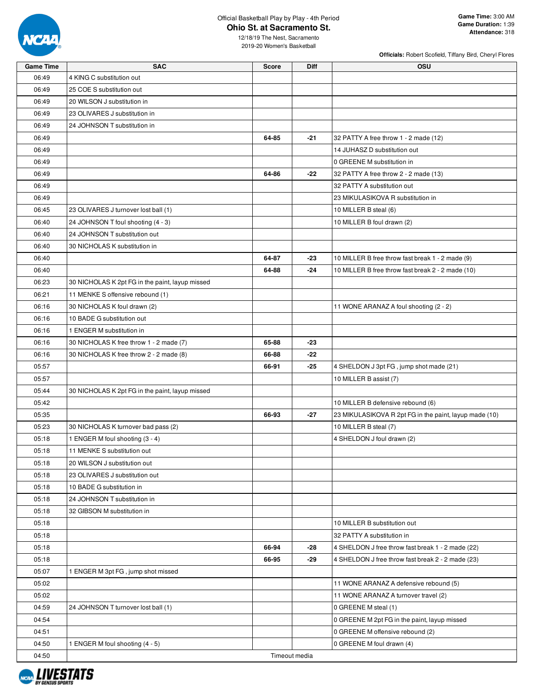

**Officials:** Robert Scofield, Tiffany Bird, Cheryl Flores

| <b>Game Time</b> | <b>SAC</b>                                      | Score         | <b>Diff</b> | OSU                                                    |
|------------------|-------------------------------------------------|---------------|-------------|--------------------------------------------------------|
| 06:49            | 4 KING C substitution out                       |               |             |                                                        |
| 06:49            | 25 COE S substitution out                       |               |             |                                                        |
| 06:49            | 20 WILSON J substitution in                     |               |             |                                                        |
| 06:49            | 23 OLIVARES J substitution in                   |               |             |                                                        |
| 06:49            | 24 JOHNSON T substitution in                    |               |             |                                                        |
| 06:49            |                                                 | 64-85         | $-21$       | 32 PATTY A free throw 1 - 2 made (12)                  |
| 06:49            |                                                 |               |             | 14 JUHASZ D substitution out                           |
| 06:49            |                                                 |               |             | 0 GREENE M substitution in                             |
| 06:49            |                                                 | 64-86         | $-22$       | 32 PATTY A free throw 2 - 2 made (13)                  |
| 06:49            |                                                 |               |             | 32 PATTY A substitution out                            |
| 06:49            |                                                 |               |             | 23 MIKULASIKOVA R substitution in                      |
| 06:45            | 23 OLIVARES J turnover lost ball (1)            |               |             | 10 MILLER B steal (6)                                  |
| 06:40            | 24 JOHNSON T foul shooting (4 - 3)              |               |             | 10 MILLER B foul drawn (2)                             |
| 06:40            | 24 JOHNSON T substitution out                   |               |             |                                                        |
| 06:40            | 30 NICHOLAS K substitution in                   |               |             |                                                        |
| 06:40            |                                                 | 64-87         | -23         | 10 MILLER B free throw fast break 1 - 2 made (9)       |
| 06:40            |                                                 | 64-88         | $-24$       | 10 MILLER B free throw fast break 2 - 2 made (10)      |
| 06:23            | 30 NICHOLAS K 2pt FG in the paint, layup missed |               |             |                                                        |
| 06:21            |                                                 |               |             |                                                        |
|                  | 11 MENKE S offensive rebound (1)                |               |             |                                                        |
| 06:16            | 30 NICHOLAS K foul drawn (2)                    |               |             | 11 WONE ARANAZ A foul shooting (2 - 2)                 |
| 06:16            | 10 BADE G substitution out                      |               |             |                                                        |
| 06:16            | 1 ENGER M substitution in                       |               |             |                                                        |
| 06:16            | 30 NICHOLAS K free throw 1 - 2 made (7)         | 65-88         | $-23$       |                                                        |
| 06:16            | 30 NICHOLAS K free throw 2 - 2 made (8)         | 66-88         | $-22$       |                                                        |
| 05:57            |                                                 | 66-91         | $-25$       | 4 SHELDON J 3pt FG, jump shot made (21)                |
| 05:57            |                                                 |               |             | 10 MILLER B assist (7)                                 |
| 05:44            | 30 NICHOLAS K 2pt FG in the paint, layup missed |               |             |                                                        |
| 05:42            |                                                 |               |             | 10 MILLER B defensive rebound (6)                      |
| 05:35            |                                                 | 66-93         | $-27$       | 23 MIKULASIKOVA R 2pt FG in the paint, layup made (10) |
| 05:23            | 30 NICHOLAS K turnover bad pass (2)             |               |             | 10 MILLER B steal (7)                                  |
| 05:18            | 1 ENGER M foul shooting (3 - 4)                 |               |             | 4 SHELDON J foul drawn (2)                             |
| 05:18            | 11 MENKE S substitution out                     |               |             |                                                        |
| 05:18            | 20 WILSON J substitution out                    |               |             |                                                        |
| 05:18            | 23 OLIVARES J substitution out                  |               |             |                                                        |
| 05:18            | 10 BADE G substitution in                       |               |             |                                                        |
| 05:18            | 24 JOHNSON T substitution in                    |               |             |                                                        |
| 05:18            | 32 GIBSON M substitution in                     |               |             |                                                        |
| 05:18            |                                                 |               |             | 10 MILLER B substitution out                           |
| 05:18            |                                                 |               |             | 32 PATTY A substitution in                             |
| 05:18            |                                                 | 66-94         | -28         | 4 SHELDON J free throw fast break 1 - 2 made (22)      |
| 05:18            |                                                 | 66-95         | -29         | 4 SHELDON J free throw fast break 2 - 2 made (23)      |
| 05:07            | 1 ENGER M 3pt FG, jump shot missed              |               |             |                                                        |
| 05:02            |                                                 |               |             | 11 WONE ARANAZ A defensive rebound (5)                 |
| 05:02            |                                                 |               |             | 11 WONE ARANAZ A turnover travel (2)                   |
| 04:59            | 24 JOHNSON T turnover lost ball (1)             |               |             | 0 GREENE M steal (1)                                   |
| 04:54            |                                                 |               |             | 0 GREENE M 2pt FG in the paint, layup missed           |
| 04:51            |                                                 |               |             | 0 GREENE M offensive rebound (2)                       |
| 04:50            | 1 ENGER M foul shooting (4 - 5)                 |               |             | 0 GREENE M foul drawn (4)                              |
| 04:50            |                                                 | Timeout media |             |                                                        |

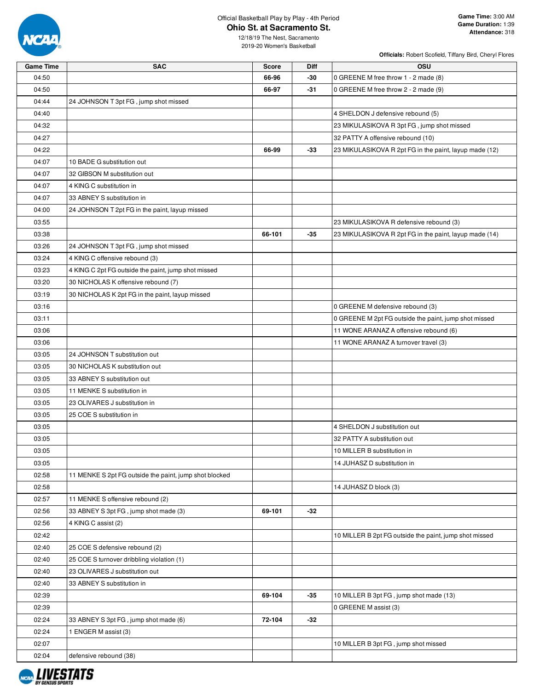

**Officials:** Robert Scofield, Tiffany Bird, Cheryl Flores

| <b>Game Time</b> | <b>SAC</b>                                             | <b>Score</b> | <b>Diff</b> | <b>OSU</b>                                             |
|------------------|--------------------------------------------------------|--------------|-------------|--------------------------------------------------------|
| 04:50            |                                                        | 66-96        | -30         | 0 GREENE M free throw 1 - 2 made (8)                   |
| 04:50            |                                                        | 66-97        | -31         | 0 GREENE M free throw 2 - 2 made (9)                   |
| 04:44            | 24 JOHNSON T 3pt FG, jump shot missed                  |              |             |                                                        |
| 04:40            |                                                        |              |             | 4 SHELDON J defensive rebound (5)                      |
| 04:32            |                                                        |              |             | 23 MIKULASIKOVA R 3pt FG, jump shot missed             |
| 04:27            |                                                        |              |             | 32 PATTY A offensive rebound (10)                      |
| 04:22            |                                                        | 66-99        | -33         | 23 MIKULASIKOVA R 2pt FG in the paint, layup made (12) |
| 04:07            | 10 BADE G substitution out                             |              |             |                                                        |
| 04:07            | 32 GIBSON M substitution out                           |              |             |                                                        |
| 04:07            | 4 KING C substitution in                               |              |             |                                                        |
| 04:07            | 33 ABNEY S substitution in                             |              |             |                                                        |
| 04:00            | 24 JOHNSON T 2pt FG in the paint, layup missed         |              |             |                                                        |
| 03:55            |                                                        |              |             | 23 MIKULASIKOVA R defensive rebound (3)                |
| 03:38            |                                                        | 66-101       | $-35$       | 23 MIKULASIKOVA R 2pt FG in the paint, layup made (14) |
| 03:26            | 24 JOHNSON T 3pt FG, jump shot missed                  |              |             |                                                        |
| 03:24            | 4 KING C offensive rebound (3)                         |              |             |                                                        |
| 03:23            | 4 KING C 2pt FG outside the paint, jump shot missed    |              |             |                                                        |
| 03:20            | 30 NICHOLAS K offensive rebound (7)                    |              |             |                                                        |
| 03:19            | 30 NICHOLAS K 2pt FG in the paint, layup missed        |              |             |                                                        |
| 03:16            |                                                        |              |             | 0 GREENE M defensive rebound (3)                       |
| 03:11            |                                                        |              |             | 0 GREENE M 2pt FG outside the paint, jump shot missed  |
| 03:06            |                                                        |              |             | 11 WONE ARANAZ A offensive rebound (6)                 |
| 03:06            |                                                        |              |             | 11 WONE ARANAZ A turnover travel (3)                   |
| 03:05            | 24 JOHNSON T substitution out                          |              |             |                                                        |
| 03:05            | 30 NICHOLAS K substitution out                         |              |             |                                                        |
| 03:05            | 33 ABNEY S substitution out                            |              |             |                                                        |
| 03:05            | 11 MENKE S substitution in                             |              |             |                                                        |
| 03:05            | 23 OLIVARES J substitution in                          |              |             |                                                        |
| 03:05            | 25 COE S substitution in                               |              |             |                                                        |
| 03:05            |                                                        |              |             | 4 SHELDON J substitution out                           |
| 03:05            |                                                        |              |             | 32 PATTY A substitution out                            |
| 03:05            |                                                        |              |             | 10 MILLER B substitution in                            |
|                  |                                                        |              |             |                                                        |
| 03:05            |                                                        |              |             | 14 JUHASZ D substitution in                            |
| 02:58            | 11 MENKE S 2pt FG outside the paint, jump shot blocked |              |             |                                                        |
| 02:58            |                                                        |              |             | 14 JUHASZ D block (3)                                  |
| 02:57            | 11 MENKE S offensive rebound (2)                       |              |             |                                                        |
| 02:56            | 33 ABNEY S 3pt FG, jump shot made (3)                  | 69-101       | -32         |                                                        |
| 02:56            | 4 KING C assist (2)                                    |              |             |                                                        |
| 02:42            |                                                        |              |             | 10 MILLER B 2pt FG outside the paint, jump shot missed |
| 02:40            | 25 COE S defensive rebound (2)                         |              |             |                                                        |
| 02:40            | 25 COE S turnover dribbling violation (1)              |              |             |                                                        |
| 02:40            | 23 OLIVARES J substitution out                         |              |             |                                                        |
| 02:40            | 33 ABNEY S substitution in                             |              |             |                                                        |
| 02:39            |                                                        | 69-104       | -35         | 10 MILLER B 3pt FG, jump shot made (13)                |
| 02:39            |                                                        |              |             | 0 GREENE M assist (3)                                  |
| 02:24            | 33 ABNEY S 3pt FG, jump shot made (6)                  | 72-104       | -32         |                                                        |
| 02:24            | 1 ENGER M assist (3)                                   |              |             |                                                        |
| 02:07            |                                                        |              |             | 10 MILLER B 3pt FG, jump shot missed                   |
| 02:04            | defensive rebound (38)                                 |              |             |                                                        |

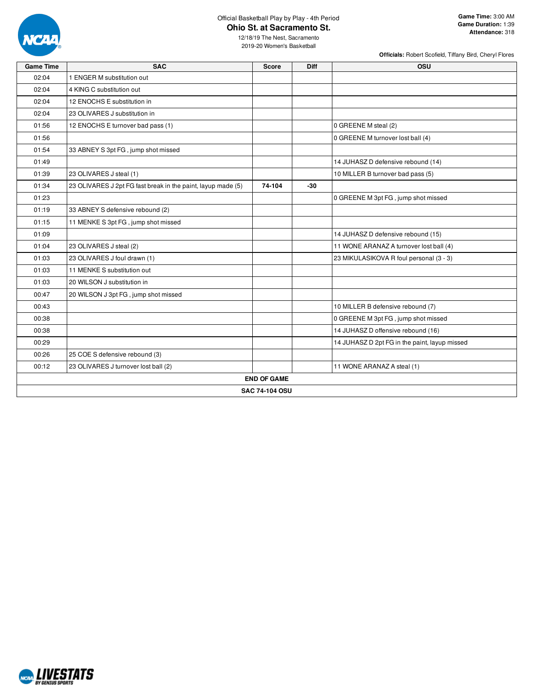

**Officials:** Robert Scofield, Tiffany Bird, Cheryl Flores

| 02:04<br>1 ENGER M substitution out<br>02:04<br>4 KING C substitution out<br>02:04<br>12 ENOCHS E substitution in<br>02:04<br>23 OLIVARES J substitution in<br>0 GREENE M steal (2)<br>01:56<br>12 ENOCHS E turnover bad pass (1)<br>01:56<br>0 GREENE M turnover lost ball (4)<br>01:54<br>33 ABNEY S 3pt FG, jump shot missed<br>01:49<br>14 JUHASZ D defensive rebound (14)<br>23 OLIVARES J steal (1)<br>10 MILLER B turnover bad pass (5)<br>01:39<br>01:34<br>23 OLIVARES J 2pt FG fast break in the paint, layup made (5)<br>74-104<br>$-30$<br>0 GREENE M 3pt FG, jump shot missed<br>01:23<br>01:19<br>33 ABNEY S defensive rebound (2)<br>01:15<br>11 MENKE S 3pt FG, jump shot missed<br>14 JUHASZ D defensive rebound (15)<br>01:09<br>23 OLIVARES J steal (2)<br>11 WONE ARANAZ A turnover lost ball (4)<br>01:04<br>01:03<br>23 OLIVARES J foul drawn (1)<br>23 MIKULASIKOVA R foul personal (3 - 3)<br>11 MENKE S substitution out<br>01:03<br>01:03<br>20 WILSON J substitution in<br>00:47<br>20 WILSON J 3pt FG, jump shot missed<br>10 MILLER B defensive rebound (7)<br>00:43<br>0 GREENE M 3pt FG, jump shot missed<br>00:38<br>14 JUHASZ D offensive rebound (16)<br>00:38<br>14 JUHASZ D 2pt FG in the paint, layup missed<br>00:29<br>00:26<br>25 COE S defensive rebound (3)<br>00:12<br>23 OLIVARES J turnover lost ball (2)<br>11 WONE ARANAZ A steal (1)<br><b>END OF GAME</b><br><b>SAC 74-104 OSU</b> | <b>Game Time</b> | <b>SAC</b> | <b>Score</b> | <b>Diff</b> | <b>OSU</b> |
|-------------------------------------------------------------------------------------------------------------------------------------------------------------------------------------------------------------------------------------------------------------------------------------------------------------------------------------------------------------------------------------------------------------------------------------------------------------------------------------------------------------------------------------------------------------------------------------------------------------------------------------------------------------------------------------------------------------------------------------------------------------------------------------------------------------------------------------------------------------------------------------------------------------------------------------------------------------------------------------------------------------------------------------------------------------------------------------------------------------------------------------------------------------------------------------------------------------------------------------------------------------------------------------------------------------------------------------------------------------------------------------------------------------------------------------|------------------|------------|--------------|-------------|------------|
|                                                                                                                                                                                                                                                                                                                                                                                                                                                                                                                                                                                                                                                                                                                                                                                                                                                                                                                                                                                                                                                                                                                                                                                                                                                                                                                                                                                                                                     |                  |            |              |             |            |
|                                                                                                                                                                                                                                                                                                                                                                                                                                                                                                                                                                                                                                                                                                                                                                                                                                                                                                                                                                                                                                                                                                                                                                                                                                                                                                                                                                                                                                     |                  |            |              |             |            |
|                                                                                                                                                                                                                                                                                                                                                                                                                                                                                                                                                                                                                                                                                                                                                                                                                                                                                                                                                                                                                                                                                                                                                                                                                                                                                                                                                                                                                                     |                  |            |              |             |            |
|                                                                                                                                                                                                                                                                                                                                                                                                                                                                                                                                                                                                                                                                                                                                                                                                                                                                                                                                                                                                                                                                                                                                                                                                                                                                                                                                                                                                                                     |                  |            |              |             |            |
|                                                                                                                                                                                                                                                                                                                                                                                                                                                                                                                                                                                                                                                                                                                                                                                                                                                                                                                                                                                                                                                                                                                                                                                                                                                                                                                                                                                                                                     |                  |            |              |             |            |
|                                                                                                                                                                                                                                                                                                                                                                                                                                                                                                                                                                                                                                                                                                                                                                                                                                                                                                                                                                                                                                                                                                                                                                                                                                                                                                                                                                                                                                     |                  |            |              |             |            |
|                                                                                                                                                                                                                                                                                                                                                                                                                                                                                                                                                                                                                                                                                                                                                                                                                                                                                                                                                                                                                                                                                                                                                                                                                                                                                                                                                                                                                                     |                  |            |              |             |            |
|                                                                                                                                                                                                                                                                                                                                                                                                                                                                                                                                                                                                                                                                                                                                                                                                                                                                                                                                                                                                                                                                                                                                                                                                                                                                                                                                                                                                                                     |                  |            |              |             |            |
|                                                                                                                                                                                                                                                                                                                                                                                                                                                                                                                                                                                                                                                                                                                                                                                                                                                                                                                                                                                                                                                                                                                                                                                                                                                                                                                                                                                                                                     |                  |            |              |             |            |
|                                                                                                                                                                                                                                                                                                                                                                                                                                                                                                                                                                                                                                                                                                                                                                                                                                                                                                                                                                                                                                                                                                                                                                                                                                                                                                                                                                                                                                     |                  |            |              |             |            |
|                                                                                                                                                                                                                                                                                                                                                                                                                                                                                                                                                                                                                                                                                                                                                                                                                                                                                                                                                                                                                                                                                                                                                                                                                                                                                                                                                                                                                                     |                  |            |              |             |            |
|                                                                                                                                                                                                                                                                                                                                                                                                                                                                                                                                                                                                                                                                                                                                                                                                                                                                                                                                                                                                                                                                                                                                                                                                                                                                                                                                                                                                                                     |                  |            |              |             |            |
|                                                                                                                                                                                                                                                                                                                                                                                                                                                                                                                                                                                                                                                                                                                                                                                                                                                                                                                                                                                                                                                                                                                                                                                                                                                                                                                                                                                                                                     |                  |            |              |             |            |
|                                                                                                                                                                                                                                                                                                                                                                                                                                                                                                                                                                                                                                                                                                                                                                                                                                                                                                                                                                                                                                                                                                                                                                                                                                                                                                                                                                                                                                     |                  |            |              |             |            |
|                                                                                                                                                                                                                                                                                                                                                                                                                                                                                                                                                                                                                                                                                                                                                                                                                                                                                                                                                                                                                                                                                                                                                                                                                                                                                                                                                                                                                                     |                  |            |              |             |            |
|                                                                                                                                                                                                                                                                                                                                                                                                                                                                                                                                                                                                                                                                                                                                                                                                                                                                                                                                                                                                                                                                                                                                                                                                                                                                                                                                                                                                                                     |                  |            |              |             |            |
|                                                                                                                                                                                                                                                                                                                                                                                                                                                                                                                                                                                                                                                                                                                                                                                                                                                                                                                                                                                                                                                                                                                                                                                                                                                                                                                                                                                                                                     |                  |            |              |             |            |
|                                                                                                                                                                                                                                                                                                                                                                                                                                                                                                                                                                                                                                                                                                                                                                                                                                                                                                                                                                                                                                                                                                                                                                                                                                                                                                                                                                                                                                     |                  |            |              |             |            |
|                                                                                                                                                                                                                                                                                                                                                                                                                                                                                                                                                                                                                                                                                                                                                                                                                                                                                                                                                                                                                                                                                                                                                                                                                                                                                                                                                                                                                                     |                  |            |              |             |            |
|                                                                                                                                                                                                                                                                                                                                                                                                                                                                                                                                                                                                                                                                                                                                                                                                                                                                                                                                                                                                                                                                                                                                                                                                                                                                                                                                                                                                                                     |                  |            |              |             |            |
|                                                                                                                                                                                                                                                                                                                                                                                                                                                                                                                                                                                                                                                                                                                                                                                                                                                                                                                                                                                                                                                                                                                                                                                                                                                                                                                                                                                                                                     |                  |            |              |             |            |
|                                                                                                                                                                                                                                                                                                                                                                                                                                                                                                                                                                                                                                                                                                                                                                                                                                                                                                                                                                                                                                                                                                                                                                                                                                                                                                                                                                                                                                     |                  |            |              |             |            |
|                                                                                                                                                                                                                                                                                                                                                                                                                                                                                                                                                                                                                                                                                                                                                                                                                                                                                                                                                                                                                                                                                                                                                                                                                                                                                                                                                                                                                                     |                  |            |              |             |            |
|                                                                                                                                                                                                                                                                                                                                                                                                                                                                                                                                                                                                                                                                                                                                                                                                                                                                                                                                                                                                                                                                                                                                                                                                                                                                                                                                                                                                                                     |                  |            |              |             |            |
|                                                                                                                                                                                                                                                                                                                                                                                                                                                                                                                                                                                                                                                                                                                                                                                                                                                                                                                                                                                                                                                                                                                                                                                                                                                                                                                                                                                                                                     |                  |            |              |             |            |
|                                                                                                                                                                                                                                                                                                                                                                                                                                                                                                                                                                                                                                                                                                                                                                                                                                                                                                                                                                                                                                                                                                                                                                                                                                                                                                                                                                                                                                     |                  |            |              |             |            |
|                                                                                                                                                                                                                                                                                                                                                                                                                                                                                                                                                                                                                                                                                                                                                                                                                                                                                                                                                                                                                                                                                                                                                                                                                                                                                                                                                                                                                                     |                  |            |              |             |            |

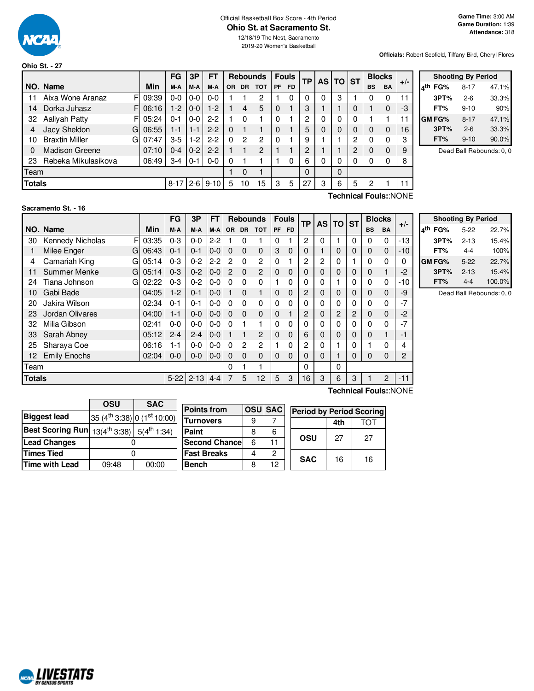

#### Official Basketball Box Score - 4th Period **Ohio St. at Sacramento St.**

**Officials:** Robert Scofield, Tiffany Bird, Cheryl Flores

|               |                       |    |       | FG       | 3P      | <b>FT</b>  |     |           | <b>Rebounds</b> |           | <b>Fouls</b> | ТP       | AS I | TO ST    |   |           | <b>Blocks</b>         |       |                 |
|---------------|-----------------------|----|-------|----------|---------|------------|-----|-----------|-----------------|-----------|--------------|----------|------|----------|---|-----------|-----------------------|-------|-----------------|
|               | NO. Name              |    | Min   | M-A      | M-A     | M-A        | OR. | <b>DR</b> | <b>TOT</b>      | <b>PF</b> | <b>FD</b>    |          |      |          |   | <b>BS</b> | <b>BA</b>             | $+/-$ | l4 <sup>t</sup> |
| 11            | Aixa Wone Aranaz      | F  | 09:39 | $0-0$    | $0-0$   | $0 - 0$    |     |           | 2               |           | 0            | 0        | 0    | 3        |   | 0         | 0                     | 11    |                 |
| 14            | Dorka Juhasz          | FI | 06:16 | $1-2$    | $0-0$   | $1-2$      |     | 4         | 5               | 0         |              | 3        |      |          | 0 |           | 0                     | -3    |                 |
| 32            | Aaliyah Patty         | FI | 05:24 | $0 - 1$  | $0-0$   | $2 - 2$    |     | 0         |                 | 0         |              | 2        | 0    | 0        | 0 |           |                       | 11    | G               |
|               | Jacy Sheldon          | G  | 06:55 | 1-1      | $1 - 1$ | $2 - 2$    | 0   |           |                 | 0         |              | 5        | 0    | 0        | 0 | $\Omega$  | 0                     | 16    |                 |
| 10            | <b>Braxtin Miller</b> | G. | 07:47 | $3-5$    | $1-2$   | $2 - 2$    | 0   | 2         | $\overline{c}$  | 0         |              | 9        |      |          | 2 | $\Omega$  | 0                     | 3     |                 |
| 0             | <b>Madison Greene</b> |    | 07:10 | $0 - 4$  | $0 - 2$ | $2 - 2$    |     |           | 2               |           |              | 2        |      |          | 2 | $\Omega$  | 0                     | 9     |                 |
| 23            | Rebeka Mikulasikova   |    | 06:49 | 3-4      | $0 - 1$ | $0-0$      | 0   |           |                 |           | $\Omega$     | 6        | 0    | 0        | 0 | 0         | 0                     | 8     |                 |
| Team          |                       |    |       |          |         |            |     | 0         |                 |           |              | $\Omega$ |      | $\Omega$ |   |           |                       |       |                 |
| <b>Totals</b> |                       |    |       | $8 - 17$ |         | $2-6$ 9-10 | 5   | 10        | 15              | 3         | 5            | 27       | 3    | 6        | 5 | 2         |                       | 11    |                 |
|               |                       |    |       |          |         |            |     |           |                 |           |              |          |      |          |   |           | Technical Fouls::NONE |       |                 |

|     | <b>Shooting By Period</b> |          |       |  |  |  |  |  |  |  |  |  |
|-----|---------------------------|----------|-------|--|--|--|--|--|--|--|--|--|
| ۸th | FG%                       | $8 - 17$ | 47.1% |  |  |  |  |  |  |  |  |  |
|     | 3PT%                      | $2-6$    | 33.3% |  |  |  |  |  |  |  |  |  |
|     | FT%                       | $9 - 10$ | 90%   |  |  |  |  |  |  |  |  |  |
|     | <b>GM FG%</b>             | $8 - 17$ | 47.1% |  |  |  |  |  |  |  |  |  |
|     | 3PT%                      | $2 - 6$  | 33.3% |  |  |  |  |  |  |  |  |  |
|     | FT%                       | $9 - 10$ | 90.0% |  |  |  |  |  |  |  |  |  |

Dead Ball Rebounds: 0, 0

### **Sacramento St. - 16**

|        |                       |       | FG       | 3P       | <b>FT</b> |                |                | <b>Rebounds</b> | <b>Fouls</b> |           | <b>TP</b> | <b>AS</b> | <b>TO</b> | <b>ST</b> | <b>Blocks</b> |                | $+/-$ |
|--------|-----------------------|-------|----------|----------|-----------|----------------|----------------|-----------------|--------------|-----------|-----------|-----------|-----------|-----------|---------------|----------------|-------|
|        | NO. Name              | Min   | M-A      | M-A      | M-A       | <b>OR</b>      | <b>DR</b>      | <b>TOT</b>      | <b>PF</b>    | <b>FD</b> |           |           |           |           | <b>BS</b>     | BA             |       |
| 30     | F<br>Kennedy Nicholas | 03:35 | $0 - 3$  | $0 - 0$  | $2 - 2$   |                | 0              |                 | 0            |           | 2         | 0         |           | 0         | 0             | $\Omega$       | $-13$ |
|        | Milee Enger<br>G      | 06:43 | $0 - 1$  | $0 - 1$  | $0 - 0$   | $\Omega$       | $\Omega$       | $\Omega$        | 3            | 0         | 0         |           | 0         | 0         | $\Omega$      | $\Omega$       | -10   |
| 4      | Camariah King<br>G    | 05:14 | $0 - 3$  | $0 - 2$  | $2 - 2$   | $\overline{2}$ | $\Omega$       | 2               | 0            |           | 2         | 2         | 0         |           | 0             | $\Omega$       | 0     |
| 11     | Summer Menke<br>G     | 05:14 | $0 - 3$  | $0 - 2$  | $0 - 0$   | $\overline{2}$ | $\Omega$       | $\overline{2}$  | 0            | 0         | 0         | 0         | 0         | 0         | $\Omega$      |                | -2    |
| 24     | Tiana Johnson<br>G    | 02:22 | $0 - 3$  | $0 - 2$  | $0 - 0$   | 0              | 0              | $\Omega$        |              | 0         | 0         | 0         |           | 0         | 0             | 0              | $-10$ |
| 10     | Gabi Bade             | 04:05 | $1-2$    | $0 - 1$  | $0-0$     |                | $\Omega$       |                 | 0            | 0         | 2         | 0         | 0         | 0         | $\Omega$      | $\Omega$       | -9    |
| 20     | Jakira Wilson         | 02:34 | $0 - 1$  | $0 - 1$  | $0 - 0$   | 0              | 0              | $\Omega$        | 0            | 0         | 0         | 0         | 0         | 0         | 0             | 0              | $-7$  |
| 23     | Jordan Olivares       | 04:00 | $1 - 1$  | $0 - 0$  | $0 - 0$   | $\Omega$       | $\Omega$       | $\Omega$        | 0            |           | 2         | 0         | 2         | 2         | 0             | 0              | -2    |
| 32     | Milia Gibson          | 02:41 | $0 - 0$  | $0 - 0$  | $0 - 0$   | 0              |                |                 | $\Omega$     | 0         | 0         | 0         | 0         | 0         | 0             | 0              | $-7$  |
| 33     | Sarah Abney           | 05:12 | $2 - 4$  | $2 - 4$  | $0-0$     |                |                | 2               | 0            | 0         | 6         | 0         | 0         | 0         | 0             |                | -1    |
| 25     | Sharaya Coe           | 06:16 | 1-1      | $0 - 0$  | $0-0$     | $\Omega$       | $\overline{2}$ | $\overline{2}$  | 1            | 0         | 2         | 0         |           | 0         |               | $\Omega$       | 4     |
| 12     | <b>Emily Enochs</b>   | 02:04 | $0-0$    | $0 - 0$  | $0 - 0$   | 0              | $\Omega$       | $\Omega$        | 0            | 0         | 0         | 0         |           | 0         | 0             | 0              | 2     |
| Team   |                       |       |          |          |           | 0              |                |                 |              |           | 0         |           | 0         |           |               |                |       |
| Totals |                       |       | $5 - 22$ | $2 - 13$ | $4 - 4$   |                | 5              | 12              | 5            | 3         | 16        | 3         | 6         | 3         |               | $\overline{c}$ | $-11$ |

| <b>Shooting By Period</b> |        |          |        |  |  |  |  |  |  |  |  |
|---------------------------|--------|----------|--------|--|--|--|--|--|--|--|--|
| ۸th                       | FG%    | $5-22$   | 22.7%  |  |  |  |  |  |  |  |  |
|                           | 3PT%   | $2 - 13$ | 15.4%  |  |  |  |  |  |  |  |  |
|                           | FT%    | 4-4      | 100%   |  |  |  |  |  |  |  |  |
|                           | GM FG% | $5-22$   | 22.7%  |  |  |  |  |  |  |  |  |
|                           | 3PT%   | $2 - 13$ | 15.4%  |  |  |  |  |  |  |  |  |
|                           | FT%    | $4 - 4$  | 100.0% |  |  |  |  |  |  |  |  |

Dead Ball Rebounds: 0, 0

|                                                                  | OSU   | <b>SAC</b>                                          |                       |   |                |                                 |     |     |
|------------------------------------------------------------------|-------|-----------------------------------------------------|-----------------------|---|----------------|---------------------------------|-----|-----|
|                                                                  |       |                                                     | <b>Points from</b>    |   | <b>OSU SAC</b> | <b>Period by Period Scoring</b> |     |     |
| <b>Biggest lead</b>                                              |       | 35 (4 <sup>th</sup> 3:38) 0 (1 <sup>st</sup> 10:00) | <b>Turnovers</b>      | 9 |                |                                 | 4th | TOT |
| <b>Best Scoring Run</b> $13(4^{th}3:38)$ 5(4 <sup>th</sup> 1:34) |       |                                                     | Paint                 | 8 | 6              |                                 |     |     |
| <b>Lead Changes</b>                                              |       |                                                     | <b>Second Chancel</b> |   | 11             | OSU                             | 27  | 27  |
| <b>Times Tied</b>                                                |       |                                                     | <b>Fast Breaks</b>    |   |                | <b>SAC</b>                      |     | 16  |
| <b>Time with Lead</b>                                            | 09:48 | 00:00                                               | <b>Bench</b>          |   | 12             |                                 | 16  |     |

**Technical Fouls:**:NONE

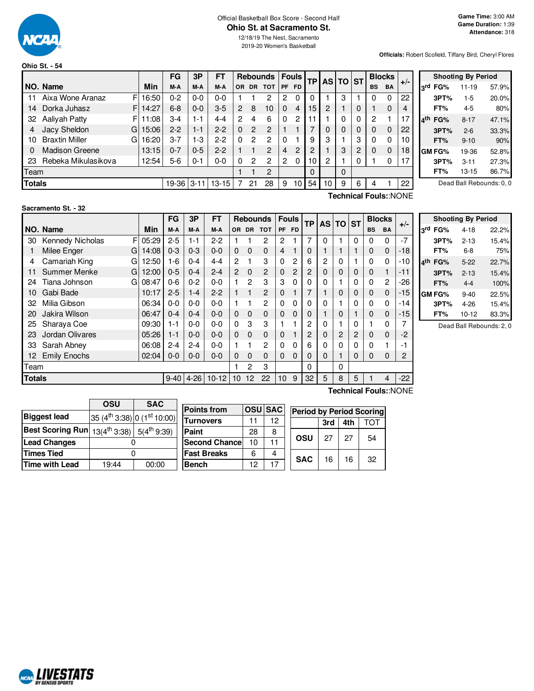

#### Official Basketball Box Score - Second Half **Ohio St. at Sacramento St.** 12/18/19 The Nest, Sacramento

2019-20 Women's Basketball

**Officials:** Robert Scofield, Tiffany Bird, Cheryl Flores

| Ohio St. - 54 |  |  |
|---------------|--|--|
|               |  |  |

|               |                             |             | <b>FG</b>  | 3P      | FΤ        |                |           | <b>Rebounds</b> |                | <b>Fouls</b> | TP I     | AS TO ST |   |   |           | <b>Blocks</b> |       |                          |               | <b>Shooting By Period</b> |       |
|---------------|-----------------------------|-------------|------------|---------|-----------|----------------|-----------|-----------------|----------------|--------------|----------|----------|---|---|-----------|---------------|-------|--------------------------|---------------|---------------------------|-------|
|               | <b>NO. Name</b>             | Min         | M-A        | M-A     | M-A       | OR.            | <b>DR</b> | <b>TOT</b>      |                | PF FD        |          |          |   |   | <b>BS</b> | <b>BA</b>     | $+/-$ | 3rd                      | FG%           | $11 - 19$                 | 57.9% |
| 11            | Aixa Wone Aranaz<br>F       | 16:50       | 0-2        | $0-0$   | 0-0       |                |           | ◠               | 2              |              |          |          | 3 |   |           | 0             | 22    |                          | 3PT%          | $1-5$                     | 20.0% |
| 14            | Dorka Juhasz                | FI<br>14:27 | $6 - 8$    | $0-0$   | $3-5$     | $\overline{2}$ | 8         | 10              | 0              | 4            | 15       | 2        |   |   |           | 0             | 4     |                          | FT%           | $4 - 5$                   | 80%   |
| 32            | Aaliyah Patty<br>FI         | 11:08       | 3-4        | $1 - 1$ | $4 - 4$   | $\mathbf{2}$   |           | 6               | 0              | 2            |          |          | 0 |   | 2         |               |       | $\mathbf{A}^{\text{th}}$ | FG%           | $8 - 17$                  | 47.1% |
|               | Jacy Sheldon<br>Gl          | 15:06       | $2 - 2$    | 1-1     | $2 - 2$   |                | 2         | 2               |                |              | ⇁        |          | 0 |   |           | 0             | 22    |                          | 3PT%          | $2 - 6$                   | 33.3% |
| 10            | <b>Braxtin Miller</b><br>GI | 16:20       | $3 - 7$    | $1-3$   | $2 - 2$   |                | 2         | 0               | 0              |              | 9        | 3        |   | 3 |           | 0             | 10    |                          | FT%           | $9 - 10$                  | 90%   |
|               | <b>Madison Greene</b>       | 13:15       | $0 - 7$    | $0 - 5$ | $2 - 2$   |                |           | 2               | 4              | 2            | 2        |          | 3 | 2 | 0         | 0             | 18    |                          | <b>GM FG%</b> | 19-36                     | 52.8% |
| 23            | Rebeka Mikulasikova         | 12:54       | $5-6$      | 0-1     | 0-0       |                | 2         | 2               | $\overline{2}$ | 0            | 10       | 2        |   |   |           | 0             |       |                          | 3PT%          | $3 - 11$                  | 27.3% |
| Team          |                             |             |            |         |           |                |           | 2               |                |              | $\Omega$ |          |   |   |           |               |       |                          | FT%           | $13 - 15$                 | 86.7% |
| <b>Totals</b> |                             |             | 19-36 3-11 |         | $13 - 15$ |                | 21        | 28              | 9              | 10           | 54       | 10       | 9 | 6 |           |               | 22    |                          |               | Dead Ball Rebounds: 0, 0  |       |

| لماک   | FG%    | $11 - 19$ | 57.9% |
|--------|--------|-----------|-------|
|        | 3PT%   | 1-5       | 20.0% |
|        | FT%    | 4-5       | 80%   |
| $A$ th | FG%    | $8 - 17$  | 47.1% |
|        | 3PT%   | $2 - 6$   | 33.3% |
|        | FT%    | $9 - 10$  | 90%   |
|        | GM FG% | 19-36     | 52.8% |
|        | 3PT%   | $3 - 11$  | 27.3% |
|        | FT%    | $13 - 15$ | 86.7% |

**Sacramento St. - 32**

|        |                       |       | FG       | 3P       | FT      |                |             | <b>Rebounds</b> |             | <b>Fouls</b>   | <b>TP</b> | AS TO          |          | <b>ST</b>      | <b>Blocks</b> |                | $+/-$ |
|--------|-----------------------|-------|----------|----------|---------|----------------|-------------|-----------------|-------------|----------------|-----------|----------------|----------|----------------|---------------|----------------|-------|
|        | NO. Name              | Min   | M-A      | M-A      | M-A     | <b>OR</b>      | <b>DR</b>   | <b>TOT</b>      | <b>PF</b>   | <b>FD</b>      |           |                |          |                | <b>BS</b>     | <b>BA</b>      |       |
| 30     | F<br>Kennedy Nicholas | 05:29 | $2 - 5$  | $1 - 1$  | $2 - 2$ |                |             | 2               | 2           |                |           | $\Omega$       |          | $\Omega$       | 0             | 0              | $-7$  |
|        | Milee Enger<br>G      | 14:08 | $0 - 3$  | $0 - 3$  | $0 - 0$ | $\Omega$       | $\Omega$    | $\mathbf 0$     | 4           |                | 0         |                |          |                | 0             | 0              | -18   |
| 4      | Camariah King<br>GI   | 12:50 | $1-6$    | $0 - 4$  | 4-4     | $\mathcal{P}$  |             | 3               | 0           | 2              | 6         | $\overline{c}$ | 0        |                | 0             | 0              | -10   |
| 11     | Summer Menke<br>GI    | 12:00 | $0 - 5$  | $0 - 4$  | $2 - 4$ | $\overline{2}$ | $\mathbf 0$ | $\overline{c}$  | 0           | $\overline{2}$ | 2         | 0              | 0        | 0              | 0             | 1              | -11   |
| 24     | Tiana Johnson<br>GI   | 08:47 | $0 - 6$  | $0 - 2$  | $0-0$   |                | 2           | 3               | 3           | 0              | 0         | 0              |          | 0              | 0             | $\overline{2}$ | -26   |
| 10     | Gabi Bade             | 10:17 | $2 - 5$  | $1 - 4$  | $2 - 2$ |                |             | $\overline{c}$  | 0           |                |           |                | 0        | 0              | $\mathbf 0$   | $\mathbf 0$    | $-15$ |
| 32     | Milia Gibson          | 06:34 | $0-0$    | $0-0$    | $0 - 0$ |                |             | $\overline{c}$  | $\mathbf 0$ | 0              | 0         | 0              |          | 0              | 0             | 0              | -14   |
| 20     | Jakira Wilson         | 06:47 | $0 - 4$  | $0 - 4$  | $0 - 0$ | $\Omega$       | $\Omega$    | $\mathbf 0$     | 0           | $\mathbf 0$    | 0         |                | 0        |                | $\mathbf 0$   | 0              | $-15$ |
| 25     | Sharaya Coe           | 09:30 | $1 - 1$  | $0-0$    | $0 - 0$ | $\Omega$       | 3           | 3               |             |                | 2         | 0              |          | 0              | 1             | 0              |       |
| 23     | Jordan Olivares       | 05:26 | $1 - 1$  | $0 - 0$  | $0 - 0$ | $\Omega$       | $\Omega$    | $\mathbf 0$     | 0           |                | 2         | 0              | 2        | $\overline{c}$ | $\mathbf 0$   | $\mathbf 0$    | $-2$  |
| 33     | Sarah Abney           | 06:08 | $2 - 4$  | $2 - 4$  | $0 - 0$ |                |             | $\overline{c}$  | $\Omega$    | $\Omega$       | 6         | 0              | $\Omega$ | 0              | 0             | 1              | -1    |
| 12     | <b>Emily Enochs</b>   | 02:04 | $0 - 0$  | $0 - 0$  | $0 - 0$ | 0              | $\Omega$    | $\Omega$        | $\Omega$    | $\Omega$       | 0         | 0              |          | 0              | $\Omega$      | $\Omega$       | 2     |
| Team   |                       |       |          |          |         |                | 2           | 3               |             |                | $\Omega$  |                | $\Omega$ |                |               |                |       |
| Totals |                       |       | $9 - 40$ | $4 - 26$ | $10-12$ | 10             | 12          | 22              | 10          | 9              | 32        | 5              | 8        | 5              |               | 4              | $-22$ |

**Technical Fouls:**:NONE

|     |        | <b>Shooting By Period</b> |       |
|-----|--------|---------------------------|-------|
| 3rd | FG%    | $4 - 18$                  | 22.2% |
|     | 3PT%   | $2 - 13$                  | 15.4% |
|     | FT%    | 6-8                       | 75%   |
| ⊿th | FG%    | 5-22                      | 22.7% |
|     | 3PT%   | $2 - 13$                  | 15.4% |
|     | FT%    | $4 - 4$                   | 100%  |
|     | GM FG% | $9 - 40$                  | 22.5% |
|     | 3PT%   | $4 - 26$                  | 15.4% |
|     | FT%    | $10 - 12$                 | 83.3% |

Dead Ball Rebounds: 2, 0

|                                                                  | OSU                            | <b>SAC</b> |                       |                 |                |                                 |     |     |     |  |  |  |  |  |
|------------------------------------------------------------------|--------------------------------|------------|-----------------------|-----------------|----------------|---------------------------------|-----|-----|-----|--|--|--|--|--|
|                                                                  |                                |            | <b>Points from</b>    |                 | <b>OSU</b> SAC | <b>Period by Period Scoring</b> |     |     |     |  |  |  |  |  |
| <b>Biggest lead</b>                                              | $35(4th 3:38)$ 0 $(1st 10:00)$ |            | <b>Turnovers</b>      |                 | 12             |                                 |     |     |     |  |  |  |  |  |
|                                                                  |                                |            |                       |                 |                |                                 | 3rd | 4th | тот |  |  |  |  |  |
| <b>Best Scoring Run</b> $13(4^{th}3:38)$ 5(4 <sup>th</sup> 9:39) |                                |            | Paint                 | 28              | 8              |                                 |     |     |     |  |  |  |  |  |
| <b>Lead Changes</b>                                              |                                |            | <b>Second Chancel</b> | 10 <sup>1</sup> |                | OSU                             | 27  | 27  | 54  |  |  |  |  |  |
| <b>Times Tied</b>                                                |                                |            | <b>Fast Breaks</b>    | 6               | 4              | <b>SAC</b>                      | 16  |     |     |  |  |  |  |  |
| Time with Lead                                                   | 19:44                          | 00:00      | <b>Bench</b>          | 12              | 17             |                                 |     | 16  | 32  |  |  |  |  |  |

**Technical Fouls:**:NONE

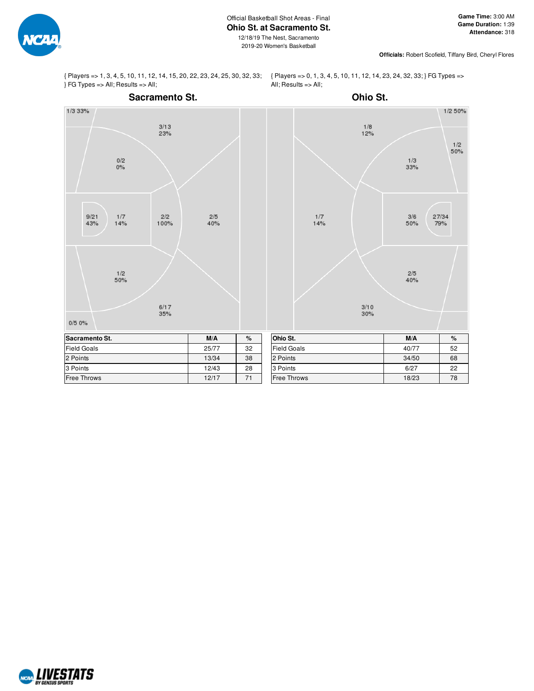

2019-20 Women's Basketball

**Officials:** Robert Scofield, Tiffany Bird, Cheryl Flores

{ Players => 1, 3, 4, 5, 10, 11, 12, 14, 15, 20, 22, 23, 24, 25, 30, 32, 33; } FG Types => All; Results => All;

{ Players => 0, 1, 3, 4, 5, 10, 11, 12, 14, 23, 24, 32, 33; } FG Types => All;  $Results = > All;$ 



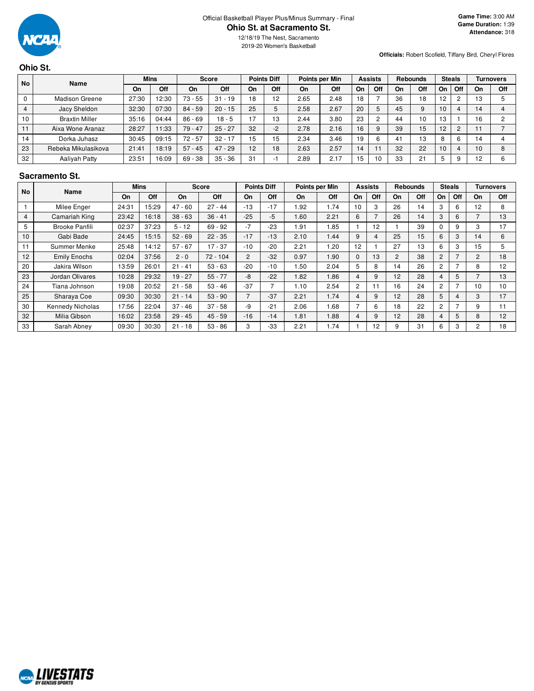

12/18/19 The Nest, Sacramento 2019-20 Women's Basketball

**Officials:** Robert Scofield, Tiffany Bird, Cheryl Flores

# **Ohio St.**

| <b>No</b> | <b>Name</b>           |       | <b>Mins</b> |           | <b>Score</b> |    | <b>Points Diff</b> |      | <b>Points per Min</b> |    | <b>Assists</b> |    | <b>Rebounds</b> |           | <b>Steals</b> |    | Turnovers |
|-----------|-----------------------|-------|-------------|-----------|--------------|----|--------------------|------|-----------------------|----|----------------|----|-----------------|-----------|---------------|----|-----------|
|           |                       | On    | Off         | On        | Off          | On | Off                | On   | Off                   | On | Off            | On | Off             | On        | Off           | On | Off       |
| 0         | <b>Madison Greene</b> | 27:30 | 12:30       | $73 - 55$ | $31 - 19$    | 18 | 12                 | 2.65 | 2.48                  | 18 |                | 36 | 18              | <b>CI</b> | C             | 13 |           |
| 4         | Jacy Sheldon          | 32:30 | 07:30       | $84 - 59$ | $20 - 15$    | 25 |                    | 2.58 | 2.67                  | 20 | 5              | 45 | 9               |           |               | 14 |           |
| 10        | <b>Braxtin Miller</b> | 35:16 | 04:44       | $86 - 69$ | $18 - 5$     | 17 | 13                 | 2.44 | 3.80                  | 23 | C              | 44 | 10              | 10        |               | 16 | C         |
| 11        | Aixa Wone Aranaz      | 28:27 | 11:33       | $79 - 47$ | $25 - 27$    | 32 | $-2$               | 2.78 | 2.16                  | 16 | 9              | 39 | 15              | ◠         | <sub>O</sub>  |    |           |
| 14        | Dorka Juhasz          | 30:45 | 09:15       | $72 - 57$ | $32 - 17$    | 15 | 15                 | 2.34 | 3.46                  | 19 | 6              |    | 13              | 8         | 6             | 14 |           |
| 23        | Rebeka Mikulasikova   | 21:41 | 18:19       | $57 - 45$ | $47 - 29$    | 12 | 18                 | 2.63 | 2.57                  | 14 |                | 32 | 22              | 10        | 4             | 10 | 8         |
| 32        | <b>Aalivah Patty</b>  | 23:51 | 16:09       | $69 - 38$ | $35 - 36$    | 31 | - 1                | 2.89 | 2.17                  | 15 | 10             | 33 | 21              | 5         | 9             | 12 | 6         |

# **Sacramento St.**

| <b>No</b>      | Name                    |       | <b>Mins</b> |           | <b>Score</b> |                | <b>Points Diff</b> |      | Points per Min |                | <b>Assists</b> |                | <b>Rebounds</b> |                | <b>Steals</b>  |                          | <b>Turnovers</b> |
|----------------|-------------------------|-------|-------------|-----------|--------------|----------------|--------------------|------|----------------|----------------|----------------|----------------|-----------------|----------------|----------------|--------------------------|------------------|
|                |                         | On    | Off         | On        | Off          | On             | Off                | On   | Off            | On             | Off            | On             | Off             | On             | Off            | On                       | <b>Off</b>       |
|                | Milee Enger             | 24:31 | 15:29       | $47 - 60$ | $27 - 44$    | $-13$          | $-17$              | 1.92 | 1.74           | 10             | 3              | 26             | 14              | 3              | 6              | 12                       | 8                |
| $\overline{4}$ | Camariah King           | 23:42 | 16:18       | $38 - 63$ | $36 - 41$    | $-25$          | $-5$               | 1.60 | 2.21           | 6              |                | 26             | 14              | 3              | 6              | $\overline{\phantom{0}}$ | 13               |
| 5              | Brooke Panfili          | 02:37 | 37:23       | $5 - 12$  | $69 - 92$    | $-7$           | $-23$              | 1.91 | 1.85           |                | 12             |                | 39              | $\Omega$       | 9              | 3                        | 17               |
| 10             | Gabi Bade               | 24:45 | 15:15       | $52 - 69$ | $22 - 35$    | $-17$          | $-13$              | 2.10 | 1.44           | 9              | 4              | 25             | 15              | 6              | 3              | 14                       | 6                |
| 11             | Summer Menke            | 25:48 | 14:12       | $57 - 67$ | $17 - 37$    | $-10$          | $-20$              | 2.21 | .20            | 12             |                | 27             | 13              | 6              | 3              | 15                       | 5                |
| 12             | <b>Emily Enochs</b>     | 02:04 | 37:56       | $2 - 0$   | $72 - 104$   | $\overline{2}$ | $-32$              | 0.97 | 1.90           | $\Omega$       | 13             | $\overline{2}$ | 38              | $\overline{2}$ | $\overline{ }$ | 2                        | 18               |
| 20             | Jakira Wilson           | 13:59 | 26:01       | $21 - 41$ | $53 - 63$    | $-20$          | $-10$              | 1.50 | 2.04           | 5              | 8              | 14             | 26              | 2              |                | 8                        | 12               |
| 23             | Jordan Olivares         | 10:28 | 29:32       | $19 - 27$ | $55 - 77$    | -8             | $-22$              | 1.82 | 1.86           | 4              | 9              | 12             | 28              | 4              | 5              | $\overline{\phantom{a}}$ | 13               |
| 24             | Tiana Johnson           | 19:08 | 20:52       | $21 - 58$ | $53 - 46$    | $-37$          | 7                  | 1.10 | 2.54           | $\overline{2}$ |                | 16             | 24              | 2              | ⇁              | 10                       | 10               |
| 25             | Sharaya Coe             | 09:30 | 30:30       | $21 - 14$ | $53 - 90$    | 7              | $-37$              | 2.21 | 1.74           | 4              | 9              | 12             | 28              | 5              | 4              | 3                        | 17               |
| 30             | <b>Kennedy Nicholas</b> | 17:56 | 22:04       | $37 - 46$ | $37 - 58$    | -9             | $-21$              | 2.06 | 1.68           | 7              | 6              | 18             | 22              | $\overline{2}$ | 7              | 9                        | 11               |
| 32             | Milia Gibson            | 16:02 | 23:58       | $29 - 45$ | $45 - 59$    | $-16$          | $-14$              | 1.81 | 1.88           | 4              | 9              | 12             | 28              | 4              | 5              | 8                        | 12               |
| 33             | Sarah Abnev             | 09:30 | 30:30       | $21 - 18$ | $53 - 86$    | 3              | $-33$              | 2.21 | 1.74           |                | 12             | 9              | 31              | 6              | 3              | 2                        | 18               |

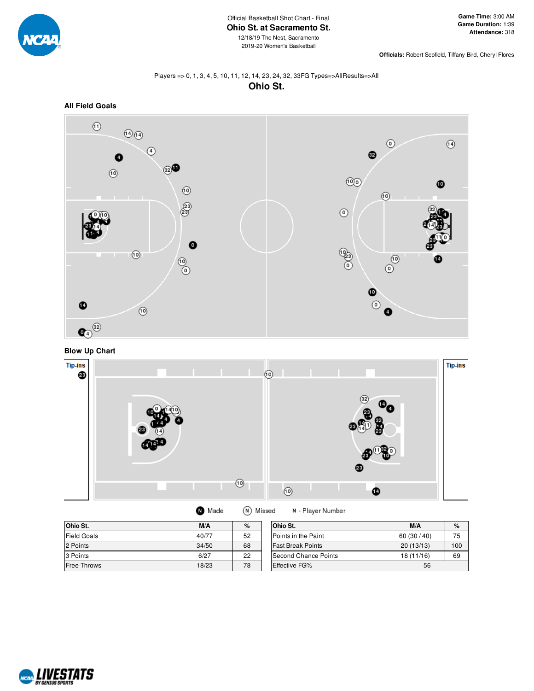

**Officials:** Robert Scofield, Tiffany Bird, Cheryl Flores

# Players => 0, 1, 3, 4, 5, 10, 11, 12, 14, 23, 24, 32, 33FG Types=>AllResults=>All **Ohio St.**



**Blow Up Chart**



| <b>O</b> Made | (N) Missed |
|---------------|------------|
|---------------|------------|

N - Player Number

| Ohio St.           | M/A   | $\%$ | Ohio St.                 | M/A        | %   |
|--------------------|-------|------|--------------------------|------------|-----|
| <b>Field Goals</b> | 40/77 | 52   | Points in the Paint      | 60(30/40)  | 75  |
| 2 Points           | 34/50 | 68   | <b>Fast Break Points</b> | 20(13/13)  | 100 |
| 3 Points           | 6/27  | 22   | Second Chance Points     | 18 (11/16) | 69  |
| <b>Free Throws</b> | 18/23 | 78   | <b>Effective FG%</b>     | 56         |     |

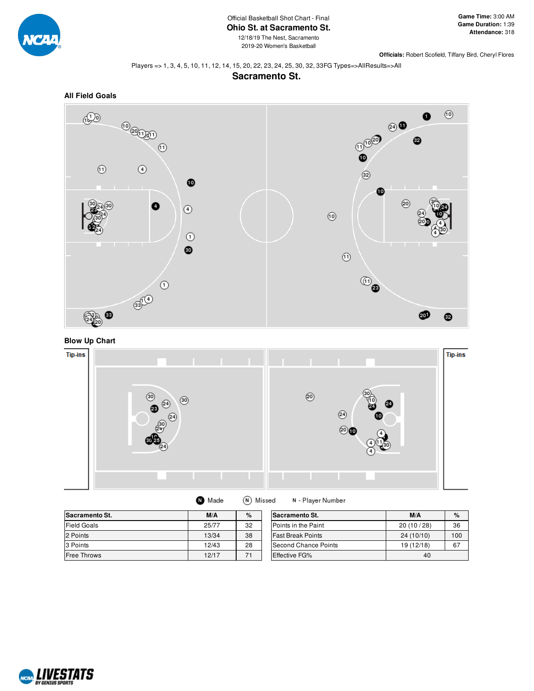

2019-20 Women's Basketball

**Officials:** Robert Scofield, Tiffany Bird, Cheryl Flores

#### Players => 1, 3, 4, 5, 10, 11, 12, 14, 15, 20, 22, 23, 24, 25, 30, 32, 33FG Types=>AllResults=>All

### **Sacramento St.**









| <b>Sacramento St.</b> | M/A   | $\%$ | Sacramento St.           | M/A        | %   |
|-----------------------|-------|------|--------------------------|------------|-----|
| <b>Field Goals</b>    | 25/77 | 32   | Points in the Paint      | 20(10/28)  | 36  |
| 2 Points              | 13/34 | 38   | <b>Fast Break Points</b> | 24 (10/10) | 100 |
| 3 Points              | 12/43 | 28   | Second Chance Points     | 19 (12/18) | 67  |
| <b>Free Throws</b>    | 12/17 | 71   | <b>Effective FG%</b>     | 40         |     |

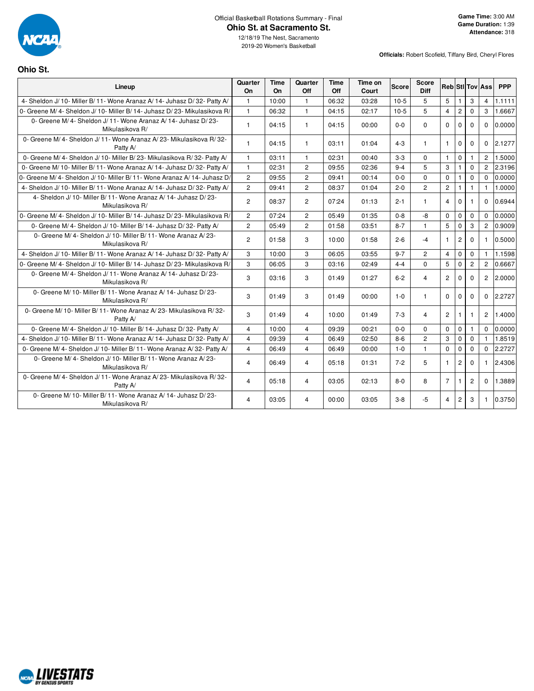

### Official Basketball Rotations Summary - Final **Ohio St. at Sacramento St.**

12/18/19 The Nest, Sacramento 2019-20 Women's Basketball

**Officials:** Robert Scofield, Tiffany Bird, Cheryl Flores

# **Ohio St.**

| Lineup                                                                             | Quarter<br>On  | Time<br><b>On</b> | Quarter<br>Off | Time<br>Off | Time on<br>Court | <b>Score</b> | <b>Score</b><br>Diff |                |                |                | <b>Reb StilTov Ass</b> | <b>PPP</b> |
|------------------------------------------------------------------------------------|----------------|-------------------|----------------|-------------|------------------|--------------|----------------------|----------------|----------------|----------------|------------------------|------------|
| 4- Sheldon J/ 10- Miller B/ 11- Wone Aranaz A/ 14- Juhasz D/ 32- Patty A/          | $\mathbf{1}$   | 10:00             | $\mathbf{1}$   | 06:32       | 03:28            | $10-5$       | 5                    | 5              | $\mathbf{1}$   | 3              | $\overline{4}$         | 1.1111     |
| 0- Greene M/ 4- Sheldon J/ 10- Miller B/ 14- Juhasz D/ 23- Mikulasikova R/         | $\mathbf{1}$   | 06:32             | $\mathbf{1}$   | 04:15       | 02:17            | $10-5$       | 5                    | $\overline{4}$ | $\overline{c}$ | $\Omega$       | 3                      | 1.6667     |
| 0- Greene M/4- Sheldon J/11- Wone Aranaz A/14- Juhasz D/23-<br>Mikulasikova R/     | $\mathbf{1}$   | 04:15             | $\mathbf{1}$   | 04:15       | 00:00            | $0 - 0$      | $\Omega$             | $\Omega$       | $\Omega$       | $\Omega$       | $\Omega$               | 0.0000     |
| 0- Greene M/4- Sheldon J/11- Wone Aranaz A/23- Mikulasikova R/32-<br>Patty A/      | $\mathbf{1}$   | 04:15             | $\mathbf{1}$   | 03:11       | 01:04            | $4 - 3$      | $\mathbf{1}$         | $\mathbf{1}$   | $\Omega$       | $\Omega$       | $\Omega$               | 2.1277     |
| 0- Greene M/4- Sheldon J/10- Miller B/23- Mikulasikova R/32- Patty A/              | $\mathbf{1}$   | 03:11             | $\mathbf{1}$   | 02:31       | 00:40            | $3 - 3$      | $\mathbf 0$          | $\mathbf{1}$   | $\mathbf 0$    | $\mathbf{1}$   | $\overline{2}$         | 1.5000     |
| 0- Greene M/ 10- Miller B/ 11- Wone Aranaz A/ 14- Juhasz D/ 32- Patty A/           | $\mathbf{1}$   | 02:31             | 2              | 09:55       | 02:36            | $9 - 4$      | 5                    | 3              | $\mathbf{1}$   | $\Omega$       | $\overline{2}$         | 2.3196     |
| 0- Greene M/4- Sheldon J/10- Miller B/11- Wone Aranaz A/14- Juhasz D/              | $\overline{2}$ | 09:55             | $\overline{c}$ | 09:41       | 00:14            | $0 - 0$      | $\Omega$             | $\Omega$       | 1              | $\Omega$       | $\Omega$               | 0.0000     |
| 4- Sheldon J/ 10- Miller B/ 11- Wone Aranaz A/ 14- Juhasz D/ 32- Patty A/          | $\overline{c}$ | 09:41             | $\overline{c}$ | 08:37       | 01:04            | $2 - 0$      | $\overline{c}$       | $\overline{c}$ | 1              | $\mathbf{1}$   | $\mathbf{1}$           | 1.0000     |
| 4- Sheldon J/10- Miller B/11- Wone Aranaz A/14- Juhasz D/23-<br>Mikulasikova R/    | $\overline{2}$ | 08:37             | $\overline{2}$ | 07:24       | 01:13            | $2 - 1$      | $\mathbf{1}$         | $\overline{4}$ | $\Omega$       | 1              | $\Omega$               | 0.6944     |
| 0- Greene M/ 4- Sheldon J/ 10- Miller B/ 14- Juhasz D/ 23- Mikulasikova R/         | $\overline{2}$ | 07:24             | $\overline{2}$ | 05:49       | 01:35            | $0 - 8$      | -8                   | $\Omega$       | $\mathbf 0$    | $\mathbf 0$    | $\Omega$               | 0.0000     |
| 0- Greene M/4- Sheldon J/10- Miller B/14- Juhasz D/32- Patty A/                    | $\overline{2}$ | 05:49             | $\overline{c}$ | 01:58       | 03:51            | $8 - 7$      | $\mathbf{1}$         | 5              | $\mathbf 0$    | 3              | $\overline{2}$         | 0.9009     |
| 0- Greene M/4- Sheldon J/10- Miller B/11- Wone Aranaz A/23-<br>Mikulasikova R/     | $\overline{2}$ | 01:58             | 3              | 10:00       | 01:58            | $2 - 6$      | $-4$                 | $\mathbf{1}$   | $\overline{2}$ | $\Omega$       | $\mathbf{1}$           | 0.5000     |
| 4- Sheldon J/ 10- Miller B/ 11- Wone Aranaz A/ 14- Juhasz D/ 32- Patty A/          | 3              | 10:00             | 3              | 06:05       | 03:55            | $9 - 7$      | $\overline{2}$       | $\overline{4}$ | $\Omega$       | $\Omega$       | $\mathbf{1}$           | 1.1598     |
| 0- Greene M/ 4- Sheldon J/ 10- Miller B/ 14- Juhasz D/ 23- Mikulasikova R/         | 3              | 06:05             | 3              | 03:16       | 02:49            | $4 - 4$      | $\Omega$             | 5              | $\Omega$       | $\overline{2}$ | $\overline{2}$         | 0.6667     |
| 0- Greene M/4- Sheldon J/11- Wone Aranaz A/14- Juhasz D/23-<br>Mikulasikova R/     | 3              | 03:16             | 3              | 01:49       | 01:27            | $6 - 2$      | 4                    | $\overline{2}$ | $\Omega$       | $\Omega$       | $\overline{2}$         | 2.0000     |
| 0- Greene M/ 10- Miller B/ 11- Wone Aranaz A/ 14- Juhasz D/ 23-<br>Mikulasikova R/ | 3              | 01:49             | 3              | 01:49       | 00:00            | $1 - 0$      | $\mathbf{1}$         | $\Omega$       | $\Omega$       | $\Omega$       | $\Omega$               | 2.2727     |
| 0- Greene M/ 10- Miller B/ 11- Wone Aranaz A/ 23- Mikulasikova R/ 32-<br>Patty A/  | 3              | 01:49             | $\overline{4}$ | 10:00       | 01:49            | $7 - 3$      | 4                    | $\overline{2}$ | 1              | 1              | $\overline{c}$         | 1.4000     |
| 0- Greene M/4- Sheldon J/10- Miller B/14- Juhasz D/32- Patty A/                    | $\overline{4}$ | 10:00             | $\overline{4}$ | 09:39       | 00:21            | $0 - 0$      | $\Omega$             | $\Omega$       | $\mathbf 0$    | 1              | $\Omega$               | 0.0000     |
| 4- Sheldon J/ 10- Miller B/ 11- Wone Aranaz A/ 14- Juhasz D/ 32- Patty A/          | $\overline{4}$ | 09:39             | $\overline{4}$ | 06:49       | 02:50            | $8 - 6$      | $\overline{2}$       | 3              | $\mathbf 0$    | $\Omega$       | $\mathbf{1}$           | 1.8519     |
| 0- Greene M/4- Sheldon J/10- Miller B/11- Wone Aranaz A/32- Patty A/               | $\overline{4}$ | 06:49             | $\overline{4}$ | 06:49       | 00:00            | $1 - 0$      | $\mathbf{1}$         | $\Omega$       | $\mathbf 0$    | $\Omega$       | $\Omega$               | 2.2727     |
| 0- Greene M/4- Sheldon J/10- Miller B/11- Wone Aranaz A/23-<br>Mikulasikova R/     | $\overline{4}$ | 06:49             | $\overline{4}$ | 05:18       | 01:31            | $7 - 2$      | 5                    | $\mathbf{1}$   | $\overline{2}$ | $\Omega$       | $\mathbf{1}$           | 2.4306     |
| 0- Greene M/4- Sheldon J/11- Wone Aranaz A/23- Mikulasikova R/32-<br>Patty A/      | $\overline{4}$ | 05:18             | 4              | 03:05       | 02:13            | $8 - 0$      | 8                    | $\overline{7}$ | 1              | $\overline{2}$ | $\Omega$               | 1.3889     |
| 0- Greene M/ 10- Miller B/ 11- Wone Aranaz A/ 14- Juhasz D/ 23-<br>Mikulasikova R/ | 4              | 03:05             | $\overline{4}$ | 00:00       | 03:05            | $3 - 8$      | $-5$                 | $\overline{4}$ | $\overline{2}$ | 3              | $\mathbf{1}$           | 0.3750     |

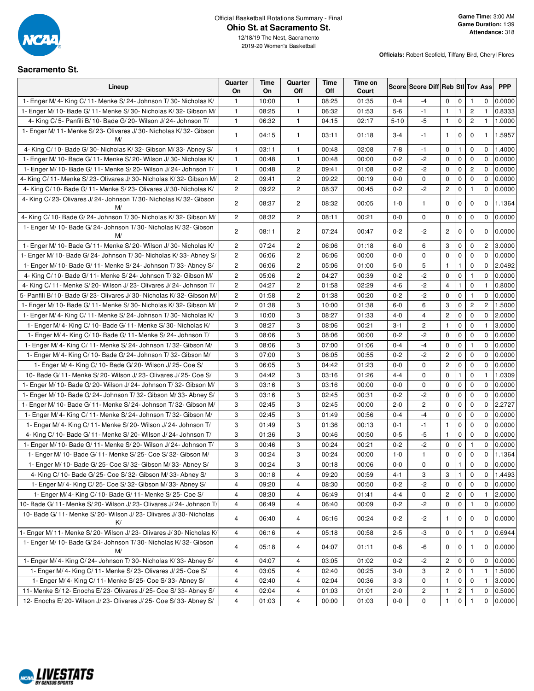

12/18/19 The Nest, Sacramento 2019-20 Women's Basketball

**Officials:** Robert Scofield, Tiffany Bird, Cheryl Flores

### **Sacramento St.**

| Lineup                                                                    | Quarter<br>On  | Time<br>On | Quarter<br>Off          | Time<br>Off | Time on<br>Court |          | Score Score Diff Reb Stl Tov Ass |                |                |                       |                | <b>PPP</b> |
|---------------------------------------------------------------------------|----------------|------------|-------------------------|-------------|------------------|----------|----------------------------------|----------------|----------------|-----------------------|----------------|------------|
| 1- Enger M/4- King C/11- Menke S/24- Johnson T/30- Nicholas K/            | 1              | 10:00      | $\mathbf{1}$            | 08:25       | 01:35            | $0 - 4$  | -4                               | 0              | $\mathbf 0$    | 1                     | $\mathbf 0$    | 0.0000     |
| 1- Enger M/ 10- Bade G/ 11- Menke S/ 30- Nicholas K/ 32- Gibson M/        | $\mathbf{1}$   | 08:25      | $\mathbf{1}$            | 06:32       | 01:53            | $5-6$    | $-1$                             | $\mathbf{1}$   | $\mathbf{1}$   | $\mathbf{2}^{\prime}$ | $\mathbf{1}$   | 0.8333     |
| 4- King C/5- Panfili B/10- Bade G/20- Wilson J/24- Johnson T/             | $\mathbf{1}$   | 06:32      | $\mathbf{1}$            | 04:15       | 02:17            | $5 - 10$ | $-5$                             | $\mathbf{1}$   | $\mathbf 0$    | $\mathbf{2}$          | $\mathbf{1}$   | 1.0000     |
| 1- Enger M/ 11- Menke S/ 23- Olivares J/ 30- Nicholas K/ 32- Gibson<br>M/ | 1              | 04:15      | $\mathbf{1}$            | 03:11       | 01:18            | $3 - 4$  | -1                               | $\mathbf{1}$   | $\mathbf{0}$   | $\mathbf 0$           | $\mathbf{1}$   | 1.5957     |
| 4- King C/ 10- Bade G/ 30- Nicholas K/ 32- Gibson M/ 33- Abney S/         | $\mathbf{1}$   | 03:11      | $\mathbf{1}$            | 00:48       | 02:08            | $7 - 8$  | $-1$                             | 0              | 1              | 0                     | $\mathbf 0$    | 1.4000     |
| 1- Enger M/ 10- Bade G/ 11- Menke S/ 20- Wilson J/ 30- Nicholas K/        | $\mathbf{1}$   | 00:48      | $\mathbf{1}$            | 00:48       | 00:00            | $0 - 2$  | $-2$                             | $\mathbf 0$    | $\mathbf 0$    | 0                     | $\mathbf 0$    | 0.0000     |
| 1- Enger M/ 10- Bade G/ 11- Menke S/ 20- Wilson J/ 24- Johnson T/         | $\mathbf{1}$   | 00:48      | 2                       | 09:41       | 01:08            | $0 - 2$  | $-2$                             | $\mathbf 0$    | $\mathbf 0$    | $\overline{c}$        | $\mathbf 0$    | 0.0000     |
| 4- King C/ 11- Menke S/ 23- Olivares J/ 30- Nicholas K/ 32- Gibson M/     | 2              | 09:41      | $\overline{\mathbf{c}}$ | 09:22       | 00:19            | $0-0$    | 0                                | 0              | $\mathbf 0$    | 0                     | $\mathbf 0$    | 0.0000     |
| 4- King C/ 10- Bade G/ 11- Menke S/ 23- Olivares J/ 30- Nicholas K/       | $\overline{2}$ | 09:22      | $\mathbf{2}^{\prime}$   | 08:37       | 00:45            | $0 - 2$  | $-2$                             | $\mathbf{2}$   | $\mathbf 0$    | 1                     | $\Omega$       | 0.0000     |
| 4- King C/23- Olivares J/24- Johnson T/30- Nicholas K/32- Gibson<br>M/    | $\overline{c}$ | 08:37      | $\overline{c}$          | 08:32       | 00:05            | $1 - 0$  | $\mathbf{1}$                     | $\mathbf 0$    | $\mathbf{0}$   | $\mathbf 0$           | 0              | 1.1364     |
| 4- King C/ 10- Bade G/ 24- Johnson T/ 30- Nicholas K/ 32- Gibson M/       | $\overline{2}$ | 08:32      | $\overline{c}$          | 08:11       | 00:21            | $0-0$    | 0                                | 0              | $\mathbf 0$    | 0                     | 0              | 0.0000     |
| 1- Enger M/ 10- Bade G/ 24- Johnson T/ 30- Nicholas K/ 32- Gibson<br>M/   | 2              | 08:11      | 2                       | 07:24       | 00:47            | $0 - 2$  | $-2$                             | $\overline{c}$ | 0              | 0                     | $\mathbf 0$    | 0.0000     |
| 1- Enger M/ 10- Bade G/ 11- Menke S/ 20- Wilson J/ 30- Nicholas K/        | $\overline{c}$ | 07:24      | 2                       | 06:06       | 01:18            | $6-0$    | 6                                | 3              | $\mathbf 0$    | 0                     | 2              | 3.0000     |
| 1- Enger M/ 10- Bade G/ 24- Johnson T/ 30- Nicholas K/ 33- Abney S/       | $\overline{c}$ | 06:06      | $\mathbf{2}$            | 06:06       | 00:00            | $0 - 0$  | $\mathbf 0$                      | $\mathbf 0$    | $\mathbf 0$    | $\mathbf 0$           | $\mathbf 0$    | 0.0000     |
| 1- Enger M/ 10- Bade G/ 11- Menke S/ 24- Johnson T/ 33- Abney S/          | 2              | 06:06      | 2                       | 05:06       | 01:00            | $5-0$    | 5                                | $\mathbf{1}$   | 1              | 0                     | $\mathbf 0$    | 2.0492     |
| 4- King C/ 10- Bade G/ 11- Menke S/ 24- Johnson T/ 32- Gibson M/          | 2              | 05:06      | 2                       | 04:27       | 00:39            | $0 - 2$  | $-2$                             | $\mathbf 0$    | $\mathbf 0$    | $\mathbf{1}$          | $\mathbf 0$    | 0.0000     |
| 4- King C/11- Menke S/20- Wilson J/23- Olivares J/24- Johnson T/          | $\overline{c}$ | 04:27      | 2                       | 01:58       | 02:29            | $4 - 6$  | $-2$                             | $\overline{4}$ | 1              | 0                     | $\mathbf{1}$   | 0.8000     |
| 5- Panfili B/10- Bade G/23- Olivares J/30- Nicholas K/32- Gibson M/       | 2              | 01:58      | $\mathbf{2}$            | 01:38       | 00:20            | $0 - 2$  | $-2$                             | $\mathbf 0$    | $\mathbf 0$    | 1                     | $\mathbf 0$    | 0.0000     |
| 1- Enger M/ 10- Bade G/ 11- Menke S/ 30- Nicholas K/ 32- Gibson M/        | 2              | 01:38      | 3                       | 10:00       | 01:38            | $6-0$    | 6                                | 3              | $\mathbf 0$    | $\overline{c}$        | $\overline{c}$ | 1.5000     |
| 1- Enger M/4- King C/11- Menke S/24- Johnson T/30- Nicholas K/            | 3              | 10:00      | 3                       | 08:27       | 01:33            | $4 - 0$  | $\overline{4}$                   | $\overline{c}$ | $\pmb{0}$      | 0                     | $\mathbf 0$    | 2.0000     |
| 1- Enger M/4- King C/10- Bade G/11- Menke S/30- Nicholas K/               | 3              | 08:27      | 3                       | 08:06       | 00:21            | 3-1      | $\mathbf{2}^{\prime}$            | $\mathbf{1}$   | $\mathbf 0$    | $\mathbf 0$           | 1              | 3.0000     |
| 1- Enger M/4- King C/10- Bade G/11- Menke S/24- Johnson T/                | 3              | 08:06      | 3                       | 08:06       | 00:00            | $0 - 2$  | $-2$                             | 0              | $\mathbf 0$    | 0                     | $\mathbf 0$    | 0.0000     |
| 1- Enger M/4- King C/11- Menke S/24- Johnson T/32- Gibson M/              | 3              | 08:06      | 3                       | 07:00       | 01:06            | $0 - 4$  | $-4$                             | 0              | $\mathbf 0$    | 1                     | $\mathbf{0}$   | 0.0000     |
| 1- Enger M/ 4- King C/ 10- Bade G/ 24- Johnson T/ 32- Gibson M/           | 3              | 07:00      | 3                       | 06:05       | 00:55            | $0 - 2$  | $-2$                             | $\overline{c}$ | $\mathbf 0$    | 0                     | $\mathbf 0$    | 0.0000     |
| 1- Enger M/ 4- King C/ 10- Bade G/ 20- Wilson J/ 25- Coe S/               | 3              | 06:05      | 3                       | 04:42       | 01:23            | $0-0$    | 0                                | $\overline{c}$ | $\mathbf 0$    | 0                     | $\mathbf 0$    | 0.0000     |
| 10- Bade G/ 11- Menke S/ 20- Wilson J/ 23- Olivares J/ 25- Coe S/         | 3              | 04:42      | 3                       | 03:16       | 01:26            | $4 - 4$  | $\mathbf 0$                      | 0              | $\mathbf{1}$   | 0                     | $\mathbf{1}$   | 1.0309     |
| 1- Enger M/ 10- Bade G/ 20- Wilson J/ 24- Johnson T/ 32- Gibson M/        | 3              | 03:16      | 3                       | 03:16       | 00:00            | $0-0$    | 0                                | $\mathbf 0$    | $\mathbf 0$    | 0                     | $\mathbf 0$    | 0.0000     |
| 1- Enger M/ 10- Bade G/ 24- Johnson T/ 32- Gibson M/ 33- Abney S/         | 3              | 03:16      | 3                       | 02:45       | 00:31            | $0 - 2$  | -2                               | $\mathbf 0$    | $\mathbf 0$    | 0                     | $\mathbf 0$    | 0.0000     |
| 1- Enger M/ 10- Bade G/ 11- Menke S/ 24- Johnson T/ 32- Gibson M/         | 3              | 02:45      | 3                       | 02:45       | 00:00            | $2 - 0$  | $\overline{c}$                   | $\mathbf 0$    | $\mathbf 0$    | 0                     | $\mathbf 0$    | 2.2727     |
| 1- Enger M/4- King C/11- Menke S/24- Johnson T/32- Gibson M/              | 3              | 02:45      | 3                       | 01:49       | 00:56            | $0 - 4$  | $-4$                             | 0              | $\mathbf 0$    | 0                     | $\mathbf 0$    | 0.0000     |
| 1- Enger M/ 4- King C/ 11- Menke S/ 20- Wilson J/ 24- Johnson T/          | 3              | 01:49      | 3                       | 01:36       | 00:13            | $0 - 1$  | $-1$                             | $\mathbf{1}$   | $\mathbf 0$    | 0                     | $\mathbf 0$    | 0.0000     |
| 4- King C/ 10- Bade G/ 11- Menke S/ 20- Wilson J/ 24- Johnson T/          | 3              | 01:36      | 3                       | 00:46       | 00:50            | $0-5$    | -5                               | $\mathbf{1}$   | $\mathbf 0$    | 0                     | $\mathbf 0$    | 0.0000     |
| 1- Enger M/ 10- Bade G/ 11- Menke S/ 20- Wilson J/ 24- Johnson T/         | 3              | 00:46      | 3                       | 00:24       | 00:21            | $0 - 2$  | -2                               | 0              | $\mathbf 0$    | $\mathbf{1}$          | 0              | 0.0000     |
| 1- Enger M/ 10- Bade G/ 11- Menke S/ 25- Coe S/ 32- Gibson M/             | 3              | 00:24      | 3                       | 00:24       | 00:00            | $1 - 0$  | 1                                | 0              | $\mathbf 0$    | 0                     | 0              | 1.1364     |
| 1- Enger M/ 10- Bade G/ 25- Coe S/ 32- Gibson M/ 33- Abney S/             | 3              | 00:24      | 3                       | 00:18       | 00:06            | $0-0$    | 0                                | $\mathbf 0$    |                | $\mathbf 0$           | $\mathbf 0$    | 0.0000     |
| 4- King C/10- Bade G/25- Coe S/32- Gibson M/33- Abney S/                  | 3              | 00:18      | 4                       | 09:20       | 00:59            | 4-1      | 3                                | 3              | 1              | 0                     | 0              | 1.4493     |
| 1- Enger M/ 4- King C/ 25- Coe S/ 32- Gibson M/ 33- Abney S/              | 4              | 09:20      | 4                       | 08:30       | 00:50            | $0 - 2$  | -2                               | $\mathbf 0$    | $\mathbf 0$    | 0                     | $\mathbf 0$    | 0.0000     |
| 1- Enger M/ 4- King C/ 10- Bade G/ 11- Menke S/ 25- Coe S/                | 4              | 08:30      | 4                       | 06:49       | 01:41            | $4 - 4$  | 0                                | $\overline{c}$ | $\mathbf 0$    | 0                     | 1              | 2.0000     |
| 10- Bade G/11- Menke S/20- Wilson J/23- Olivares J/24- Johnson T/         | 4              | 06:49      | 4                       | 06:40       | 00:09            | $0 - 2$  | $-2$                             | $\mathbf 0$    | $\mathbf 0$    | 1                     | $\mathbf 0$    | 0.0000     |
| 10- Bade G/ 11- Menke S/ 20- Wilson J/ 23- Olivares J/ 30- Nicholas<br>K/ | 4              | 06:40      | 4                       | 06:16       | 00:24            | $0 - 2$  | $-2$                             | 1              | 0              | 0                     | 0              | 0.0000     |
| 1- Enger M/ 11- Menke S/ 20- Wilson J/ 23- Olivares J/ 30- Nicholas K/    | 4              | 06:16      | 4                       | 05:18       | 00:58            | $2 - 5$  | -3                               | 0              | $\mathbf 0$    | 1                     | 0              | 0.6944     |
| 1- Enger M/ 10- Bade G/ 24- Johnson T/ 30- Nicholas K/ 32- Gibson<br>M/   | 4              | 05:18      | 4                       | 04:07       | 01:11            | 0-6      | -6                               | 0              | 0              |                       | 0              | 0.0000     |
| 1- Enger M/4- King C/24- Johnson T/30- Nicholas K/33- Abney S/            | 4              | 04:07      | 4                       | 03:05       | 01:02            | $0 - 2$  | $-2$                             | $\overline{c}$ | $\mathbf 0$    | 0                     | $\mathbf 0$    | 0.0000     |
| 1- Enger M/4- King C/11- Menke S/23- Olivares J/25- Coe S/                | 4              | 03:05      | 4                       | 02:40       | 00:25            | $3-0$    | 3                                | $\overline{c}$ | 0              |                       | -1             | 1.5000     |
| 1- Enger M/ 4- King C/ 11- Menke S/ 25- Coe S/ 33- Abney S/               | 4              | 02:40      | 4                       | 02:04       | 00:36            | $3 - 3$  | 0                                | $\mathbf{1}$   | 0              | 0                     | $\mathbf{1}$   | 3.0000     |
| 11- Menke S/12- Enochs E/23- Olivares J/25- Coe S/33- Abney S/            | 4              | 02:04      | 4                       | 01:03       | 01:01            | $2 - 0$  | $\overline{c}$                   | 1              | $\overline{c}$ |                       | 0              | 0.5000     |
| 12- Enochs E/20- Wilson J/23- Olivares J/25- Coe S/33- Abney S/           | 4              | 01:03      | 4                       | 00:00       | 01:03            | $0-0$    | 0                                | 1              | $\mathbf 0$    |                       | 0              | 0.0000     |

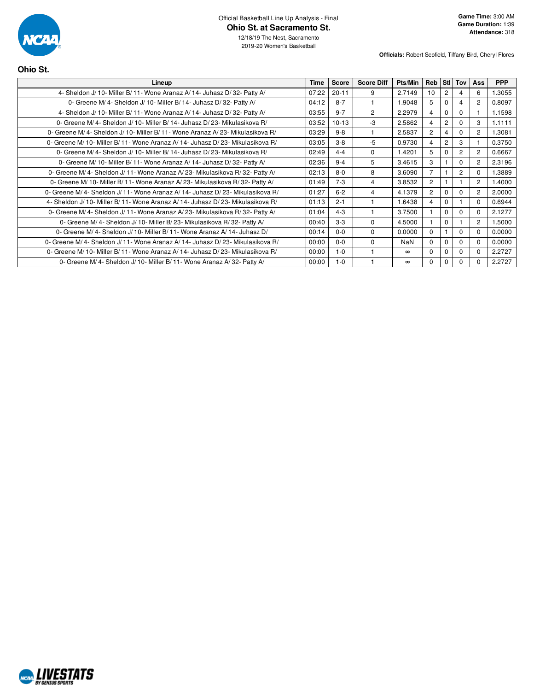

12/18/19 The Nest, Sacramento 2019-20 Women's Basketball

**Officials:** Robert Scofield, Tiffany Bird, Cheryl Flores

| <b>Time</b> | <b>Score</b> | <b>Score Diff</b> | Pts/Min    |                 |                | Tov            | <b>Ass</b>     | <b>PPP</b> |
|-------------|--------------|-------------------|------------|-----------------|----------------|----------------|----------------|------------|
| 07:22       | $20 - 11$    | 9                 | 2.7149     | 10 <sup>1</sup> | $\overline{2}$ | 4              | 6              | 1.3055     |
| 04:12       | $8 - 7$      | 1                 | 1.9048     | 5               | $\Omega$       | 4              | $\overline{2}$ | 0.8097     |
| 03:55       | $9 - 7$      | $\overline{c}$    | 2.2979     | $\overline{4}$  | $\Omega$       | $\mathbf 0$    |                | 1.1598     |
| 03:52       | $10-13$      | $-3$              | 2.5862     | $\overline{4}$  | $\overline{2}$ | $\Omega$       | 3              | 1.1111     |
| 03:29       | $9 - 8$      | 1                 | 2.5837     | $\overline{2}$  | $\overline{4}$ | $\Omega$       | $\overline{2}$ | 1.3081     |
| 03:05       | $3 - 8$      | $-5$              | 0.9730     | 4               | $\overline{c}$ | 3              |                | 0.3750     |
| 02:49       | $4 - 4$      | 0                 | 1.4201     | 5               | $\Omega$       | $\overline{2}$ | $\overline{2}$ | 0.6667     |
| 02:36       | $9 - 4$      | 5                 | 3.4615     | 3               |                | $\mathbf 0$    | $\overline{2}$ | 2.3196     |
| 02:13       | $8-0$        | 8                 | 3.6090     | $\overline{7}$  |                | $\overline{2}$ | $\Omega$       | 1.3889     |
| 01:49       | $7 - 3$      | $\overline{4}$    | 3.8532     | $\overline{2}$  |                |                | 2              | 1.4000     |
| 01:27       | $6 - 2$      | 4                 | 4.1379     | $\overline{2}$  | $\Omega$       | $\Omega$       | $\overline{2}$ | 2.0000     |
| 01:13       | $2 - 1$      | 1                 | 1.6438     | $\overline{4}$  | $\Omega$       |                | $\Omega$       | 0.6944     |
| 01:04       | $4 - 3$      | 1                 | 3.7500     |                 | $\Omega$       | $\Omega$       | $\Omega$       | 2.1277     |
| 00:40       | $3-3$        | $\Omega$          | 4.5000     |                 | $\Omega$       |                | $\overline{2}$ | 1.5000     |
| 00:14       | $0 - 0$      | $\Omega$          | 0.0000     | $\Omega$        |                | $\Omega$       | $\Omega$       | 0.0000     |
| 00:00       | $0 - 0$      | $\Omega$          | <b>NaN</b> | $\Omega$        | $\Omega$       | $\Omega$       | $\Omega$       | 0.0000     |
| 00:00       | $1 - 0$      |                   | $\infty$   | $\Omega$        | $\Omega$       | $\Omega$       | $\Omega$       | 2.2727     |
| 00:00       | $1 - 0$      |                   | $\infty$   | $\Omega$        | $\Omega$       | $\Omega$       | $\Omega$       | 2.2727     |
|             |              |                   |            |                 |                | Reb            | <b>StI</b>     |            |